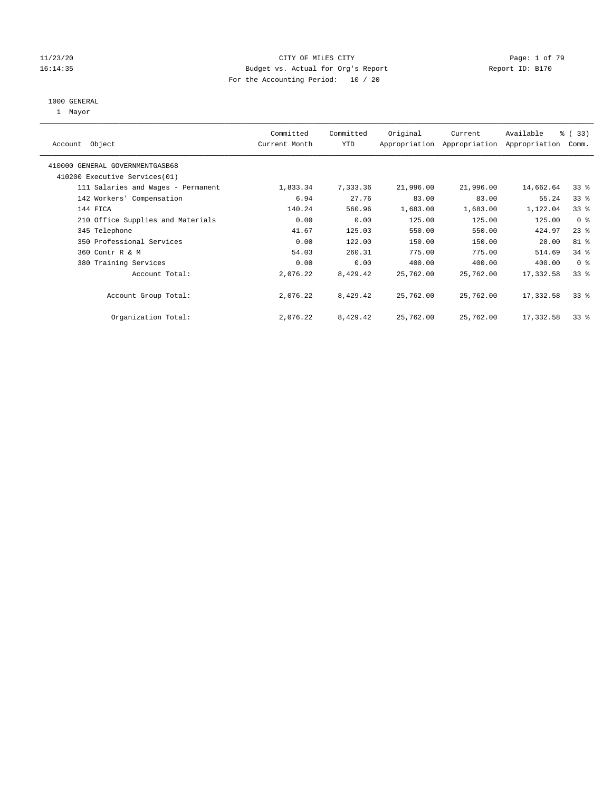#### 11/23/20 CITY OF MILES CITY Page: 1 of 79 16:14:35 Budget vs. Actual for Org's Report Report ID: B170 For the Accounting Period: 10 / 20

#### 1000 GENERAL

1 Mayor

| Object<br>Account                  | Committed<br>Current Month | Committed<br><b>YTD</b> | Original  | Current<br>Appropriation Appropriation | Available<br>Appropriation | % (33)<br>Comm. |
|------------------------------------|----------------------------|-------------------------|-----------|----------------------------------------|----------------------------|-----------------|
| 410000 GENERAL GOVERNMENTGASB68    |                            |                         |           |                                        |                            |                 |
| 410200 Executive Services (01)     |                            |                         |           |                                        |                            |                 |
| 111 Salaries and Wages - Permanent | 1,833.34                   | 7,333.36                | 21,996.00 | 21,996.00                              | 14,662.64                  | 33 <sup>8</sup> |
| 142 Workers' Compensation          | 6.94                       | 27.76                   | 83.00     | 83.00                                  | 55.24                      | 33 <sup>8</sup> |
| 144 FICA                           | 140.24                     | 560.96                  | 1,683.00  | 1,683.00                               | 1,122.04                   | 33 <sup>8</sup> |
| 210 Office Supplies and Materials  | 0.00                       | 0.00                    | 125.00    | 125.00                                 | 125.00                     | 0 <sup>8</sup>  |
| 345 Telephone                      | 41.67                      | 125.03                  | 550.00    | 550.00                                 | 424.97                     | $23$ %          |
| 350 Professional Services          | 0.00                       | 122.00                  | 150.00    | 150.00                                 | 28.00                      | 81 %            |
| 360 Contr R & M                    | 54.03                      | 260.31                  | 775.00    | 775.00                                 | 514.69                     | 34%             |
| 380 Training Services              | 0.00                       | 0.00                    | 400.00    | 400.00                                 | 400.00                     | 0 <sup>8</sup>  |
| Account Total:                     | 2,076.22                   | 8,429.42                | 25,762.00 | 25,762.00                              | 17,332.58                  | 33 <sup>8</sup> |
| Account Group Total:               | 2,076.22                   | 8,429.42                | 25,762.00 | 25,762.00                              | 17,332.58                  | 33 <sup>8</sup> |
| Organization Total:                | 2,076.22                   | 8,429.42                | 25,762.00 | 25,762.00                              | 17,332.58                  | 33 <sup>8</sup> |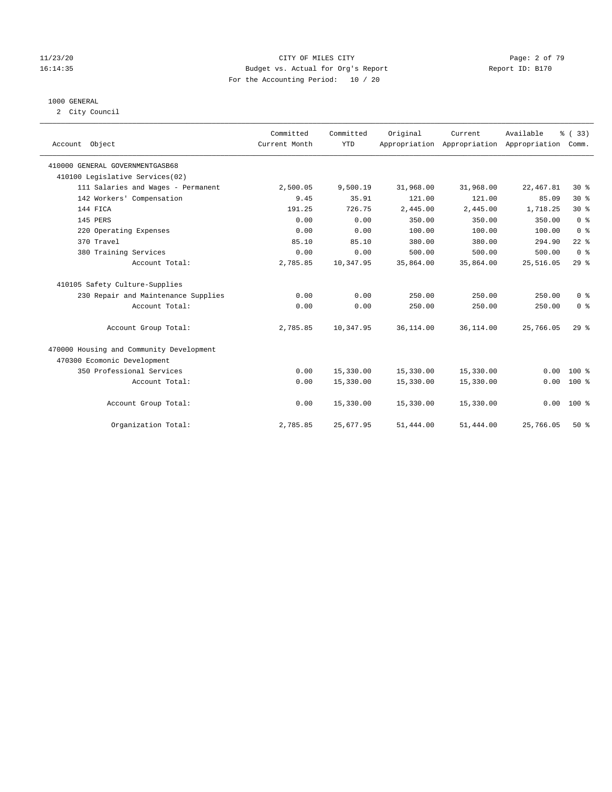#### 11/23/20 CITY OF MILES CITY Page: 2 of 79 16:14:35 Budget vs. Actual for Org's Report Report ID: B170 For the Accounting Period: 10 / 20

#### 1000 GENERAL

2 City Council

| Account Object                           | Committed<br>Current Month | Committed<br><b>YTD</b> | Original  | Current     | Available<br>Appropriation Appropriation Appropriation | % (33)<br>Comm. |
|------------------------------------------|----------------------------|-------------------------|-----------|-------------|--------------------------------------------------------|-----------------|
| 410000 GENERAL GOVERNMENTGASB68          |                            |                         |           |             |                                                        |                 |
| 410100 Legislative Services(02)          |                            |                         |           |             |                                                        |                 |
| 111 Salaries and Wages - Permanent       | 2,500.05                   | 9,500.19                | 31,968.00 | 31,968.00   | 22, 467.81                                             | $30*$           |
| 142 Workers' Compensation                | 9.45                       | 35.91                   | 121.00    | 121.00      | 85.09                                                  | $30*$           |
| 144 FICA                                 | 191.25                     | 726.75                  | 2,445.00  | 2,445.00    | 1,718.25                                               | $30*$           |
| 145 PERS                                 | 0.00                       | 0.00                    | 350.00    | 350.00      | 350.00                                                 | 0 <sup>8</sup>  |
| 220 Operating Expenses                   | 0.00                       | 0.00                    | 100.00    | 100.00      | 100.00                                                 | 0 <sup>8</sup>  |
| 370 Travel                               | 85.10                      | 85.10                   | 380.00    | 380.00      | 294.90                                                 | $22$ %          |
| 380 Training Services                    | 0.00                       | 0.00                    | 500.00    | 500.00      | 500.00                                                 | 0 <sup>8</sup>  |
| Account Total:                           | 2,785.85                   | 10,347.95               | 35,864.00 | 35,864.00   | 25,516.05                                              | 29%             |
| 410105 Safety Culture-Supplies           |                            |                         |           |             |                                                        |                 |
| 230 Repair and Maintenance Supplies      | 0.00                       | 0.00                    | 250.00    | 250.00      | 250.00                                                 | 0 <sup>8</sup>  |
| Account Total:                           | 0.00                       | 0.00                    | 250.00    | 250.00      | 250.00                                                 | 0 <sup>8</sup>  |
| Account Group Total:                     | 2,785.85                   | 10,347.95               | 36,114.00 | 36, 114, 00 | 25,766.05                                              | $29$ $%$        |
| 470000 Housing and Community Development |                            |                         |           |             |                                                        |                 |
| 470300 Ecomonic Development              |                            |                         |           |             |                                                        |                 |
| 350 Professional Services                | 0.00                       | 15,330.00               | 15,330.00 | 15,330.00   | 0.00                                                   | $100*$          |
| Account Total:                           | 0.00                       | 15,330.00               | 15,330.00 | 15,330.00   | 0.00                                                   | $100*$          |
| Account Group Total:                     | 0.00                       | 15,330.00               | 15,330.00 | 15,330.00   | 0.00                                                   | $100*$          |
| Organization Total:                      | 2,785.85                   | 25,677.95               | 51,444.00 | 51,444.00   | 25,766.05                                              | 50%             |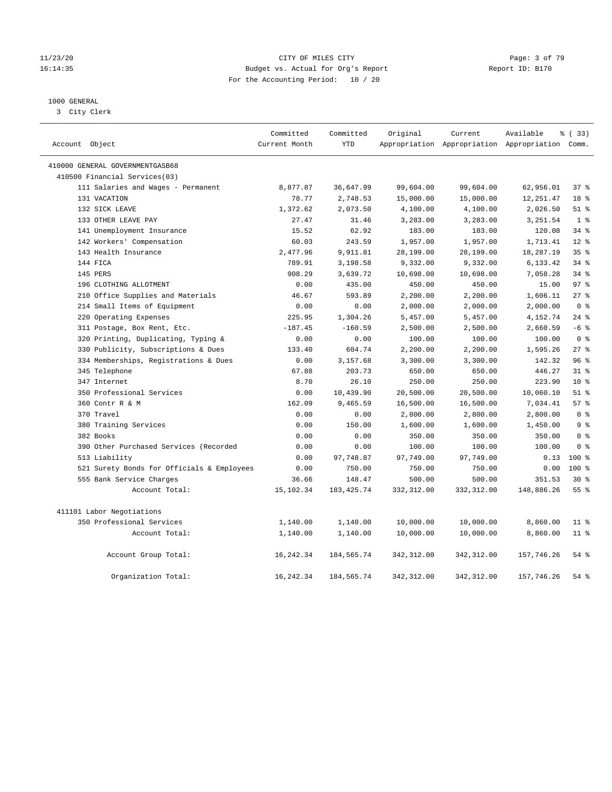#### 11/23/20 CITY OF MILES CITY Page: 3 of 79 16:14:35 Budget vs. Actual for Org's Report Report ID: B170 For the Accounting Period: 10 / 20

### 1000 GENERAL

3 City Clerk

| Account Object                             | Committed<br>Current Month | Committed<br><b>YTD</b> | Original    | Current     | Available<br>Appropriation Appropriation Appropriation Comm. | % (33)          |
|--------------------------------------------|----------------------------|-------------------------|-------------|-------------|--------------------------------------------------------------|-----------------|
| 410000 GENERAL GOVERNMENTGASB68            |                            |                         |             |             |                                                              |                 |
| 410500 Financial Services(03)              |                            |                         |             |             |                                                              |                 |
| 111 Salaries and Wages - Permanent         | 8,877.87                   | 36,647.99               | 99,604.00   | 99,604.00   | 62,956.01                                                    | 37%             |
| 131 VACATION                               | 78.77                      | 2,748.53                | 15,000.00   | 15,000.00   | 12, 251.47                                                   | 18 %            |
| 132 SICK LEAVE                             | 1,372.62                   | 2,073.50                | 4,100.00    | 4,100.00    | 2,026.50                                                     | $51$ %          |
| 133 OTHER LEAVE PAY                        | 27.47                      | 31.46                   | 3,283.00    | 3,283.00    | 3,251.54                                                     | 1 <sup>8</sup>  |
| 141 Unemployment Insurance                 | 15.52                      | 62.92                   | 183.00      | 183.00      | 120.08                                                       | 34%             |
| 142 Workers' Compensation                  | 60.03                      | 243.59                  | 1,957.00    | 1,957.00    | 1,713.41                                                     | $12*$           |
| 143 Health Insurance                       | 2,477.96                   | 9,911.81                | 28,199.00   | 28,199.00   | 18,287.19                                                    | 35%             |
| 144 FICA                                   | 789.91                     | 3,198.58                | 9,332.00    | 9,332.00    | 6,133.42                                                     | 34%             |
| 145 PERS                                   | 908.29                     | 3,639.72                | 10,698.00   | 10,698.00   | 7,058.28                                                     | 34%             |
| 196 CLOTHING ALLOTMENT                     | 0.00                       | 435.00                  | 450.00      | 450.00      | 15.00                                                        | 97 <sub>8</sub> |
| 210 Office Supplies and Materials          | 46.67                      | 593.89                  | 2,200.00    | 2,200.00    | 1,606.11                                                     | 27%             |
| 214 Small Items of Equipment               | 0.00                       | 0.00                    | 2,000.00    | 2,000.00    | 2,000.00                                                     | 0 <sup>8</sup>  |
| 220 Operating Expenses                     | 225.95                     | 1,304.26                | 5,457.00    | 5,457.00    | 4,152.74                                                     | $24$ %          |
| 311 Postage, Box Rent, Etc.                | $-187.45$                  | $-160.59$               | 2,500.00    | 2,500.00    | 2,660.59                                                     | $-6$ %          |
| 320 Printing, Duplicating, Typing &        | 0.00                       | 0.00                    | 100.00      | 100.00      | 100.00                                                       | 0 <sup>8</sup>  |
| 330 Publicity, Subscriptions & Dues        | 133.40                     | 604.74                  | 2,200.00    | 2,200.00    | 1,595.26                                                     | 27%             |
| 334 Memberships, Registrations & Dues      | 0.00                       | 3,157.68                | 3,300.00    | 3,300.00    | 142.32                                                       | 96%             |
| 345 Telephone                              | 67.88                      | 203.73                  | 650.00      | 650.00      | 446.27                                                       | 31.8            |
| 347 Internet                               | 8.70                       | 26.10                   | 250.00      | 250.00      | 223.90                                                       | $10*$           |
| 350 Professional Services                  | 0.00                       | 10,439.90               | 20,500.00   | 20,500.00   | 10,060.10                                                    | $51$ %          |
| 360 Contr R & M                            | 162.09                     | 9,465.59                | 16,500.00   | 16,500.00   | 7,034.41                                                     | 57%             |
| 370 Travel                                 | 0.00                       | 0.00                    | 2,800.00    | 2,800.00    | 2,800.00                                                     | 0 <sup>8</sup>  |
| 380 Training Services                      | 0.00                       | 150.00                  | 1,600.00    | 1,600.00    | 1,450.00                                                     | 9 <sup>°</sup>  |
| 382 Books                                  | 0.00                       | 0.00                    | 350.00      | 350.00      | 350.00                                                       | 0 <sup>8</sup>  |
| 390 Other Purchased Services (Recorded     | 0.00                       | 0.00                    | 100.00      | 100.00      | 100.00                                                       | 0 <sup>8</sup>  |
| 513 Liability                              | 0.00                       | 97,748.87               | 97,749.00   | 97,749.00   | 0.13                                                         | $100*$          |
| 521 Surety Bonds for Officials & Employees | 0.00                       | 750.00                  | 750.00      | 750.00      | 0.00                                                         | $100*$          |
| 555 Bank Service Charges                   | 36.66                      | 148.47                  | 500.00      | 500.00      | 351.53                                                       | $30*$           |
| Account Total:                             | 15,102.34                  | 183, 425. 74            | 332,312.00  | 332,312.00  | 148,886.26                                                   | 55 <sup>8</sup> |
| 411101 Labor Negotiations                  |                            |                         |             |             |                                                              |                 |
| 350 Professional Services                  | 1,140.00                   | 1,140.00                | 10,000.00   | 10,000.00   | 8,860.00                                                     | $11$ %          |
| Account Total:                             | 1,140.00                   | 1,140.00                | 10,000.00   | 10,000.00   | 8,860.00                                                     | $11$ %          |
| Account Group Total:                       | 16, 242.34                 | 184,565.74              | 342,312.00  | 342,312.00  | 157,746.26                                                   | $54$ %          |
| Organization Total:                        | 16, 242.34                 | 184, 565. 74            | 342, 312.00 | 342, 312.00 | 157,746.26                                                   | 54%             |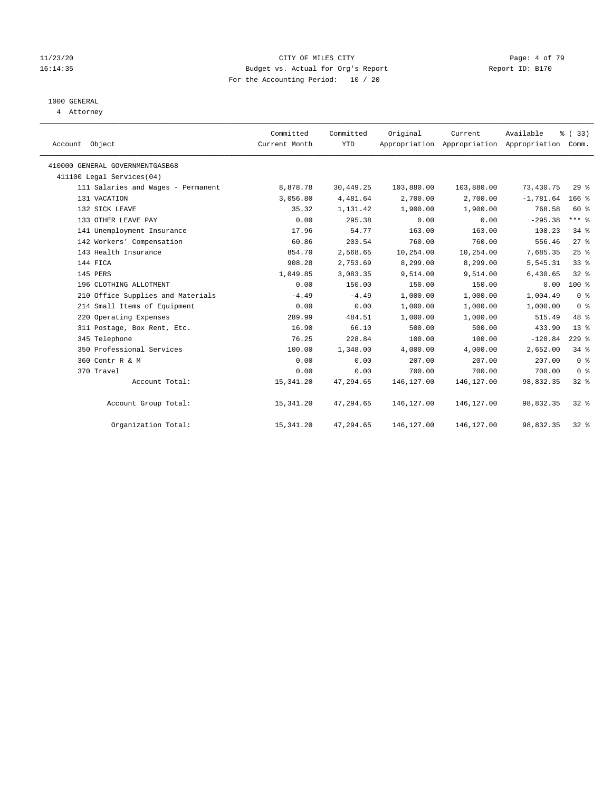#### 11/23/20 CITY OF MILES CITY Page: 4 of 79 16:14:35 Budget vs. Actual for Org's Report Report ID: B170 For the Accounting Period: 10 / 20

# 1000 GENERAL

4 Attorney

| Account Object                     | Committed<br>Current Month | Committed<br><b>YTD</b> | Original   | Current<br>Appropriation Appropriation Appropriation Comm. | Available   | % (33)          |
|------------------------------------|----------------------------|-------------------------|------------|------------------------------------------------------------|-------------|-----------------|
| 410000 GENERAL GOVERNMENTGASB68    |                            |                         |            |                                                            |             |                 |
| 411100 Legal Services(04)          |                            |                         |            |                                                            |             |                 |
| 111 Salaries and Wages - Permanent | 8,878.78                   | 30,449.25               | 103,880.00 | 103,880.00                                                 | 73,430.75   | 29%             |
| 131 VACATION                       | 3,056.80                   | 4,481.64                | 2,700.00   | 2,700.00                                                   | $-1,781.64$ | $166$ %         |
| 132 SICK LEAVE                     | 35.32                      | 1,131.42                | 1,900.00   | 1,900.00                                                   | 768.58      | 60 %            |
| 133 OTHER LEAVE PAY                | 0.00                       | 295.38                  | 0.00       | 0.00                                                       | $-295.38$   | $***$ $-$       |
| 141 Unemployment Insurance         | 17.96                      | 54.77                   | 163.00     | 163.00                                                     | 108.23      | 34%             |
| 142 Workers' Compensation          | 60.86                      | 203.54                  | 760.00     | 760.00                                                     | 556.46      | $27$ $%$        |
| 143 Health Insurance               | 854.70                     | 2,568.65                | 10,254.00  | 10,254.00                                                  | 7,685.35    | 25%             |
| 144 FICA                           | 908.28                     | 2,753.69                | 8,299.00   | 8,299.00                                                   | 5,545.31    | 33%             |
| 145 PERS                           | 1,049.85                   | 3,083.35                | 9,514.00   | 9,514.00                                                   | 6,430.65    | 328             |
| 196 CLOTHING ALLOTMENT             | 0.00                       | 150.00                  | 150.00     | 150.00                                                     | 0.00        | $100*$          |
| 210 Office Supplies and Materials  | $-4.49$                    | $-4.49$                 | 1,000.00   | 1,000.00                                                   | 1,004.49    | 0 <sup>8</sup>  |
| 214 Small Items of Equipment       | 0.00                       | 0.00                    | 1,000.00   | 1,000.00                                                   | 1,000.00    | 0 <sup>8</sup>  |
| 220 Operating Expenses             | 289.99                     | 484.51                  | 1,000.00   | 1,000.00                                                   | 515.49      | 48 %            |
| 311 Postage, Box Rent, Etc.        | 16.90                      | 66.10                   | 500.00     | 500.00                                                     | 433.90      | 13 <sup>8</sup> |
| 345 Telephone                      | 76.25                      | 228.84                  | 100.00     | 100.00                                                     | $-128.84$   | $229$ %         |
| 350 Professional Services          | 100.00                     | 1,348.00                | 4,000.00   | 4,000.00                                                   | 2,652.00    | 34.8            |
| 360 Contr R & M                    | 0.00                       | 0.00                    | 207.00     | 207.00                                                     | 207.00      | 0 <sup>8</sup>  |
| 370 Travel                         | 0.00                       | 0.00                    | 700.00     | 700.00                                                     | 700.00      | 0 <sup>8</sup>  |
| Account Total:                     | 15,341.20                  | 47,294.65               | 146,127.00 | 146, 127.00                                                | 98,832.35   | $32$ $%$        |
| Account Group Total:               | 15,341.20                  | 47,294.65               | 146,127.00 | 146,127.00                                                 | 98,832.35   | 328             |
| Organization Total:                | 15,341.20                  | 47,294.65               | 146,127.00 | 146,127.00                                                 | 98,832.35   | $32$ $%$        |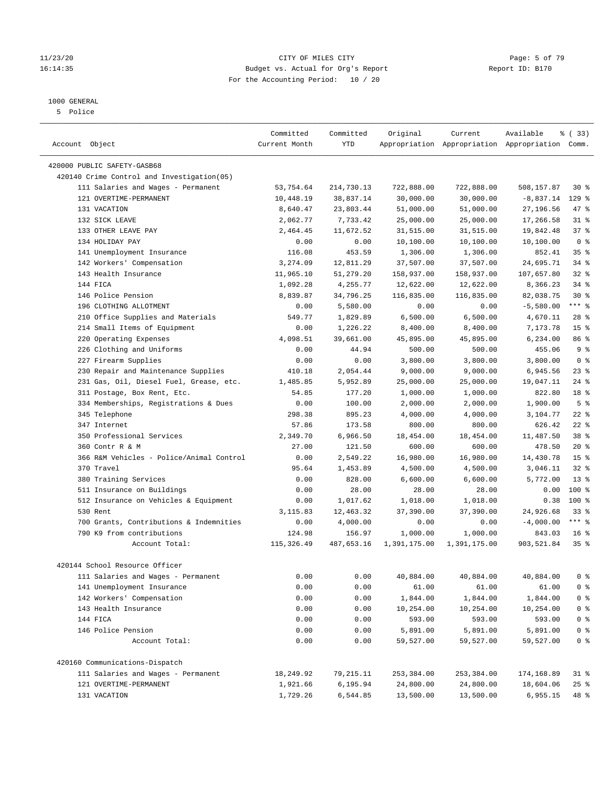#### 11/23/20 CITY OF MILES CITY Page: 5 of 79 16:14:35 Budget vs. Actual for Org's Report Report ID: B170 For the Accounting Period: 10 / 20

————————————————————————————————————————————————————————————————————————————————————————————————————————————————————————————————————

## 1000 GENERAL

5 Police

|                                                                           | Committed     | Committed             | Original               | Current                | Available                                       | % (33)          |
|---------------------------------------------------------------------------|---------------|-----------------------|------------------------|------------------------|-------------------------------------------------|-----------------|
| Account Object                                                            | Current Month | YTD                   |                        |                        | Appropriation Appropriation Appropriation Comm. |                 |
|                                                                           |               |                       |                        |                        |                                                 |                 |
| 420000 PUBLIC SAFETY-GASB68<br>420140 Crime Control and Investigation(05) |               |                       |                        |                        |                                                 |                 |
| 111 Salaries and Wages - Permanent                                        | 53,754.64     | 214,730.13            | 722,888.00             | 722,888.00             | 508,157.87                                      | $30*$           |
| 121 OVERTIME-PERMANENT                                                    | 10,448.19     | 38,837.14             | 30,000.00              | 30,000.00              | $-8,837.14$                                     | $129$ %         |
| 131 VACATION                                                              | 8,640.47      |                       |                        |                        | 27,196.56                                       | 47 %            |
| 132 SICK LEAVE                                                            | 2,062.77      | 23,803.44<br>7,733.42 | 51,000.00              | 51,000.00              |                                                 | $31$ %          |
| 133 OTHER LEAVE PAY                                                       | 2,464.45      | 11,672.52             | 25,000.00<br>31,515.00 | 25,000.00<br>31,515.00 | 17,266.58                                       | 37%             |
| 134 HOLIDAY PAY                                                           | 0.00          |                       | 10,100.00              | 10,100.00              | 19,842.48<br>10,100.00                          | 0 <sup>8</sup>  |
| 141 Unemployment Insurance                                                | 116.08        | 0.00<br>453.59        |                        |                        | 852.41                                          | 35%             |
| 142 Workers' Compensation                                                 | 3,274.09      | 12,811.29             | 1,306.00               | 1,306.00               | 24,695.71                                       | $34$ %          |
| 143 Health Insurance                                                      |               |                       | 37,507.00              | 37,507.00              |                                                 |                 |
|                                                                           | 11,965.10     | 51,279.20             | 158,937.00             | 158,937.00             | 107,657.80                                      | $32$ $%$        |
| 144 FICA                                                                  | 1,092.28      | 4,255.77              | 12,622.00              | 12,622.00              | 8,366.23                                        | $34$ $%$        |
| 146 Police Pension                                                        | 8,839.87      | 34,796.25             | 116,835.00             | 116,835.00             | 82,038.75                                       | $30*$           |
| 196 CLOTHING ALLOTMENT                                                    | 0.00          | 5,580.00              | 0.00                   | 0.00                   | $-5,580.00$                                     | *** 응           |
| 210 Office Supplies and Materials                                         | 549.77        | 1,829.89              | 6,500.00               | 6,500.00               | 4,670.11                                        | $28$ %          |
| 214 Small Items of Equipment                                              | 0.00          | 1,226.22              | 8,400.00               | 8,400.00               | 7,173.78                                        | 15 <sup>°</sup> |
| 220 Operating Expenses                                                    | 4,098.51      | 39,661.00             | 45,895.00              | 45,895.00              | 6,234.00                                        | 86 %            |
| 226 Clothing and Uniforms                                                 | 0.00          | 44.94                 | 500.00                 | 500.00                 | 455.06                                          | 9 <sup>°</sup>  |
| 227 Firearm Supplies                                                      | 0.00          | 0.00                  | 3,800.00               | 3,800.00               | 3,800.00                                        | 0 <sup>8</sup>  |
| 230 Repair and Maintenance Supplies                                       | 410.18        | 2,054.44              | 9,000.00               | 9,000.00               | 6,945.56                                        | $23$ %          |
| 231 Gas, Oil, Diesel Fuel, Grease, etc.                                   | 1,485.85      | 5,952.89              | 25,000.00              | 25,000.00              | 19,047.11                                       | $24$ %          |
| 311 Postage, Box Rent, Etc.                                               | 54.85         | 177.20                | 1,000.00               | 1,000.00               | 822.80                                          | 18 %            |
| 334 Memberships, Registrations & Dues                                     | 0.00          | 100.00                | 2,000.00               | 2,000.00               | 1,900.00                                        | 5 <sup>°</sup>  |
| 345 Telephone                                                             | 298.38        | 895.23                | 4,000.00               | 4,000.00               | 3,104.77                                        | $22$ %          |
| 347 Internet                                                              | 57.86         | 173.58                | 800.00                 | 800.00                 | 626.42                                          | $22$ %          |
| 350 Professional Services                                                 | 2,349.70      | 6,966.50              | 18,454.00              | 18,454.00              | 11,487.50                                       | 38 <sup>8</sup> |
| 360 Contr R & M                                                           | 27.00         | 121.50                | 600.00                 | 600.00                 | 478.50                                          | $20*$           |
| 366 R&M Vehicles - Police/Animal Control                                  | 0.00          | 2,549.22              | 16,980.00              | 16,980.00              | 14,430.78                                       | 15 <sup>°</sup> |
| 370 Travel                                                                | 95.64         | 1,453.89              | 4,500.00               | 4,500.00               | 3,046.11                                        | $32$ $%$        |
| 380 Training Services                                                     | 0.00          | 828.00                | 6,600.00               | 6,600.00               | 5,772.00                                        | $13*$           |
| 511 Insurance on Buildings                                                | 0.00          | 28.00                 | 28.00                  | 28.00                  | 0.00                                            | 100 %           |
| 512 Insurance on Vehicles & Equipment                                     | 0.00          | 1,017.62              | 1,018.00               | 1,018.00               | 0.38                                            | 100%            |
| 530 Rent                                                                  | 3,115.83      | 12,463.32             | 37,390.00              | 37,390.00              | 24,926.68                                       | $33$ $%$        |
| 700 Grants, Contributions & Indemnities                                   | 0.00          | 4,000.00              | 0.00                   | 0.00                   | $-4,000.00$                                     | *** %           |
| 790 K9 from contributions                                                 | 124.98        | 156.97                | 1,000.00               | 1,000.00               | 843.03                                          | 16 <sup>8</sup> |
| Account Total:                                                            | 115,326.49    | 487,653.16            | 1,391,175.00           | 1,391,175.00           | 903,521.84                                      | 35%             |
| 420144 School Resource Officer                                            |               |                       |                        |                        |                                                 |                 |
| 111 Salaries and Wages - Permanent                                        | 0.00          | 0.00                  | 40,884.00              | 40,884.00              | 40,884.00                                       | 0 <sup>8</sup>  |
| 141 Unemployment Insurance                                                | 0.00          | 0.00                  | 61.00                  | 61.00                  | 61.00                                           | 0 <sup>8</sup>  |
| 142 Workers' Compensation                                                 | 0.00          | 0.00                  | 1,844.00               | 1,844.00               | 1,844.00                                        | 0 <sup>8</sup>  |
| 143 Health Insurance                                                      | 0.00          | 0.00                  | 10,254.00              | 10,254.00              | 10,254.00                                       | $0$ %           |
| 144 FICA                                                                  | 0.00          | 0.00                  | 593.00                 | 593.00                 | 593.00                                          | $0$ %           |
| 146 Police Pension                                                        | 0.00          | 0.00                  | 5,891.00               | 5,891.00               | 5,891.00                                        | $0$ %           |
| Account Total:                                                            | 0.00          | 0.00                  | 59,527.00              | 59,527.00              | 59,527.00                                       | $0$ %           |
| 420160 Communications-Dispatch                                            |               |                       |                        |                        |                                                 |                 |
| 111 Salaries and Wages - Permanent                                        | 18,249.92     |                       | 253,384.00             | 253,384.00             | 174,168.89                                      |                 |
|                                                                           |               | 79,215.11             |                        |                        |                                                 | 31 %            |
| 121 OVERTIME-PERMANENT                                                    | 1,921.66      | 6,195.94              | 24,800.00              | 24,800.00              | 18,604.06                                       | $25$ %          |
| 131 VACATION                                                              | 1,729.26      | 6,544.85              | 13,500.00              | 13,500.00              | 6,955.15                                        | 48 %            |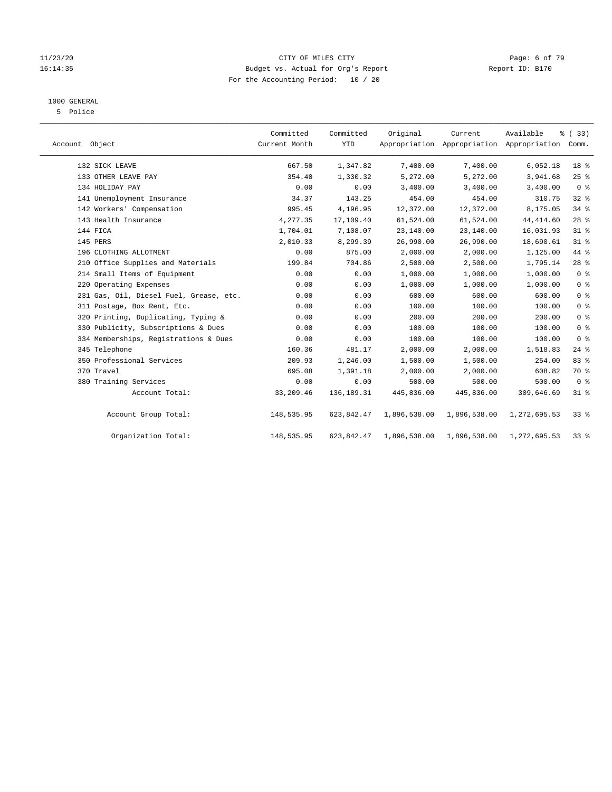#### 11/23/20 CITY OF MILES CITY Page: 6 of 79 16:14:35 Budget vs. Actual for Org's Report Report ID: B170 For the Accounting Period: 10 / 20

# 1000 GENERAL

5 Police

| Account Object                          | Committed<br>Current Month | Committed<br><b>YTD</b> | Original     | Current      | Available<br>Appropriation Appropriation Appropriation Comm. | % (33)         |
|-----------------------------------------|----------------------------|-------------------------|--------------|--------------|--------------------------------------------------------------|----------------|
| 132 SICK LEAVE                          | 667.50                     | 1,347.82                | 7,400.00     | 7,400.00     | 6,052.18                                                     | 18 %           |
| 133 OTHER LEAVE PAY                     | 354.40                     | 1,330.32                | 5,272.00     | 5,272.00     | 3,941.68                                                     | 25%            |
| 134 HOLIDAY PAY                         | 0.00                       | 0.00                    | 3,400.00     | 3,400.00     | 3,400.00                                                     | 0 <sup>8</sup> |
| 141 Unemployment Insurance              | 34.37                      | 143.25                  | 454.00       | 454.00       | 310.75                                                       | $32$ $%$       |
| 142 Workers' Compensation               | 995.45                     | 4,196.95                | 12,372.00    | 12,372.00    | 8,175.05                                                     | $34$ $%$       |
| 143 Health Insurance                    | 4,277.35                   | 17,109.40               | 61,524.00    | 61,524.00    | 44, 414.60                                                   | $28$ %         |
| 144 FICA                                | 1,704.01                   | 7,108.07                | 23,140.00    | 23,140.00    | 16,031.93                                                    | $31$ %         |
| 145 PERS                                | 2,010.33                   | 8,299.39                | 26,990.00    | 26,990.00    | 18,690.61                                                    | $31$ %         |
| 196 CLOTHING ALLOTMENT                  | 0.00                       | 875.00                  | 2,000.00     | 2,000.00     | 1,125.00                                                     | 44 %           |
| 210 Office Supplies and Materials       | 199.84                     | 704.86                  | 2,500.00     | 2,500.00     | 1,795.14                                                     | $28$ %         |
| 214 Small Items of Equipment            | 0.00                       | 0.00                    | 1,000.00     | 1,000.00     | 1,000.00                                                     | 0 <sup>8</sup> |
| 220 Operating Expenses                  | 0.00                       | 0.00                    | 1,000.00     | 1,000.00     | 1,000.00                                                     | 0 <sup>8</sup> |
| 231 Gas, Oil, Diesel Fuel, Grease, etc. | 0.00                       | 0.00                    | 600.00       | 600.00       | 600.00                                                       | 0 <sup>8</sup> |
| 311 Postage, Box Rent, Etc.             | 0.00                       | 0.00                    | 100.00       | 100.00       | 100.00                                                       | 0 <sup>8</sup> |
| 320 Printing, Duplicating, Typing &     | 0.00                       | 0.00                    | 200.00       | 200.00       | 200.00                                                       | 0 <sup>8</sup> |
| 330 Publicity, Subscriptions & Dues     | 0.00                       | 0.00                    | 100.00       | 100.00       | 100.00                                                       | 0 <sup>8</sup> |
| 334 Memberships, Registrations & Dues   | 0.00                       | 0.00                    | 100.00       | 100.00       | 100.00                                                       | 0 <sup>8</sup> |
| 345 Telephone                           | 160.36                     | 481.17                  | 2,000.00     | 2,000.00     | 1,518.83                                                     | $24$ $%$       |
| 350 Professional Services               | 209.93                     | 1,246.00                | 1,500.00     | 1,500.00     | 254.00                                                       | 83 %           |
| 370 Travel                              | 695.08                     | 1,391.18                | 2,000.00     | 2,000.00     | 608.82                                                       | 70 %           |
| 380 Training Services                   | 0.00                       | 0.00                    | 500.00       | 500.00       | 500.00                                                       | 0 <sup>8</sup> |
| Account Total:                          | 33,209.46                  | 136,189.31              | 445,836.00   | 445,836.00   | 309,646.69                                                   | $31$ %         |
| Account Group Total:                    | 148,535.95                 | 623,842.47              | 1,896,538.00 | 1,896,538.00 | 1,272,695.53                                                 | $33$ $%$       |
| Organization Total:                     | 148,535.95                 | 623,842.47              | 1,896,538.00 | 1,896,538.00 | 1,272,695.53                                                 | $33$ $%$       |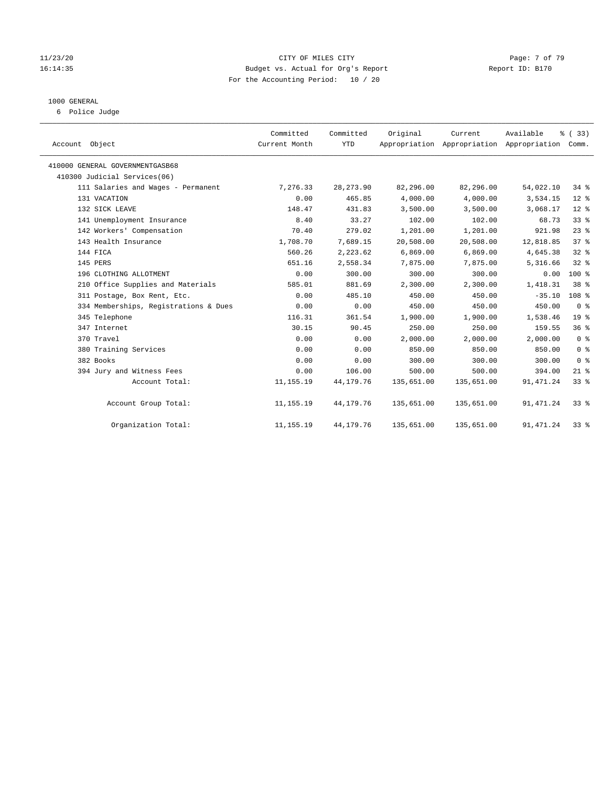#### 11/23/20 CITY OF MILES CITY Page: 7 of 79 16:14:35 Budget vs. Actual for Org's Report Report ID: B170 For the Accounting Period: 10 / 20

#### 1000 GENERAL

6 Police Judge

| Account Object                        | Committed<br>Current Month | Committed<br><b>YTD</b> | Original   | Current<br>Appropriation Appropriation Appropriation Comm. | Available  | % (33)           |
|---------------------------------------|----------------------------|-------------------------|------------|------------------------------------------------------------|------------|------------------|
|                                       |                            |                         |            |                                                            |            |                  |
| 410000 GENERAL GOVERNMENTGASB68       |                            |                         |            |                                                            |            |                  |
| 410300 Judicial Services(06)          |                            |                         |            |                                                            |            |                  |
| 111 Salaries and Wages - Permanent    | 7,276.33                   | 28, 273.90              | 82,296.00  | 82,296.00                                                  | 54,022.10  | 34.8             |
| 131 VACATION                          | 0.00                       | 465.85                  | 4,000.00   | 4,000.00                                                   | 3,534.15   | $12*$            |
| 132 SICK LEAVE                        | 148.47                     | 431.83                  | 3,500.00   | 3,500.00                                                   | 3,068.17   | $12*$            |
| 141 Unemployment Insurance            | 8.40                       | 33.27                   | 102.00     | 102.00                                                     | 68.73      | 33%              |
| 142 Workers' Compensation             | 70.40                      | 279.02                  | 1,201.00   | 1,201.00                                                   | 921.98     | $23$ $%$         |
| 143 Health Insurance                  | 1,708.70                   | 7,689.15                | 20,508.00  | 20,508.00                                                  | 12,818.85  | 37 <sup>8</sup>  |
| 144 FICA                              | 560.26                     | 2,223.62                | 6,869.00   | 6,869.00                                                   | 4,645.38   | 328              |
| 145 PERS                              | 651.16                     | 2,558.34                | 7,875.00   | 7,875.00                                                   | 5,316.66   | 32%              |
| 196 CLOTHING ALLOTMENT                | 0.00                       | 300.00                  | 300.00     | 300.00                                                     | 0.00       | 100%             |
| 210 Office Supplies and Materials     | 585.01                     | 881.69                  | 2,300.00   | 2,300.00                                                   | 1,418.31   | 38 <sup>8</sup>  |
| 311 Postage, Box Rent, Etc.           | 0.00                       | 485.10                  | 450.00     | 450.00                                                     | $-35.10$   | 108 <sup>8</sup> |
| 334 Memberships, Registrations & Dues | 0.00                       | 0.00                    | 450.00     | 450.00                                                     | 450.00     | 0 <sup>8</sup>   |
| 345 Telephone                         | 116.31                     | 361.54                  | 1,900.00   | 1,900.00                                                   | 1,538.46   | 19 <sup>°</sup>  |
| 347 Internet                          | 30.15                      | 90.45                   | 250.00     | 250.00                                                     | 159.55     | 36%              |
| 370 Travel                            | 0.00                       | 0.00                    | 2,000.00   | 2,000.00                                                   | 2,000.00   | 0 <sup>8</sup>   |
| 380 Training Services                 | 0.00                       | 0.00                    | 850.00     | 850.00                                                     | 850.00     | 0 <sup>8</sup>   |
| 382 Books                             | 0.00                       | 0.00                    | 300.00     | 300.00                                                     | 300.00     | 0 <sup>8</sup>   |
| 394 Jury and Witness Fees             | 0.00                       | 106.00                  | 500.00     | 500.00                                                     | 394.00     | $21$ %           |
| Account Total:                        | 11, 155. 19                | 44,179.76               | 135,651.00 | 135,651.00                                                 | 91, 471.24 | 33 <sup>8</sup>  |
| Account Group Total:                  | 11, 155. 19                | 44,179.76               | 135,651.00 | 135,651.00                                                 | 91, 471.24 | $33*$            |
| Organization Total:                   | 11, 155. 19                | 44,179.76               | 135,651.00 | 135,651.00                                                 | 91, 471.24 | $33*$            |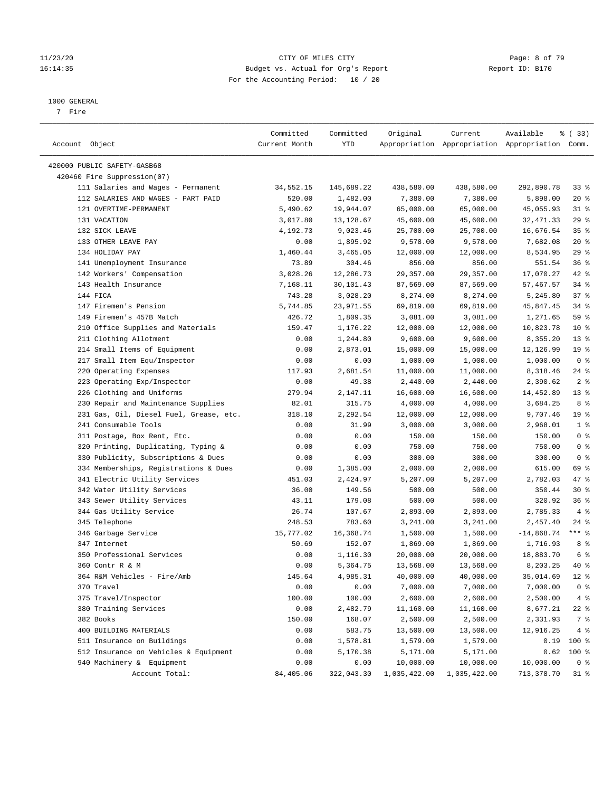#### 11/23/20 CITY OF MILES CITY Page: 8 of 79 16:14:35 Budget vs. Actual for Org's Report Report ID: B170 For the Accounting Period: 10 / 20

————————————————————————————————————————————————————————————————————————————————————————————————————————————————————————————————————

#### 1000 GENERAL

7 Fire

|                                         | Committed     | Committed  | Original     | Current      | Available                                       | % (33)          |
|-----------------------------------------|---------------|------------|--------------|--------------|-------------------------------------------------|-----------------|
| Account Object                          | Current Month | YTD        |              |              | Appropriation Appropriation Appropriation Comm. |                 |
| 420000 PUBLIC SAFETY-GASB68             |               |            |              |              |                                                 |                 |
| 420460 Fire Suppression(07)             |               |            |              |              |                                                 |                 |
| 111 Salaries and Wages - Permanent      | 34,552.15     | 145,689.22 | 438,580.00   | 438,580.00   | 292,890.78                                      | 33%             |
| 112 SALARIES AND WAGES - PART PAID      | 520.00        | 1,482.00   | 7,380.00     | 7,380.00     | 5,898.00                                        | $20*$           |
| 121 OVERTIME-PERMANENT                  | 5,490.62      | 19,944.07  | 65,000.00    | 65,000.00    | 45,055.93                                       | 31 %            |
| 131 VACATION                            | 3,017.80      | 13,128.67  | 45,600.00    | 45,600.00    | 32, 471.33                                      | $29$ %          |
| 132 SICK LEAVE                          | 4,192.73      | 9,023.46   | 25,700.00    | 25,700.00    | 16,676.54                                       | 35%             |
| 133 OTHER LEAVE PAY                     | 0.00          | 1,895.92   | 9,578.00     | 9,578.00     | 7,682.08                                        | $20*$           |
| 134 HOLIDAY PAY                         | 1,460.44      | 3,465.05   | 12,000.00    | 12,000.00    | 8,534.95                                        | 29%             |
| 141 Unemployment Insurance              | 73.89         | 304.46     | 856.00       | 856.00       | 551.54                                          | 36%             |
|                                         |               |            |              |              |                                                 | $42$ %          |
| 142 Workers' Compensation               | 3,028.26      | 12,286.73  | 29,357.00    | 29,357.00    | 17,070.27                                       |                 |
| 143 Health Insurance                    | 7,168.11      | 30,101.43  | 87,569.00    | 87,569.00    | 57,467.57                                       | $34$ $%$        |
| 144 FICA                                | 743.28        | 3,028.20   | 8,274.00     | 8,274.00     | 5,245.80                                        | 37%             |
| 147 Firemen's Pension                   | 5,744.85      | 23,971.55  | 69,819.00    | 69,819.00    | 45,847.45                                       | $34$ $%$        |
| 149 Firemen's 457B Match                | 426.72        | 1,809.35   | 3,081.00     | 3,081.00     | 1,271.65                                        | 59 %            |
| 210 Office Supplies and Materials       | 159.47        | 1,176.22   | 12,000.00    | 12,000.00    | 10,823.78                                       | $10*$           |
| 211 Clothing Allotment                  | 0.00          | 1,244.80   | 9,600.00     | 9,600.00     | 8,355.20                                        | $13*$           |
| 214 Small Items of Equipment            | 0.00          | 2,873.01   | 15,000.00    | 15,000.00    | 12,126.99                                       | 19 <sup>°</sup> |
| 217 Small Item Equ/Inspector            | 0.00          | 0.00       | 1,000.00     | 1,000.00     | 1,000.00                                        | 0 <sup>8</sup>  |
| 220 Operating Expenses                  | 117.93        | 2,681.54   | 11,000.00    | 11,000.00    | 8,318.46                                        | $24$ %          |
| 223 Operating Exp/Inspector             | 0.00          | 49.38      | 2,440.00     | 2,440.00     | 2,390.62                                        | 2 <sup>8</sup>  |
| 226 Clothing and Uniforms               | 279.94        | 2,147.11   | 16,600.00    | 16,600.00    | 14,452.89                                       | 13 <sup>°</sup> |
| 230 Repair and Maintenance Supplies     | 82.01         | 315.75     | 4,000.00     | 4,000.00     | 3,684.25                                        | 8%              |
| 231 Gas, Oil, Diesel Fuel, Grease, etc. | 318.10        | 2,292.54   | 12,000.00    | 12,000.00    | 9,707.46                                        | 19 <sup>°</sup> |
| 241 Consumable Tools                    | 0.00          | 31.99      | 3,000.00     | 3,000.00     | 2,968.01                                        | 1 <sup>8</sup>  |
| 311 Postage, Box Rent, Etc.             | 0.00          | 0.00       | 150.00       | 150.00       | 150.00                                          | 0 <sup>8</sup>  |
| 320 Printing, Duplicating, Typing &     | 0.00          | 0.00       | 750.00       | 750.00       | 750.00                                          | 0 <sup>8</sup>  |
| 330 Publicity, Subscriptions & Dues     | 0.00          | 0.00       | 300.00       | 300.00       | 300.00                                          | 0 <sup>8</sup>  |
| 334 Memberships, Registrations & Dues   | 0.00          | 1,385.00   | 2,000.00     | 2,000.00     | 615.00                                          | 69 %            |
| 341 Electric Utility Services           | 451.03        | 2,424.97   | 5,207.00     | 5,207.00     | 2,782.03                                        | 47 %            |
| 342 Water Utility Services              | 36.00         | 149.56     | 500.00       | 500.00       | 350.44                                          | $30*$           |
| 343 Sewer Utility Services              | 43.11         | 179.08     | 500.00       | 500.00       | 320.92                                          | 36%             |
| 344 Gas Utility Service                 | 26.74         | 107.67     | 2,893.00     | 2,893.00     | 2,785.33                                        | 4%              |
| 345 Telephone                           | 248.53        | 783.60     | 3,241.00     | 3,241.00     | 2,457.40                                        | $24$ %          |
| 346 Garbage Service                     | 15,777.02     | 16,368.74  | 1,500.00     | 1,500.00     | $-14,868.74$                                    | $***$ $_{8}$    |
| 347 Internet                            | 50.69         | 152.07     | 1,869.00     | 1,869.00     | 1,716.93                                        | 8 %             |
| 350 Professional Services               | 0.00          | 1,116.30   | 20,000.00    | 20,000.00    | 18,883.70                                       | 6 %             |
| 360 Contr R & M                         | 0.00          | 5,364.75   | 13,568.00    | 13,568.00    | 8,203.25                                        | $40*$           |
| 364 R&M Vehicles - Fire/Amb             | 145.64        | 4,985.31   | 40,000.00    | 40,000.00    | 35,014.69                                       | $12$ %          |
| 370 Travel                              | 0.00          | 0.00       | 7,000.00     | 7,000.00     | 7,000.00                                        | 0 <sup>8</sup>  |
| 375 Travel/Inspector                    | 100.00        | 100.00     | 2,600.00     | 2,600.00     | 2,500.00                                        | 4%              |
| 380 Training Services                   | 0.00          | 2,482.79   | 11,160.00    | 11,160.00    | 8,677.21                                        | 22 %            |
| 382 Books                               | 150.00        | 168.07     | 2,500.00     | 2,500.00     | 2,331.93                                        | 7 %             |
| 400 BUILDING MATERIALS                  | 0.00          | 583.75     | 13,500.00    | 13,500.00    | 12,916.25                                       | 4%              |
| 511 Insurance on Buildings              | 0.00          | 1,578.81   | 1,579.00     | 1,579.00     | 0.19                                            | 100 %           |
| 512 Insurance on Vehicles & Equipment   | 0.00          | 5,170.38   | 5,171.00     | 5,171.00     | 0.62                                            | $100$ %         |
| 940 Machinery & Equipment               | 0.00          | 0.00       | 10,000.00    | 10,000.00    | 10,000.00                                       | 0 <sup>8</sup>  |
| Account Total:                          | 84,405.06     | 322,043.30 | 1,035,422.00 | 1,035,422.00 | 713,378.70                                      | $31$ %          |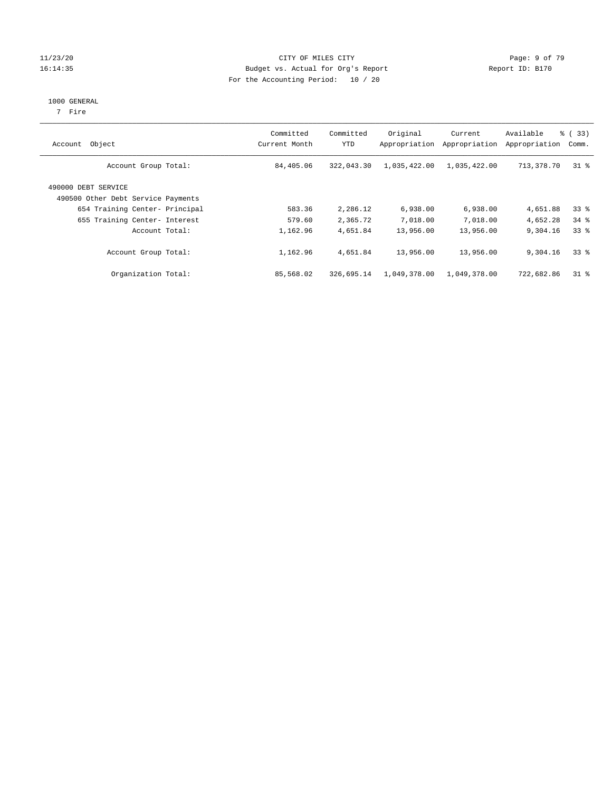#### 11/23/20 CITY OF MILES CITY Page: 9 of 79 16:14:35 Budget vs. Actual for Org's Report Report ID: B170 For the Accounting Period: 10 / 20

#### 1000 GENERAL

7 Fire

| Object<br>Account                                         | Committed<br>Current Month | Committed<br><b>YTD</b> | Original<br>Appropriation | Current<br>Appropriation | Available<br>Appropriation | % (33)<br>Comm. |
|-----------------------------------------------------------|----------------------------|-------------------------|---------------------------|--------------------------|----------------------------|-----------------|
| Account Group Total:                                      | 84,405.06                  | 322,043.30              | 1,035,422.00              | 1,035,422.00             | 713,378.70                 | $31*$           |
| 490000 DEBT SERVICE<br>490500 Other Debt Service Payments |                            |                         |                           |                          |                            |                 |
| 654 Training Center- Principal                            | 583.36                     | 2,286.12                | 6,938.00                  | 6,938.00                 | 4,651.88                   | 33 <sup>8</sup> |
| 655 Training Center- Interest                             | 579.60                     | 2,365.72                | 7,018.00                  | 7,018.00                 | 4,652.28                   | $34$ $%$        |
| Account Total:                                            | 1,162.96                   | 4,651.84                | 13,956.00                 | 13,956.00                | 9,304.16                   | 338             |
| Account Group Total:                                      | 1,162.96                   | 4,651.84                | 13,956.00                 | 13,956.00                | 9,304.16                   | 338             |
| Organization Total:                                       | 85,568.02                  | 326,695.14              | 1,049,378.00              | 1,049,378.00             | 722,682.86                 | $31$ %          |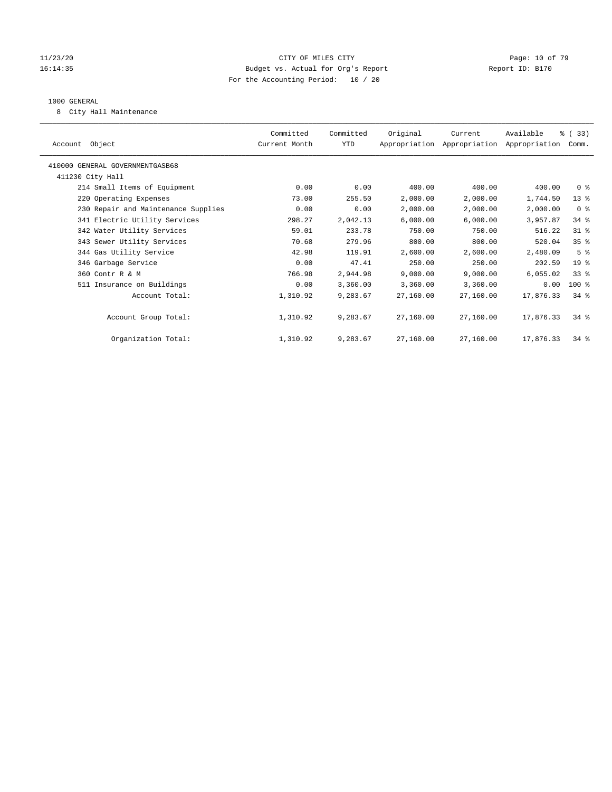#### 11/23/20 Page: 10 of 79 16:14:35 Budget vs. Actual for Org's Report Report ID: B170 For the Accounting Period: 10 / 20

#### 1000 GENERAL

8 City Hall Maintenance

| Account Object                      | Committed<br>Current Month | Committed<br>YTD | Original  | Current<br>Appropriation Appropriation Appropriation | Available | % (33)<br>Comm. |
|-------------------------------------|----------------------------|------------------|-----------|------------------------------------------------------|-----------|-----------------|
|                                     |                            |                  |           |                                                      |           |                 |
| 410000 GENERAL GOVERNMENTGASB68     |                            |                  |           |                                                      |           |                 |
| 411230 City Hall                    |                            |                  |           |                                                      |           |                 |
| 214 Small Items of Equipment        | 0.00                       | 0.00             | 400.00    | 400.00                                               | 400.00    | 0 <sup>8</sup>  |
| 220 Operating Expenses              | 73.00                      | 255.50           | 2,000.00  | 2,000.00                                             | 1,744.50  | $13*$           |
| 230 Repair and Maintenance Supplies | 0.00                       | 0.00             | 2,000.00  | 2,000.00                                             | 2,000.00  | 0 <sup>8</sup>  |
| 341 Electric Utility Services       | 298.27                     | 2,042.13         | 6,000.00  | 6,000.00                                             | 3,957.87  | $34$ $%$        |
| 342 Water Utility Services          | 59.01                      | 233.78           | 750.00    | 750.00                                               | 516.22    | $31$ %          |
| 343 Sewer Utility Services          | 70.68                      | 279.96           | 800.00    | 800.00                                               | 520.04    | 35 <sup>8</sup> |
| 344 Gas Utility Service             | 42.98                      | 119.91           | 2,600.00  | 2,600.00                                             | 2,480.09  | 5 <sup>8</sup>  |
| 346 Garbage Service                 | 0.00                       | 47.41            | 250.00    | 250.00                                               | 202.59    | $19*$           |
| 360 Contr R & M                     | 766.98                     | 2,944.98         | 9.000.00  | 9,000.00                                             | 6,055.02  | 33 <sup>8</sup> |
| 511 Insurance on Buildings          | 0.00                       | 3,360.00         | 3,360.00  | 3,360.00                                             | 0.00      | $100$ %         |
| Account Total:                      | 1,310.92                   | 9,283.67         | 27,160.00 | 27,160.00                                            | 17,876.33 | $34*$           |
|                                     |                            |                  |           |                                                      |           |                 |
| Account Group Total:                | 1,310.92                   | 9,283.67         | 27,160.00 | 27,160.00                                            | 17,876.33 | $34*$           |
|                                     |                            |                  |           |                                                      |           |                 |
| Organization Total:                 | 1,310.92                   | 9,283.67         | 27,160.00 | 27,160.00                                            | 17,876.33 | $34$ $%$        |
|                                     |                            |                  |           |                                                      |           |                 |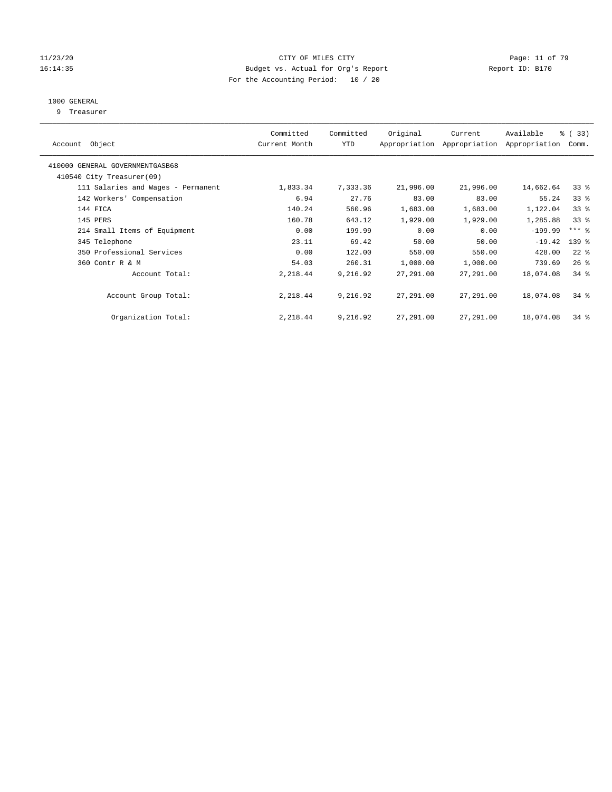#### 11/23/20 Page: 11 of 79 16:14:35 Budget vs. Actual for Org's Report Report ID: B170 For the Accounting Period: 10 / 20

## 1000 GENERAL

9 Treasurer

| Object<br>Account                  | Committed<br>Current Month | Committed<br><b>YTD</b> | Original  | Current<br>Appropriation Appropriation | Available<br>Appropriation | % (33)<br>Comm.     |
|------------------------------------|----------------------------|-------------------------|-----------|----------------------------------------|----------------------------|---------------------|
| 410000 GENERAL GOVERNMENTGASB68    |                            |                         |           |                                        |                            |                     |
| 410540 City Treasurer(09)          |                            |                         |           |                                        |                            |                     |
| 111 Salaries and Wages - Permanent | 1,833.34                   | 7,333.36                | 21,996.00 | 21,996.00                              | 14,662.64                  | 33 <sup>8</sup>     |
| 142 Workers' Compensation          | 6.94                       | 27.76                   | 83.00     | 83.00                                  | 55.24                      | 33 <sup>8</sup>     |
| 144 FICA                           | 140.24                     | 560.96                  | 1,683.00  | 1,683.00                               | 1,122.04                   | 33 <sup>8</sup>     |
| 145 PERS                           | 160.78                     | 643.12                  | 1,929.00  | 1,929.00                               | 1,285.88                   | 33 <sup>8</sup>     |
| 214 Small Items of Equipment       | 0.00                       | 199.99                  | 0.00      | 0.00                                   | $-199.99$                  | $***$ $\frac{6}{5}$ |
| 345 Telephone                      | 23.11                      | 69.42                   | 50.00     | 50.00                                  | $-19.42$                   | 139 %               |
| 350 Professional Services          | 0.00                       | 122.00                  | 550.00    | 550.00                                 | 428.00                     | $22$ %              |
| 360 Contr R & M                    | 54.03                      | 260.31                  | 1,000.00  | 1,000.00                               | 739.69                     | $26$ %              |
| Account Total:                     | 2,218.44                   | 9,216.92                | 27,291.00 | 27,291.00                              | 18,074.08                  | 34.8                |
| Account Group Total:               | 2,218.44                   | 9,216.92                | 27,291.00 | 27,291.00                              | 18,074.08                  | 34.8                |
| Organization Total:                | 2,218.44                   | 9,216.92                | 27,291.00 | 27,291.00                              | 18,074.08                  | 34.8                |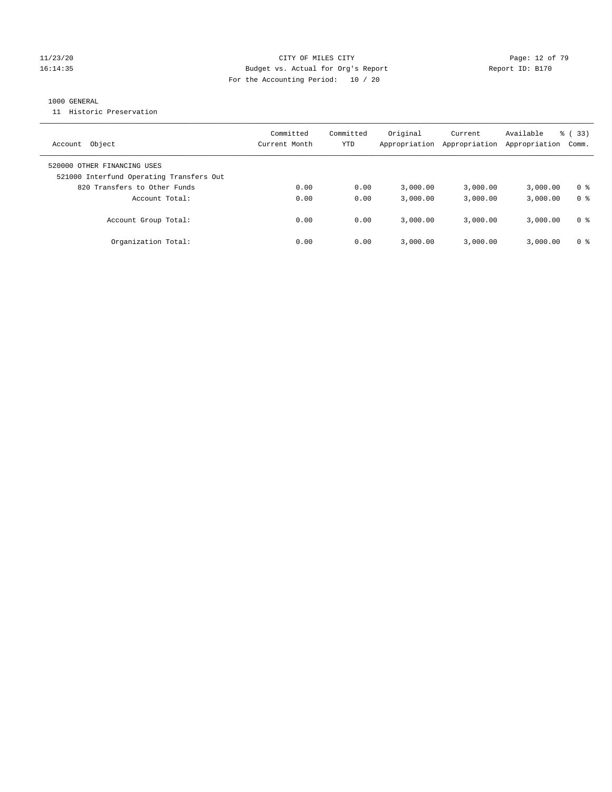#### 11/23/20 Page: 12 of 79 16:14:35 Budget vs. Actual for Org's Report Report ID: B170 For the Accounting Period: 10 / 20

#### 1000 GENERAL

11 Historic Preservation

| Object<br>Account                                                       | Committed<br>Current Month | Committed<br>YTD | Original<br>Appropriation | Current<br>Appropriation | Available<br>Appropriation | $\frac{6}{6}$ (33)<br>Comm. |
|-------------------------------------------------------------------------|----------------------------|------------------|---------------------------|--------------------------|----------------------------|-----------------------------|
| 520000 OTHER FINANCING USES<br>521000 Interfund Operating Transfers Out |                            |                  |                           |                          |                            |                             |
| 820 Transfers to Other Funds                                            | 0.00                       | 0.00             | 3.000.00                  | 3,000.00                 | 3,000.00                   | 0 %                         |
| Account Total:                                                          | 0.00                       | 0.00             | 3,000.00                  | 3,000.00                 | 3,000.00                   | 0 <sup>8</sup>              |
| Account Group Total:                                                    | 0.00                       | 0.00             | 3.000.00                  | 3,000.00                 | 3,000.00                   | 0 %                         |
| Organization Total:                                                     | 0.00                       | 0.00             | 3.000.00                  | 3,000.00                 | 3,000.00                   | 0 %                         |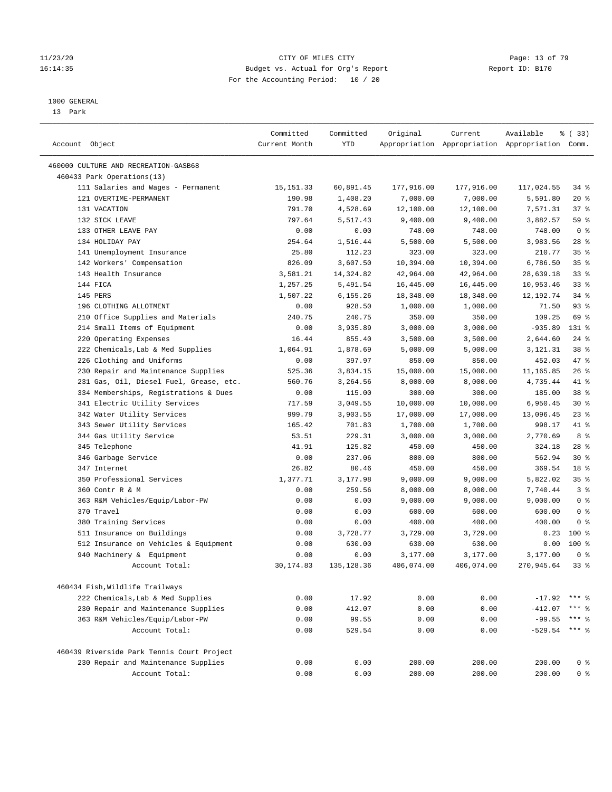#### 11/23/20 Page: 13 of 79 16:14:35 Budget vs. Actual for Org's Report Report ID: B170 For the Accounting Period: 10 / 20

————————————————————————————————————————————————————————————————————————————————————————————————————————————————————————————————————

#### 1000 GENERAL

13 Park

|                                            | Committed     | Committed   | Original   | Current    | Available                                       | 8 (33)          |
|--------------------------------------------|---------------|-------------|------------|------------|-------------------------------------------------|-----------------|
| Account Object                             | Current Month | <b>YTD</b>  |            |            | Appropriation Appropriation Appropriation Comm. |                 |
| 460000 CULTURE AND RECREATION-GASB68       |               |             |            |            |                                                 |                 |
| 460433 Park Operations(13)                 |               |             |            |            |                                                 |                 |
| 111 Salaries and Wages - Permanent         | 15, 151.33    | 60,891.45   | 177,916.00 | 177,916.00 | 117,024.55                                      | $34$ $%$        |
| 121 OVERTIME-PERMANENT                     | 190.98        | 1,408.20    | 7,000.00   | 7,000.00   | 5,591.80                                        | $20*$           |
| 131 VACATION                               | 791.70        | 4,528.69    | 12,100.00  | 12,100.00  | 7,571.31                                        | 37%             |
| 132 SICK LEAVE                             | 797.64        | 5,517.43    | 9,400.00   | 9,400.00   | 3,882.57                                        | 59 %            |
| 133 OTHER LEAVE PAY                        | 0.00          | 0.00        | 748.00     | 748.00     | 748.00                                          | 0 <sup>8</sup>  |
| 134 HOLIDAY PAY                            | 254.64        | 1,516.44    | 5,500.00   | 5,500.00   | 3,983.56                                        | $28$ %          |
| 141 Unemployment Insurance                 | 25.80         | 112.23      | 323.00     | 323.00     | 210.77                                          | 35%             |
| 142 Workers' Compensation                  | 826.09        | 3,607.50    | 10,394.00  | 10,394.00  | 6,786.50                                        | 35 <sup>8</sup> |
| 143 Health Insurance                       | 3,581.21      | 14,324.82   | 42,964.00  | 42,964.00  | 28,639.18                                       | $33$ $%$        |
| 144 FICA                                   | 1,257.25      | 5,491.54    | 16,445.00  | 16,445.00  | 10,953.46                                       | $33$ $%$        |
| 145 PERS                                   | 1,507.22      | 6,155.26    | 18,348.00  | 18,348.00  | 12, 192. 74                                     | 34%             |
| 196 CLOTHING ALLOTMENT                     | 0.00          | 928.50      | 1,000.00   | 1,000.00   | 71.50                                           | 93%             |
| 210 Office Supplies and Materials          | 240.75        | 240.75      | 350.00     | 350.00     | 109.25                                          | 69 %            |
| 214 Small Items of Equipment               | 0.00          | 3,935.89    | 3,000.00   | 3,000.00   | $-935.89$                                       | 131 %           |
| 220 Operating Expenses                     | 16.44         | 855.40      | 3,500.00   | 3,500.00   | 2,644.60                                        | $24$ %          |
| 222 Chemicals, Lab & Med Supplies          | 1,064.91      | 1,878.69    | 5,000.00   | 5,000.00   | 3,121.31                                        | 38 %            |
| 226 Clothing and Uniforms                  | 0.00          | 397.97      | 850.00     | 850.00     | 452.03                                          | 47 %            |
| 230 Repair and Maintenance Supplies        | 525.36        | 3,834.15    | 15,000.00  | 15,000.00  | 11,165.85                                       | 26%             |
| 231 Gas, Oil, Diesel Fuel, Grease, etc.    | 560.76        | 3,264.56    | 8,000.00   | 8,000.00   | 4,735.44                                        | 41 %            |
| 334 Memberships, Registrations & Dues      | 0.00          | 115.00      | 300.00     | 300.00     | 185.00                                          | 38 <sup>8</sup> |
| 341 Electric Utility Services              | 717.59        | 3,049.55    | 10,000.00  | 10,000.00  | 6,950.45                                        | $30*$           |
| 342 Water Utility Services                 | 999.79        | 3,903.55    | 17,000.00  | 17,000.00  | 13,096.45                                       | $23$ %          |
| 343 Sewer Utility Services                 | 165.42        | 701.83      | 1,700.00   | 1,700.00   | 998.17                                          | 41 %            |
| 344 Gas Utility Service                    | 53.51         | 229.31      | 3,000.00   | 3,000.00   | 2,770.69                                        | 8 %             |
| 345 Telephone                              | 41.91         | 125.82      | 450.00     | 450.00     | 324.18                                          | $28$ %          |
| 346 Garbage Service                        | 0.00          | 237.06      | 800.00     | 800.00     | 562.94                                          | $30*$           |
| 347 Internet                               | 26.82         | 80.46       | 450.00     | 450.00     | 369.54                                          | 18 <sup>8</sup> |
| 350 Professional Services                  | 1,377.71      | 3,177.98    | 9,000.00   | 9,000.00   | 5,822.02                                        | 35 <sup>8</sup> |
| 360 Contr R & M                            | 0.00          | 259.56      | 8,000.00   | 8,000.00   | 7,740.44                                        | 3 <sup>°</sup>  |
| 363 R&M Vehicles/Equip/Labor-PW            | 0.00          | 0.00        | 9,000.00   | 9,000.00   | 9,000.00                                        | 0 <sup>8</sup>  |
| 370 Travel                                 | 0.00          | 0.00        | 600.00     | 600.00     | 600.00                                          | 0 <sup>8</sup>  |
| 380 Training Services                      | 0.00          | 0.00        | 400.00     | 400.00     | 400.00                                          | 0 <sup>8</sup>  |
| 511 Insurance on Buildings                 | 0.00          | 3,728.77    | 3,729.00   | 3,729.00   | 0.23                                            | $100*$          |
| 512 Insurance on Vehicles & Equipment      | 0.00          | 630.00      | 630.00     | 630.00     | 0.00                                            | $100*$          |
| 940 Machinery & Equipment                  | 0.00          | 0.00        | 3,177.00   | 3,177.00   | 3,177.00                                        | 0 <sup>8</sup>  |
| Account Total:                             | 30, 174.83    | 135, 128.36 | 406,074.00 | 406,074.00 | 270,945.64                                      | $33$ $%$        |
| 460434 Fish, Wildlife Trailways            |               |             |            |            |                                                 |                 |
| 222 Chemicals, Lab & Med Supplies          | 0.00          | 17.92       | 0.00       | 0.00       | $-17.92$                                        | $***$ %         |
| 230 Repair and Maintenance Supplies        | 0.00          | 412.07      | 0.00       | 0.00       | $-412.07$                                       |                 |
| 363 R&M Vehicles/Equip/Labor-PW            | 0.00          | 99.55       | 0.00       | 0.00       | $-99.55$                                        | $***$ $%$       |
| Account Total:                             | 0.00          | 529.54      | 0.00       | 0.00       | $-529.54$                                       | $***$ $-$       |
| 460439 Riverside Park Tennis Court Project |               |             |            |            |                                                 |                 |
| 230 Repair and Maintenance Supplies        | 0.00          | 0.00        | 200.00     | 200.00     | 200.00                                          | 0 <sup>8</sup>  |
| Account Total:                             | 0.00          | 0.00        | 200.00     | 200.00     | 200.00                                          | 0 <sup>8</sup>  |
|                                            |               |             |            |            |                                                 |                 |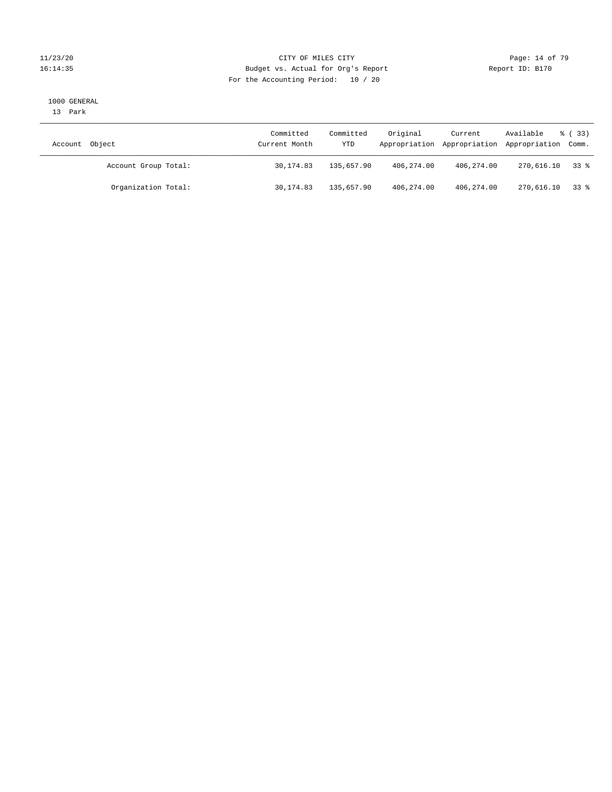#### 11/23/20 Page: 14 of 79 16:14:35 Budget vs. Actual for Org's Report Report ID: B170 For the Accounting Period: 10 / 20

#### 1000 GENERAL

13 Park

| Account Object       | Committed<br>Current Month | Committed<br>YTD | Original   | Current    | Available<br>Appropriation Appropriation Appropriation Comm. | $\frac{6}{6}$ (33) |
|----------------------|----------------------------|------------------|------------|------------|--------------------------------------------------------------|--------------------|
| Account Group Total: | 30,174.83                  | 135,657.90       | 406,274.00 | 406,274.00 | 270,616.10                                                   | 33 å               |
| Organization Total:  | 30,174.83                  | 135,657.90       | 406,274.00 | 406,274.00 | 270,616.10 33 %                                              |                    |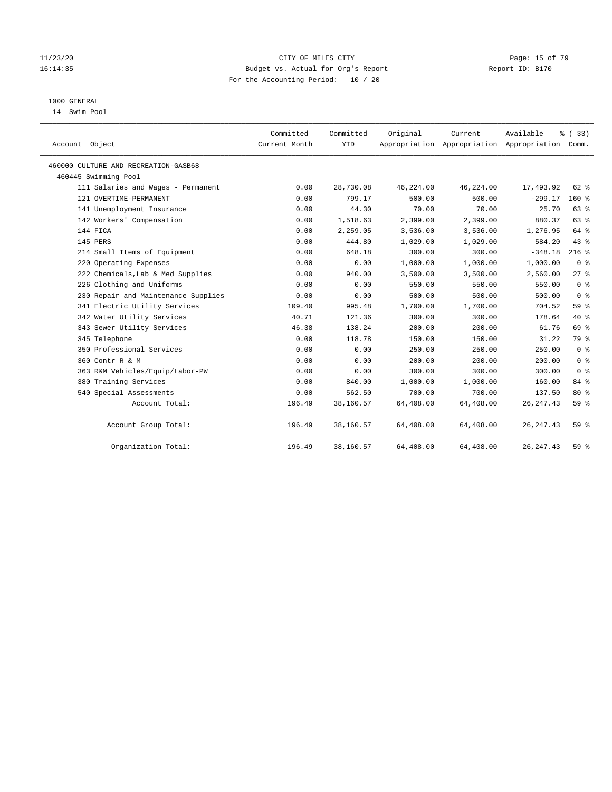#### 11/23/20 Page: 15 of 79 16:14:35 Budget vs. Actual for Org's Report Report ID: B170 For the Accounting Period: 10 / 20

# 1000 GENERAL

14 Swim Pool

| Account Object                       | Committed<br>Current Month | Committed<br><b>YTD</b> | Original  | Current<br>Appropriation Appropriation Appropriation | Available  | % (33)<br>Comm. |
|--------------------------------------|----------------------------|-------------------------|-----------|------------------------------------------------------|------------|-----------------|
| 460000 CULTURE AND RECREATION-GASB68 |                            |                         |           |                                                      |            |                 |
| 460445 Swimming Pool                 |                            |                         |           |                                                      |            |                 |
| 111 Salaries and Wages - Permanent   | 0.00                       | 28,730.08               | 46,224.00 | 46,224.00                                            | 17,493.92  | $62$ $%$        |
| 121 OVERTIME-PERMANENT               | 0.00                       | 799.17                  | 500.00    | 500.00                                               | $-299.17$  | 160%            |
| 141 Unemployment Insurance           | 0.00                       | 44.30                   | 70.00     | 70.00                                                | 25.70      | 63 %            |
| 142 Workers' Compensation            | 0.00                       | 1,518.63                | 2,399.00  | 2,399.00                                             | 880.37     | 63 %            |
| 144 FICA                             | 0.00                       | 2,259.05                | 3,536.00  | 3,536.00                                             | 1,276.95   | 64 %            |
| 145 PERS                             | 0.00                       | 444.80                  | 1,029.00  | 1,029.00                                             | 584.20     | 43 %            |
| 214 Small Items of Equipment         | 0.00                       | 648.18                  | 300.00    | 300.00                                               | $-348.18$  | $216$ %         |
| 220 Operating Expenses               | 0.00                       | 0.00                    | 1,000.00  | 1,000.00                                             | 1,000.00   | 0 <sup>8</sup>  |
| 222 Chemicals, Lab & Med Supplies    | 0.00                       | 940.00                  | 3,500.00  | 3,500.00                                             | 2,560.00   | $27$ $%$        |
| 226 Clothing and Uniforms            | 0.00                       | 0.00                    | 550.00    | 550.00                                               | 550.00     | 0 <sup>8</sup>  |
| 230 Repair and Maintenance Supplies  | 0.00                       | 0.00                    | 500.00    | 500.00                                               | 500.00     | 0 <sup>8</sup>  |
| 341 Electric Utility Services        | 109.40                     | 995.48                  | 1,700.00  | 1,700.00                                             | 704.52     | 59 <sub>8</sub> |
| 342 Water Utility Services           | 40.71                      | 121.36                  | 300.00    | 300.00                                               | 178.64     | $40*$           |
| 343 Sewer Utility Services           | 46.38                      | 138.24                  | 200.00    | 200.00                                               | 61.76      | 69 %            |
| 345 Telephone                        | 0.00                       | 118.78                  | 150.00    | 150.00                                               | 31.22      | 79 %            |
| 350 Professional Services            | 0.00                       | 0.00                    | 250.00    | 250.00                                               | 250.00     | 0 <sup>8</sup>  |
| 360 Contr R & M                      | 0.00                       | 0.00                    | 200.00    | 200.00                                               | 200.00     | 0 <sup>8</sup>  |
| 363 R&M Vehicles/Equip/Labor-PW      | 0.00                       | 0.00                    | 300.00    | 300.00                                               | 300.00     | 0 <sup>8</sup>  |
| 380 Training Services                | 0.00                       | 840.00                  | 1,000.00  | 1,000.00                                             | 160.00     | 84 %            |
| 540 Special Assessments              | 0.00                       | 562.50                  | 700.00    | 700.00                                               | 137.50     | $80*$           |
| Account Total:                       | 196.49                     | 38,160.57               | 64,408.00 | 64,408.00                                            | 26, 247.43 | 59%             |
| Account Group Total:                 | 196.49                     | 38,160.57               | 64,408.00 | 64,408.00                                            | 26, 247.43 | 59%             |
| Organization Total:                  | 196.49                     | 38,160.57               | 64,408.00 | 64,408.00                                            | 26, 247.43 | 59%             |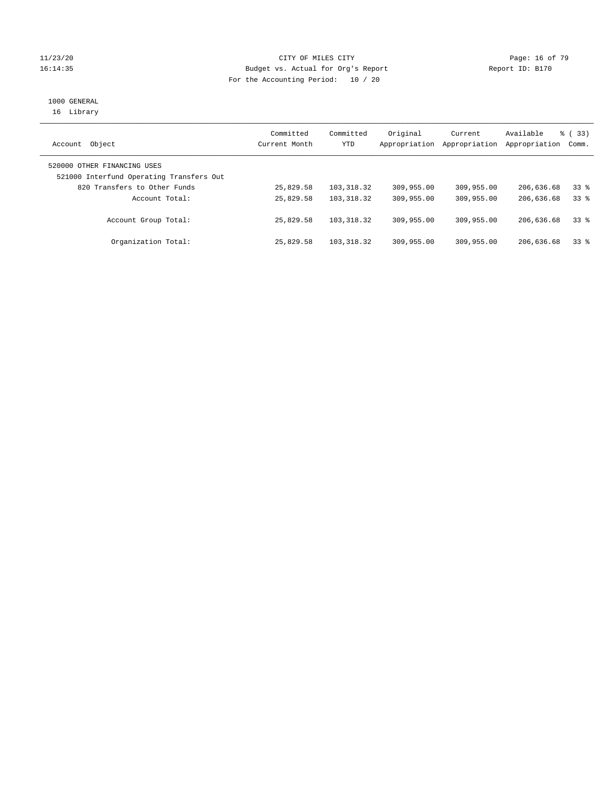#### 11/23/20 Page: 16 of 79 16:14:35 Budget vs. Actual for Org's Report Report ID: B170 For the Accounting Period: 10 / 20

# 1000 GENERAL

16 Library

| Object<br>Account                                                       | Committed<br>Current Month | Committed<br>YTD | Original<br>Appropriation | Current<br>Appropriation | Available<br>Appropriation | 8 (33)<br>Comm. |
|-------------------------------------------------------------------------|----------------------------|------------------|---------------------------|--------------------------|----------------------------|-----------------|
| 520000 OTHER FINANCING USES<br>521000 Interfund Operating Transfers Out |                            |                  |                           |                          |                            |                 |
| 820 Transfers to Other Funds                                            | 25,829.58                  | 103, 318, 32     | 309,955.00                | 309,955.00               | 206,636.68                 | 338             |
| Account Total:                                                          | 25,829.58                  | 103, 318, 32     | 309,955.00                | 309,955.00               | 206,636.68                 | 338             |
| Account Group Total:                                                    | 25,829.58                  | 103, 318, 32     | 309,955.00                | 309,955.00               | 206,636.68                 | 338             |
| Organization Total:                                                     | 25,829.58                  | 103,318.32       | 309,955.00                | 309,955.00               | 206,636.68                 | 338             |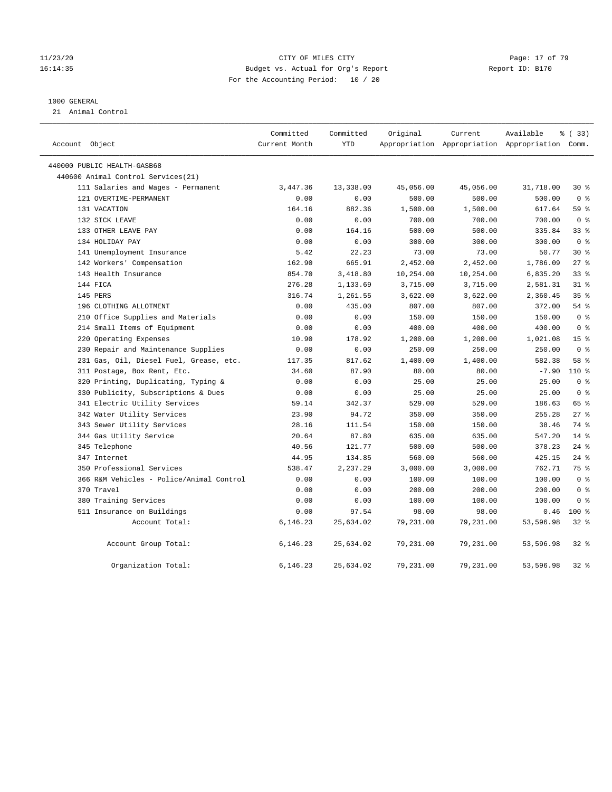#### 11/23/20 Page: 17 of 79 16:14:35 Budget vs. Actual for Org's Report Report ID: B170 For the Accounting Period: 10 / 20

#### 1000 GENERAL

21 Animal Control

| Account Object                           | Committed<br>Current Month | Committed<br>YTD | Original  | Current   | Available<br>Appropriation Appropriation Appropriation Comm. | % (33)          |  |
|------------------------------------------|----------------------------|------------------|-----------|-----------|--------------------------------------------------------------|-----------------|--|
| 440000 PUBLIC HEALTH-GASB68              |                            |                  |           |           |                                                              |                 |  |
| 440600 Animal Control Services(21)       |                            |                  |           |           |                                                              |                 |  |
| 111 Salaries and Wages - Permanent       | 3,447.36                   | 13,338.00        | 45,056.00 | 45,056.00 | 31,718.00                                                    | $30*$           |  |
| 121 OVERTIME-PERMANENT                   | 0.00                       | 0.00             | 500.00    | 500.00    | 500.00                                                       | 0 <sup>8</sup>  |  |
| 131 VACATION                             | 164.16                     | 882.36           | 1,500.00  | 1,500.00  | 617.64                                                       | 59 %            |  |
| 132 SICK LEAVE                           | 0.00                       | 0.00             | 700.00    | 700.00    | 700.00                                                       | 0 <sup>8</sup>  |  |
| 133 OTHER LEAVE PAY                      | 0.00                       | 164.16           | 500.00    | 500.00    | 335.84                                                       | 33%             |  |
| 134 HOLIDAY PAY                          | 0.00                       | 0.00             | 300.00    | 300.00    | 300.00                                                       | 0 <sup>8</sup>  |  |
| 141 Unemployment Insurance               | 5.42                       | 22.23            | 73.00     | 73.00     | 50.77                                                        | $30*$           |  |
| 142 Workers' Compensation                | 162.90                     | 665.91           | 2,452.00  | 2,452.00  | 1,786.09                                                     | 27%             |  |
| 143 Health Insurance                     | 854.70                     | 3,418.80         | 10,254.00 | 10,254.00 | 6,835.20                                                     | $33$ $%$        |  |
| 144 FICA                                 | 276.28                     | 1,133.69         | 3,715.00  | 3,715.00  | 2,581.31                                                     | $31$ %          |  |
| 145 PERS                                 | 316.74                     | 1,261.55         | 3,622.00  | 3,622.00  | 2,360.45                                                     | 35 <sup>8</sup> |  |
| 196 CLOTHING ALLOTMENT                   | 0.00                       | 435.00           | 807.00    | 807.00    | 372.00                                                       | 54%             |  |
| 210 Office Supplies and Materials        | 0.00                       | 0.00             | 150.00    | 150.00    | 150.00                                                       | 0 <sup>8</sup>  |  |
| 214 Small Items of Equipment             | 0.00                       | 0.00             | 400.00    | 400.00    | 400.00                                                       | 0 <sup>8</sup>  |  |
| 220 Operating Expenses                   | 10.90                      | 178.92           | 1,200.00  | 1,200.00  | 1,021.08                                                     | 15 <sup>°</sup> |  |
| 230 Repair and Maintenance Supplies      | 0.00                       | 0.00             | 250.00    | 250.00    | 250.00                                                       | 0 <sup>8</sup>  |  |
| 231 Gas, Oil, Diesel Fuel, Grease, etc.  | 117.35                     | 817.62           | 1,400.00  | 1,400.00  | 582.38                                                       | 58 %            |  |
| 311 Postage, Box Rent, Etc.              | 34.60                      | 87.90            | 80.00     | 80.00     | $-7.90$                                                      | $110*$          |  |
| 320 Printing, Duplicating, Typing &      | 0.00                       | 0.00             | 25.00     | 25.00     | 25.00                                                        | 0 <sup>8</sup>  |  |
| 330 Publicity, Subscriptions & Dues      | 0.00                       | 0.00             | 25.00     | 25.00     | 25.00                                                        | 0 <sup>8</sup>  |  |
| 341 Electric Utility Services            | 59.14                      | 342.37           | 529.00    | 529.00    | 186.63                                                       | 65 %            |  |
| 342 Water Utility Services               | 23.90                      | 94.72            | 350.00    | 350.00    | 255.28                                                       | 27%             |  |
| 343 Sewer Utility Services               | 28.16                      | 111.54           | 150.00    | 150.00    | 38.46                                                        | 74 %            |  |
| 344 Gas Utility Service                  | 20.64                      | 87.80            | 635.00    | 635.00    | 547.20                                                       | $14*$           |  |
| 345 Telephone                            | 40.56                      | 121.77           | 500.00    | 500.00    | 378.23                                                       | 24%             |  |
| 347 Internet                             | 44.95                      | 134.85           | 560.00    | 560.00    | 425.15                                                       | 24%             |  |
| 350 Professional Services                | 538.47                     | 2,237.29         | 3,000.00  | 3,000.00  | 762.71                                                       | 75 %            |  |
| 366 R&M Vehicles - Police/Animal Control | 0.00                       | 0.00             | 100.00    | 100.00    | 100.00                                                       | 0 <sup>8</sup>  |  |
| 370 Travel                               | 0.00                       | 0.00             | 200.00    | 200.00    | 200.00                                                       | 0 <sup>8</sup>  |  |
| 380 Training Services                    | 0.00                       | 0.00             | 100.00    | 100.00    | 100.00                                                       | 0 <sup>8</sup>  |  |
| 511 Insurance on Buildings               | 0.00                       | 97.54            | 98.00     | 98.00     | 0.46                                                         | $100*$          |  |
| Account Total:                           | 6,146.23                   | 25,634.02        | 79,231.00 | 79,231.00 | 53,596.98                                                    | $32$ $%$        |  |
| Account Group Total:                     | 6,146.23                   | 25,634.02        | 79,231.00 | 79,231.00 | 53,596.98                                                    | $32$ $%$        |  |
| Organization Total:                      | 6,146.23                   | 25,634.02        | 79,231.00 | 79,231.00 | 53,596.98                                                    | $32$ $%$        |  |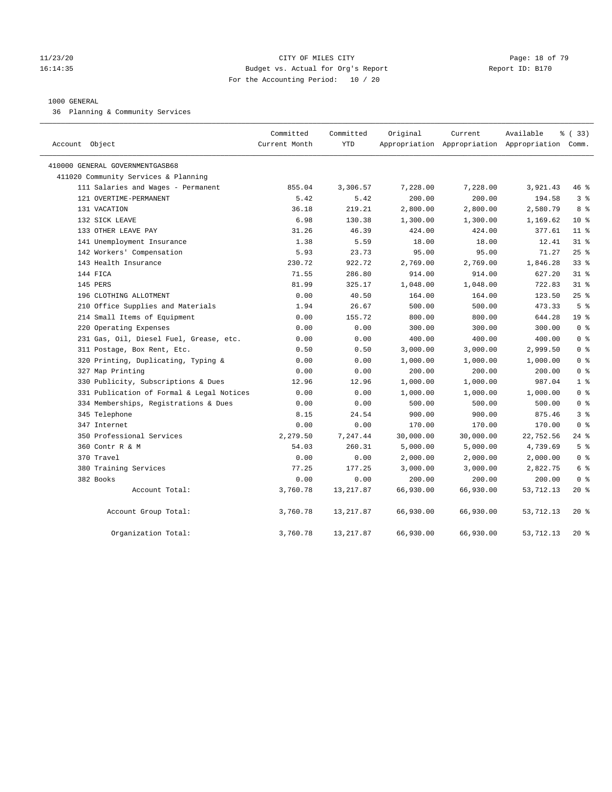#### 11/23/20 Page: 18 of 79 16:14:35 Budget vs. Actual for Org's Report Report ID: B170 For the Accounting Period: 10 / 20

#### 1000 GENERAL

36 Planning & Community Services

| Account Object                            | Committed<br>Current Month | Committed<br><b>YTD</b> | Original  | Current   | Available<br>Appropriation Appropriation Appropriation Comm. | % (33)          |
|-------------------------------------------|----------------------------|-------------------------|-----------|-----------|--------------------------------------------------------------|-----------------|
| 410000 GENERAL GOVERNMENTGASB68           |                            |                         |           |           |                                                              |                 |
| 411020 Community Services & Planning      |                            |                         |           |           |                                                              |                 |
| 111 Salaries and Wages - Permanent        | 855.04                     | 3,306.57                | 7,228.00  | 7,228.00  | 3,921.43                                                     | 46 %            |
| 121 OVERTIME-PERMANENT                    | 5.42                       | 5.42                    | 200.00    | 200.00    | 194.58                                                       | 3 <sup>°</sup>  |
| 131 VACATION                              | 36.18                      | 219.21                  | 2,800.00  | 2,800.00  | 2,580.79                                                     | 8 %             |
| 132 SICK LEAVE                            | 6.98                       | 130.38                  | 1,300.00  | 1,300.00  | 1,169.62                                                     | $10*$           |
| 133 OTHER LEAVE PAY                       | 31.26                      | 46.39                   | 424.00    | 424.00    | 377.61                                                       | 11 <sup>°</sup> |
| 141 Unemployment Insurance                | 1.38                       | 5.59                    | 18.00     | 18.00     | 12.41                                                        | $31$ %          |
| 142 Workers' Compensation                 | 5.93                       | 23.73                   | 95.00     | 95.00     | 71.27                                                        | 25%             |
| 143 Health Insurance                      | 230.72                     | 922.72                  | 2,769.00  | 2,769.00  | 1,846.28                                                     | 33%             |
| 144 FICA                                  | 71.55                      | 286.80                  | 914.00    | 914.00    | 627.20                                                       | $31$ %          |
| 145 PERS                                  | 81.99                      | 325.17                  | 1,048.00  | 1,048.00  | 722.83                                                       | $31$ %          |
| 196 CLOTHING ALLOTMENT                    | 0.00                       | 40.50                   | 164.00    | 164.00    | 123.50                                                       | $25$ %          |
| 210 Office Supplies and Materials         | 1.94                       | 26.67                   | 500.00    | 500.00    | 473.33                                                       | 5 <sup>8</sup>  |
| 214 Small Items of Equipment              | 0.00                       | 155.72                  | 800.00    | 800.00    | 644.28                                                       | 19 <sup>°</sup> |
| 220 Operating Expenses                    | 0.00                       | 0.00                    | 300.00    | 300.00    | 300.00                                                       | 0 <sup>8</sup>  |
| 231 Gas, Oil, Diesel Fuel, Grease, etc.   | 0.00                       | 0.00                    | 400.00    | 400.00    | 400.00                                                       | 0 <sup>8</sup>  |
| 311 Postage, Box Rent, Etc.               | 0.50                       | 0.50                    | 3,000.00  | 3,000.00  | 2,999.50                                                     | 0 <sup>8</sup>  |
| 320 Printing, Duplicating, Typing &       | 0.00                       | 0.00                    | 1,000.00  | 1,000.00  | 1,000.00                                                     | 0 <sup>8</sup>  |
| 327 Map Printing                          | 0.00                       | 0.00                    | 200.00    | 200.00    | 200.00                                                       | 0 <sup>8</sup>  |
| 330 Publicity, Subscriptions & Dues       | 12.96                      | 12.96                   | 1,000.00  | 1,000.00  | 987.04                                                       | 1 <sup>8</sup>  |
| 331 Publication of Formal & Legal Notices | 0.00                       | 0.00                    | 1,000.00  | 1,000.00  | 1,000.00                                                     | 0 <sup>8</sup>  |
| 334 Memberships, Registrations & Dues     | 0.00                       | 0.00                    | 500.00    | 500.00    | 500.00                                                       | 0 <sup>8</sup>  |
| 345 Telephone                             | 8.15                       | 24.54                   | 900.00    | 900.00    | 875.46                                                       | 3 <sup>8</sup>  |
| 347 Internet                              | 0.00                       | 0.00                    | 170.00    | 170.00    | 170.00                                                       | 0 <sup>8</sup>  |
| 350 Professional Services                 | 2,279.50                   | 7,247.44                | 30,000.00 | 30,000.00 | 22,752.56                                                    | $24$ %          |
| 360 Contr R & M                           | 54.03                      | 260.31                  | 5,000.00  | 5,000.00  | 4,739.69                                                     | 5 <sup>°</sup>  |
| 370 Travel                                | 0.00                       | 0.00                    | 2,000.00  | 2,000.00  | 2,000.00                                                     | 0 <sup>8</sup>  |
| 380 Training Services                     | 77.25                      | 177.25                  | 3,000.00  | 3,000.00  | 2,822.75                                                     | 6 %             |
| 382 Books                                 | 0.00                       | 0.00                    | 200.00    | 200.00    | 200.00                                                       | 0 <sup>8</sup>  |
| Account Total:                            | 3,760.78                   | 13, 217.87              | 66,930.00 | 66,930.00 | 53,712.13                                                    | 20 %            |
| Account Group Total:                      | 3,760.78                   | 13, 217.87              | 66,930.00 | 66,930.00 | 53, 712.13                                                   | $20*$           |
| Organization Total:                       | 3,760.78                   | 13, 217.87              | 66,930.00 | 66,930.00 | 53,712.13                                                    | $20*$           |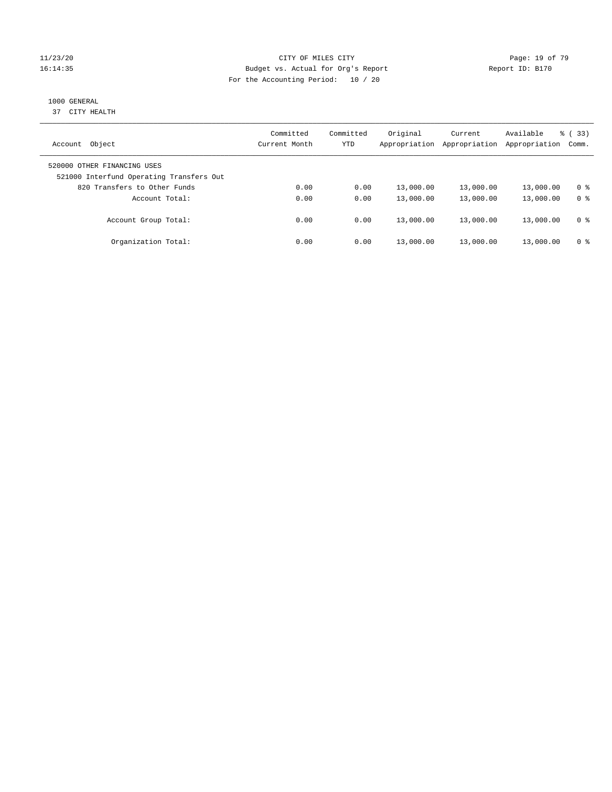#### 11/23/20 Page: 19 of 79 16:14:35 Budget vs. Actual for Org's Report Report ID: B170 For the Accounting Period: 10 / 20

# 1000 GENERAL

37 CITY HEALTH

| Object<br>Account                                                       | Committed<br>Current Month | Committed<br>YTD | Original<br>Appropriation | Current<br>Appropriation | Available<br>Appropriation | % ( 33 )<br>Comm. |
|-------------------------------------------------------------------------|----------------------------|------------------|---------------------------|--------------------------|----------------------------|-------------------|
| 520000 OTHER FINANCING USES<br>521000 Interfund Operating Transfers Out |                            |                  |                           |                          |                            |                   |
| 820 Transfers to Other Funds                                            | 0.00                       | 0.00             | 13,000.00                 | 13,000.00                | 13,000.00                  | 0 %               |
| Account Total:                                                          | 0.00                       | 0.00             | 13,000.00                 | 13,000.00                | 13,000.00                  | 0 <sup>8</sup>    |
| Account Group Total:                                                    | 0.00                       | 0.00             | 13,000.00                 | 13,000.00                | 13,000.00                  | 0 %               |
| Organization Total:                                                     | 0.00                       | 0.00             | 13,000.00                 | 13,000.00                | 13,000.00                  | 0 %               |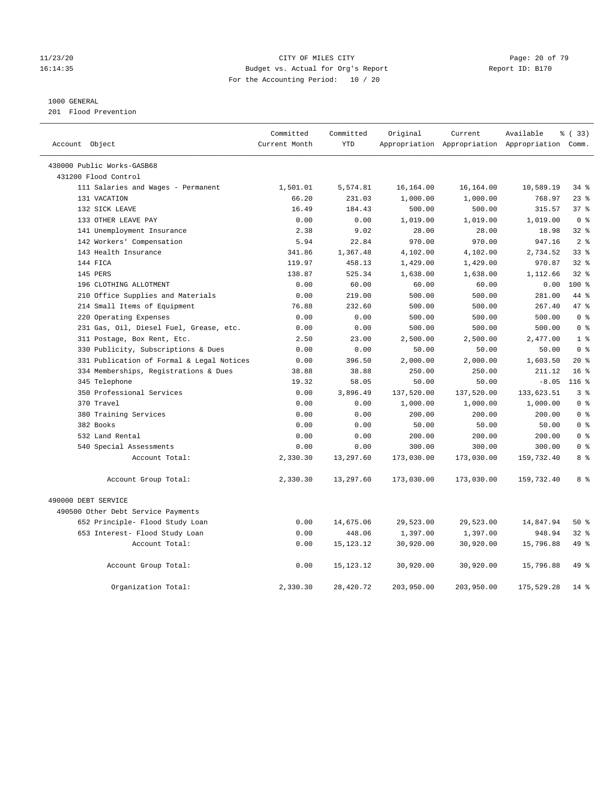#### 11/23/20 Page: 20 of 79 16:14:35 Budget vs. Actual for Org's Report Report ID: B170 For the Accounting Period: 10 / 20

#### 1000 GENERAL

201 Flood Prevention

| Account Object             |                                           | Committed<br>Current Month | Committed<br><b>YTD</b> | Original   | Current    | Available<br>Appropriation Appropriation Appropriation Comm. | % (33)           |
|----------------------------|-------------------------------------------|----------------------------|-------------------------|------------|------------|--------------------------------------------------------------|------------------|
|                            |                                           |                            |                         |            |            |                                                              |                  |
| 430000 Public Works-GASB68 |                                           |                            |                         |            |            |                                                              |                  |
| 431200 Flood Control       |                                           |                            |                         |            |            |                                                              |                  |
|                            | 111 Salaries and Wages - Permanent        | 1,501.01                   | 5,574.81                | 16,164.00  | 16,164.00  | 10,589.19                                                    | 34%              |
| 131 VACATION               |                                           | 66.20                      | 231.03                  | 1,000.00   | 1,000.00   | 768.97                                                       | $23$ $%$         |
| 132 SICK LEAVE             |                                           | 16.49                      | 184.43                  | 500.00     | 500.00     | 315.57                                                       | 37%              |
| 133 OTHER LEAVE PAY        |                                           | 0.00                       | 0.00                    | 1,019.00   | 1,019.00   | 1,019.00                                                     | 0 <sup>8</sup>   |
|                            | 141 Unemployment Insurance                | 2.38                       | 9.02                    | 28.00      | 28.00      | 18.98                                                        | 328              |
|                            | 142 Workers' Compensation                 | 5.94                       | 22.84                   | 970.00     | 970.00     | 947.16                                                       | 2 <sup>8</sup>   |
|                            | 143 Health Insurance                      | 341.86                     | 1,367.48                | 4,102.00   | 4,102.00   | 2,734.52                                                     | 33%              |
| 144 FICA                   |                                           | 119.97                     | 458.13                  | 1,429.00   | 1,429.00   | 970.87                                                       | $32$ $%$         |
| 145 PERS                   |                                           | 138.87                     | 525.34                  | 1,638.00   | 1,638.00   | 1,112.66                                                     | 32%              |
|                            | 196 CLOTHING ALLOTMENT                    | 0.00                       | 60.00                   | 60.00      | 60.00      | 0.00                                                         | $100*$           |
|                            | 210 Office Supplies and Materials         | 0.00                       | 219.00                  | 500.00     | 500.00     | 281.00                                                       | 44 %             |
|                            | 214 Small Items of Equipment              | 76.88                      | 232.60                  | 500.00     | 500.00     | 267.40                                                       | 47.8             |
|                            | 220 Operating Expenses                    | 0.00                       | 0.00                    | 500.00     | 500.00     | 500.00                                                       | 0 <sup>8</sup>   |
|                            | 231 Gas, Oil, Diesel Fuel, Grease, etc.   | 0.00                       | 0.00                    | 500.00     | 500.00     | 500.00                                                       | 0 <sup>8</sup>   |
|                            | 311 Postage, Box Rent, Etc.               | 2.50                       | 23.00                   | 2,500.00   | 2,500.00   | 2,477.00                                                     | 1 <sup>8</sup>   |
|                            | 330 Publicity, Subscriptions & Dues       | 0.00                       | 0.00                    | 50.00      | 50.00      | 50.00                                                        | 0 <sup>8</sup>   |
|                            | 331 Publication of Formal & Legal Notices | 0.00                       | 396.50                  | 2,000.00   | 2,000.00   | 1,603.50                                                     | $20*$            |
|                            | 334 Memberships, Registrations & Dues     | 38.88                      | 38.88                   | 250.00     | 250.00     | 211.12                                                       | 16 <sup>8</sup>  |
| 345 Telephone              |                                           | 19.32                      | 58.05                   | 50.00      | 50.00      | $-8.05$                                                      | 116 <sup>8</sup> |
|                            | 350 Professional Services                 | 0.00                       | 3,896.49                | 137,520.00 | 137,520.00 | 133,623.51                                                   | 3 <sup>8</sup>   |
| 370 Travel                 |                                           | 0.00                       | 0.00                    | 1,000.00   | 1,000.00   | 1,000.00                                                     | 0 <sup>8</sup>   |
|                            | 380 Training Services                     | 0.00                       | 0.00                    | 200.00     | 200.00     | 200.00                                                       | 0 <sup>8</sup>   |
| 382 Books                  |                                           | 0.00                       | 0.00                    | 50.00      | 50.00      | 50.00                                                        | 0 <sup>8</sup>   |
| 532 Land Rental            |                                           | 0.00                       | 0.00                    | 200.00     | 200.00     | 200.00                                                       | 0 <sup>8</sup>   |
|                            | 540 Special Assessments                   | 0.00                       | 0.00                    | 300.00     | 300.00     | 300.00                                                       | 0 <sup>8</sup>   |
|                            | Account Total:                            | 2,330.30                   | 13,297.60               | 173,030.00 | 173,030.00 | 159,732.40                                                   | 8 %              |
|                            | Account Group Total:                      | 2,330.30                   | 13,297.60               | 173,030.00 | 173,030.00 | 159,732.40                                                   | 8 %              |
| 490000 DEBT SERVICE        |                                           |                            |                         |            |            |                                                              |                  |
|                            | 490500 Other Debt Service Payments        |                            |                         |            |            |                                                              |                  |
|                            | 652 Principle- Flood Study Loan           | 0.00                       | 14,675.06               | 29,523.00  | 29,523.00  | 14,847.94                                                    | 50%              |
|                            | 653 Interest- Flood Study Loan            | 0.00                       | 448.06                  | 1,397.00   | 1,397.00   | 948.94                                                       | 32%              |
|                            | Account Total:                            | 0.00                       | 15, 123. 12             | 30,920.00  | 30,920.00  | 15,796.88                                                    | 49 %             |
|                            | Account Group Total:                      | 0.00                       | 15, 123. 12             | 30,920.00  | 30,920.00  | 15,796.88                                                    | 49 %             |
|                            | Organization Total:                       | 2,330.30                   | 28,420.72               | 203,950.00 | 203,950.00 | 175,529.28                                                   | $14*$            |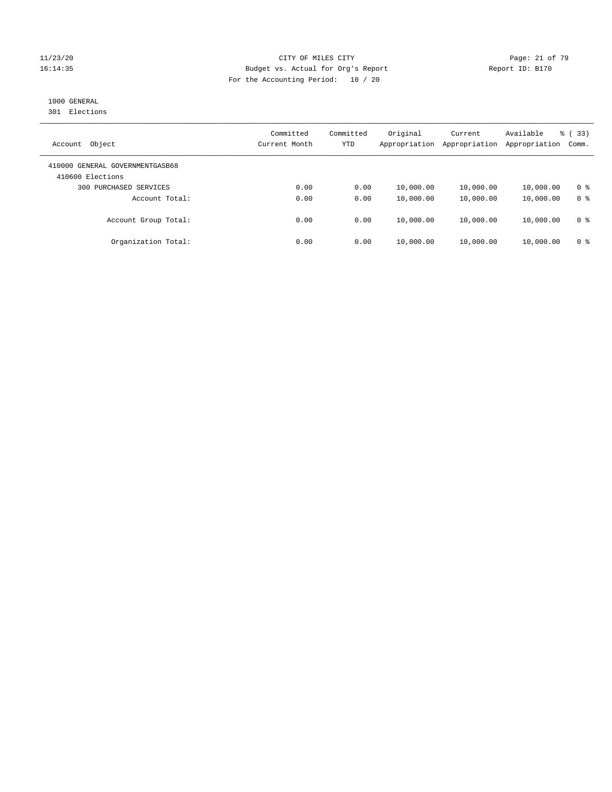#### 11/23/20 Page: 21 of 79 16:14:35 Budget vs. Actual for Org's Report Report ID: B170 For the Accounting Period: 10 / 20

# 1000 GENERAL

301 Elections

| Object<br>Account                                   | Committed<br>Current Month | Committed<br>YTD | Original<br>Appropriation | Current<br>Appropriation | Available<br>Appropriation | % (33)<br>Comm. |
|-----------------------------------------------------|----------------------------|------------------|---------------------------|--------------------------|----------------------------|-----------------|
| 410000 GENERAL GOVERNMENTGASB68<br>410600 Elections |                            |                  |                           |                          |                            |                 |
| 300 PURCHASED SERVICES                              | 0.00                       | 0.00             | 10,000.00                 | 10,000.00                | 10,000.00                  | 0 <sup>8</sup>  |
| Account Total:                                      | 0.00                       | 0.00             | 10,000.00                 | 10,000.00                | 10,000.00                  | 0 <sup>8</sup>  |
| Account Group Total:                                | 0.00                       | 0.00             | 10,000.00                 | 10,000.00                | 10,000.00                  | 0 <sup>8</sup>  |
| Organization Total:                                 | 0.00                       | 0.00             | 10,000.00                 | 10,000.00                | 10,000.00                  | 0 <sup>8</sup>  |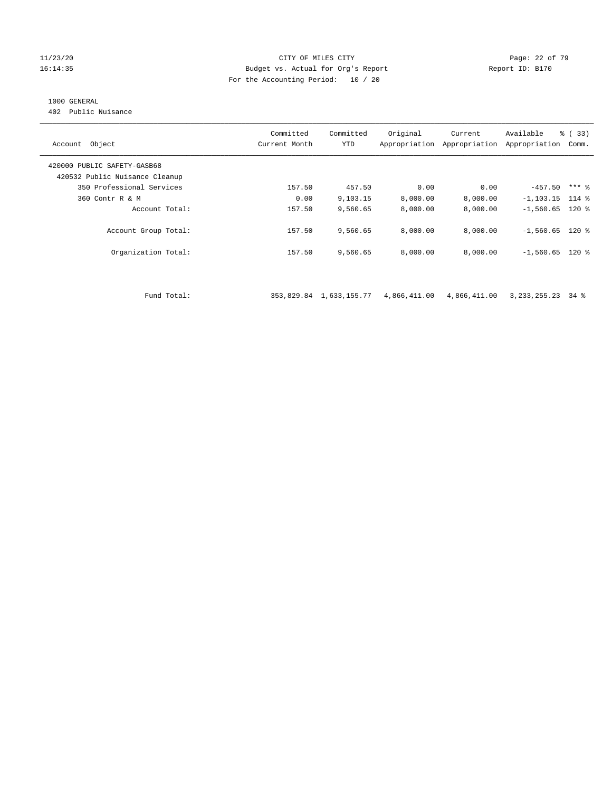#### 11/23/20 **Page: 22 of 79** CITY OF MILES CITY **CITY Page: 22 of 79** 16:14:35 Budget vs. Actual for Org's Report Report ID: B170 For the Accounting Period: 10 / 20

# 1000 GENERAL

402 Public Nuisance

| Account Object                 | Committed<br>Current Month | Committed<br><b>YTD</b> | Original     | Current<br>Appropriation Appropriation | Available<br>Appropriation | % (33)<br>Comm. |
|--------------------------------|----------------------------|-------------------------|--------------|----------------------------------------|----------------------------|-----------------|
| 420000 PUBLIC SAFETY-GASB68    |                            |                         |              |                                        |                            |                 |
| 420532 Public Nuisance Cleanup |                            |                         |              |                                        |                            |                 |
| 350 Professional Services      | 157.50                     | 457.50                  | 0.00         | 0.00                                   | $-457.50$                  | $***$ 8         |
| 360 Contr R & M                | 0.00                       | 9,103.15                | 8,000.00     | 8,000.00                               | $-1, 103.15$               | $114$ %         |
| Account Total:                 | 157.50                     | 9,560.65                | 8,000.00     | 8,000.00                               | $-1,560.65$ 120 %          |                 |
| Account Group Total:           | 157.50                     | 9,560.65                | 8,000.00     | 8,000.00                               | $-1,560.65$ 120 %          |                 |
| Organization Total:            | 157.50                     | 9,560.65                | 8,000.00     | 8,000.00                               | $-1,560.65$ 120 %          |                 |
|                                |                            |                         |              |                                        |                            |                 |
| Fund Total:                    |                            | 353,829.84 1,633,155.77 | 4,866,411.00 | 4,866,411.00                           | 3, 233, 255. 23            | 34 %            |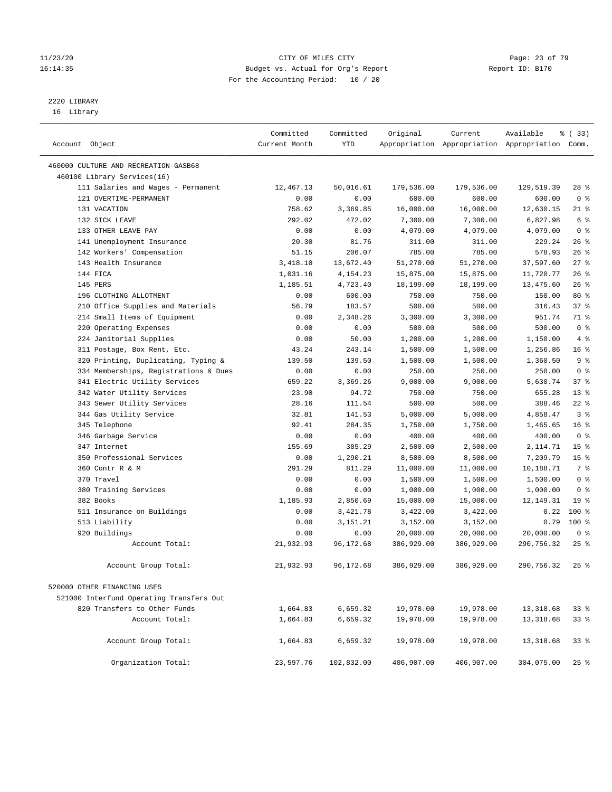#### 11/23/20 Page: 23 of 79 16:14:35 Budget vs. Actual for Org's Report Report ID: B170 For the Accounting Period: 10 / 20

————————————————————————————————————————————————————————————————————————————————————————————————————————————————————————————————————

# 2220 LIBRARY

16 Library

|                                                   | Committed      | Committed       | Original         | Current          | Available                                       | % ( 33)         |
|---------------------------------------------------|----------------|-----------------|------------------|------------------|-------------------------------------------------|-----------------|
| Account Object                                    | Current Month  | YTD             |                  |                  | Appropriation Appropriation Appropriation Comm. |                 |
|                                                   |                |                 |                  |                  |                                                 |                 |
| 460000 CULTURE AND RECREATION-GASB68              |                |                 |                  |                  |                                                 |                 |
| 460100 Library Services(16)                       |                |                 |                  |                  |                                                 |                 |
| 111 Salaries and Wages - Permanent                | 12,467.13      | 50,016.61       | 179,536.00       | 179,536.00       | 129,519.39                                      | 28 %            |
| 121 OVERTIME-PERMANENT                            | 0.00           | 0.00            | 600.00           | 600.00           | 600.00                                          | 0 <sup>8</sup>  |
| 131 VACATION                                      | 758.62         | 3,369.85        | 16,000.00        | 16,000.00        | 12,630.15                                       | $21$ %          |
| 132 SICK LEAVE                                    | 292.02         | 472.02          | 7,300.00         | 7,300.00         | 6,827.98                                        | 6 %             |
| 133 OTHER LEAVE PAY                               | 0.00           | 0.00            | 4,079.00         | 4,079.00         | 4,079.00                                        | 0 <sup>8</sup>  |
| 141 Unemployment Insurance                        | 20.30<br>51.15 | 81.76<br>206.07 | 311.00<br>785.00 | 311.00<br>785.00 | 229.24<br>578.93                                | 26%<br>26%      |
| 142 Workers' Compensation<br>143 Health Insurance | 3,418.10       | 13,672.40       | 51,270.00        | 51,270.00        | 37,597.60                                       | $27$ %          |
| 144 FICA                                          | 1,031.16       | 4, 154. 23      | 15,875.00        | 15,875.00        | 11,720.77                                       | 26%             |
| 145 PERS                                          | 1,185.51       | 4,723.40        | 18,199.00        | 18,199.00        | 13,475.60                                       | 26%             |
| 196 CLOTHING ALLOTMENT                            | 0.00           | 600.00          | 750.00           | 750.00           | 150.00                                          | $80*$           |
| 210 Office Supplies and Materials                 | 56.79          | 183.57          | 500.00           | 500.00           | 316.43                                          | 37%             |
| 214 Small Items of Equipment                      | 0.00           | 2,348.26        | 3,300.00         | 3,300.00         | 951.74                                          | 71 %            |
| 220 Operating Expenses                            | 0.00           | 0.00            | 500.00           | 500.00           | 500.00                                          | 0 <sup>8</sup>  |
| 224 Janitorial Supplies                           | 0.00           | 50.00           | 1,200.00         | 1,200.00         | 1,150.00                                        | 4%              |
| 311 Postage, Box Rent, Etc.                       | 43.24          | 243.14          | 1,500.00         | 1,500.00         | 1,256.86                                        | 16 <sup>°</sup> |
| 320 Printing, Duplicating, Typing &               | 139.50         | 139.50          | 1,500.00         | 1,500.00         | 1,360.50                                        | 9%              |
| 334 Memberships, Registrations & Dues             | 0.00           | 0.00            | 250.00           | 250.00           | 250.00                                          | 0 <sup>8</sup>  |
| 341 Electric Utility Services                     | 659.22         | 3,369.26        | 9,000.00         | 9,000.00         | 5,630.74                                        | 37%             |
| 342 Water Utility Services                        | 23.90          | 94.72           | 750.00           | 750.00           | 655.28                                          | $13*$           |
| 343 Sewer Utility Services                        | 28.16          | 111.54          | 500.00           | 500.00           | 388.46                                          | $22$ %          |
| 344 Gas Utility Service                           | 32.81          | 141.53          | 5,000.00         | 5,000.00         | 4,858.47                                        | 3 <sup>8</sup>  |
| 345 Telephone                                     | 92.41          | 284.35          | 1,750.00         | 1,750.00         | 1,465.65                                        | 16 <sup>°</sup> |
| 346 Garbage Service                               | 0.00           | 0.00            | 400.00           | 400.00           | 400.00                                          | 0 <sup>8</sup>  |
| 347 Internet                                      | 155.69         | 385.29          | 2,500.00         | 2,500.00         | 2,114.71                                        | 15 <sup>°</sup> |
| 350 Professional Services                         | 0.00           | 1,290.21        | 8,500.00         | 8,500.00         | 7,209.79                                        | 15 <sup>°</sup> |
| 360 Contr R & M                                   | 291.29         | 811.29          | 11,000.00        | 11,000.00        | 10,188.71                                       | 7 %             |
| 370 Travel                                        | 0.00           | 0.00            | 1,500.00         | 1,500.00         | 1,500.00                                        | 0 <sup>8</sup>  |
| 380 Training Services                             | 0.00           | 0.00            | 1,000.00         | 1,000.00         | 1,000.00                                        | 0 <sup>8</sup>  |
| 382 Books                                         | 1,185.93       | 2,850.69        | 15,000.00        | 15,000.00        | 12,149.31                                       | 19 <sup>°</sup> |
| 511 Insurance on Buildings                        | 0.00           | 3,421.78        | 3,422.00         | 3,422.00         | 0.22                                            | $100*$          |
| 513 Liability                                     | 0.00           | 3,151.21        | 3,152.00         | 3,152.00         | 0.79                                            | $100*$          |
| 920 Buildings                                     | 0.00           | 0.00            | 20,000.00        | 20,000.00        | 20,000.00                                       | 0 <sup>8</sup>  |
| Account Total:                                    | 21,932.93      | 96, 172.68      | 386,929.00       | 386,929.00       | 290,756.32                                      | $25$ $%$        |
| Account Group Total:                              | 21,932.93      | 96,172.68       | 386,929.00       | 386,929.00       | 290,756.32                                      | $25$ %          |
| 520000 OTHER FINANCING USES                       |                |                 |                  |                  |                                                 |                 |
| 521000 Interfund Operating Transfers Out          |                |                 |                  |                  |                                                 |                 |
| 820 Transfers to Other Funds                      | 1,664.83       | 6,659.32        | 19,978.00        | 19,978.00        | 13,318.68                                       | 338             |
| Account Total:                                    | 1,664.83       | 6,659.32        | 19,978.00        | 19,978.00        | 13,318.68                                       | 338             |
|                                                   |                |                 |                  |                  |                                                 |                 |
| Account Group Total:                              | 1,664.83       | 6,659.32        | 19,978.00        | 19,978.00        | 13,318.68                                       | 33%             |
| Organization Total:                               | 23,597.76      | 102,832.00      | 406,907.00       | 406,907.00       | 304,075.00                                      | 25%             |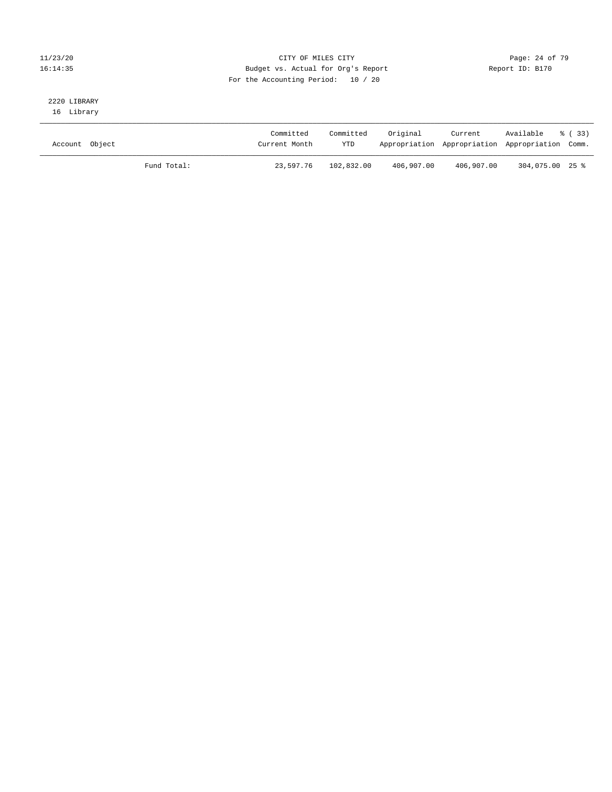#### 11/23/20 Page: 24 of 79 16:14:35 Budget vs. Actual for Org's Report Report ID: B170 For the Accounting Period: 10 / 20

# 2220 LIBRARY

16 Library

| Account Object |             | Committed<br>Current Month | Committed<br><b>YTD</b> | Original   | Current<br>Appropriation Appropriation Appropriation Comm. | Available % (33) |  |
|----------------|-------------|----------------------------|-------------------------|------------|------------------------------------------------------------|------------------|--|
|                | Fund Total: | 23,597.76                  | 102,832.00              | 406,907.00 | 406,907.00                                                 | 304,075.00 25 %  |  |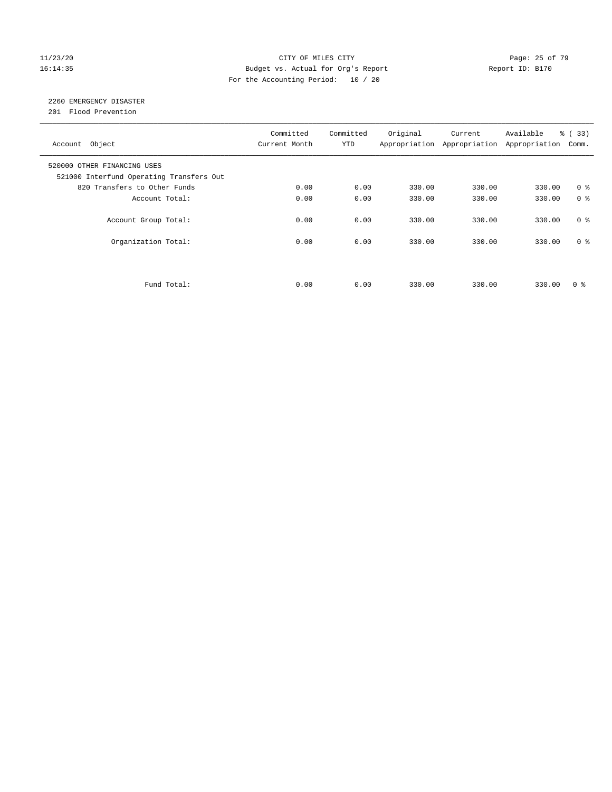#### 11/23/20 Page: 25 of 79 16:14:35 Budget vs. Actual for Org's Report Report ID: B170 For the Accounting Period: 10 / 20

# 2260 EMERGENCY DISASTER

201 Flood Prevention

| Account Object                                                          | Committed<br>Current Month | Committed<br><b>YTD</b> | Original | Current<br>Appropriation Appropriation | Available<br>Appropriation | % (33)<br>Comm. |
|-------------------------------------------------------------------------|----------------------------|-------------------------|----------|----------------------------------------|----------------------------|-----------------|
| 520000 OTHER FINANCING USES<br>521000 Interfund Operating Transfers Out |                            |                         |          |                                        |                            |                 |
| 820 Transfers to Other Funds                                            | 0.00                       | 0.00                    | 330.00   | 330.00                                 | 330.00                     | 0 <sup>8</sup>  |
| Account Total:                                                          | 0.00                       | 0.00                    | 330.00   | 330.00                                 | 330.00                     | 0 <sup>8</sup>  |
| Account Group Total:                                                    | 0.00                       | 0.00                    | 330.00   | 330.00                                 | 330.00                     | 0 <sup>8</sup>  |
| Organization Total:                                                     | 0.00                       | 0.00                    | 330.00   | 330.00                                 | 330.00                     | 0 <sup>8</sup>  |
|                                                                         |                            |                         |          |                                        |                            |                 |
| Fund Total:                                                             | 0.00                       | 0.00                    | 330.00   | 330.00                                 | 330.00                     | 0 %             |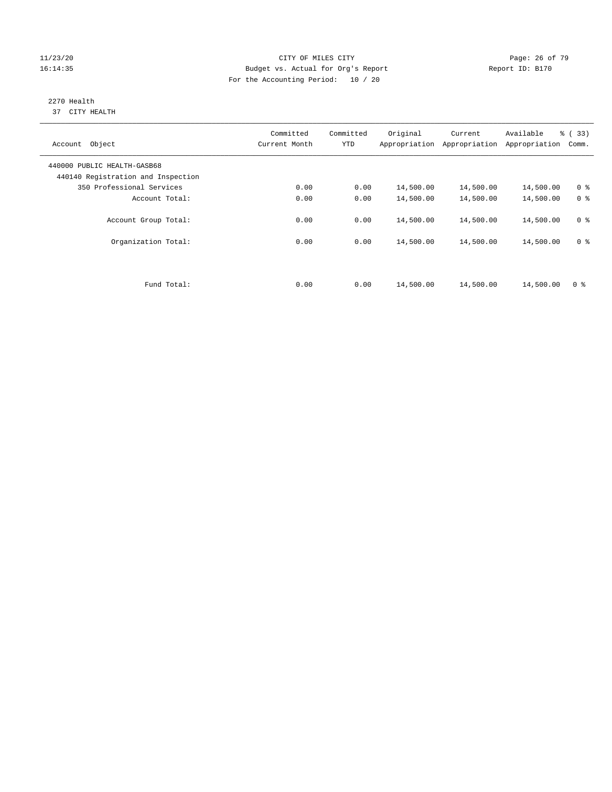#### 11/23/20 Page: 26 of 79 16:14:35 Budget vs. Actual for Org's Report Report ID: B170 For the Accounting Period: 10 / 20

#### 2270 Health 37 CITY HEALTH

| Object<br>Account                                                 | Committed<br>Current Month | Committed<br><b>YTD</b> | Original<br>Appropriation | Current<br>Appropriation | Available<br>Appropriation | % (33)<br>Comm. |
|-------------------------------------------------------------------|----------------------------|-------------------------|---------------------------|--------------------------|----------------------------|-----------------|
| 440000 PUBLIC HEALTH-GASB68<br>440140 Registration and Inspection |                            |                         |                           |                          |                            |                 |
| 350 Professional Services                                         | 0.00                       | 0.00                    | 14,500.00                 | 14,500.00                | 14,500.00                  | 0 <sup>8</sup>  |
| Account Total:                                                    | 0.00                       | 0.00                    | 14,500.00                 | 14,500.00                | 14,500.00                  | 0 <sup>8</sup>  |
| Account Group Total:                                              | 0.00                       | 0.00                    | 14,500.00                 | 14,500.00                | 14,500.00                  | 0 <sup>8</sup>  |
| Organization Total:                                               | 0.00                       | 0.00                    | 14,500.00                 | 14,500.00                | 14,500.00                  | 0 <sup>8</sup>  |
| Fund Total:                                                       | 0.00                       | 0.00                    | 14,500.00                 | 14,500.00                | 14,500.00                  | 0 <sup>8</sup>  |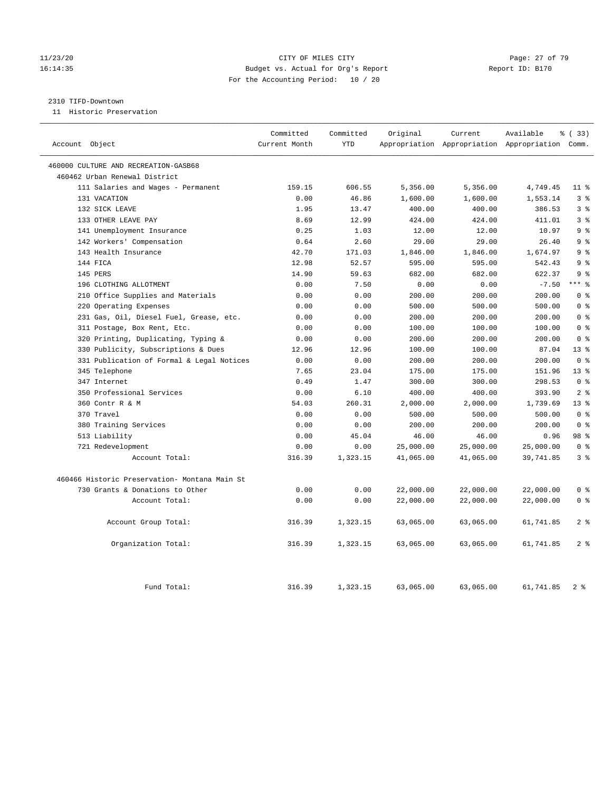#### 11/23/20 Page: 27 of 79 16:14:35 Budget vs. Actual for Org's Report Report ID: B170 For the Accounting Period: 10 / 20

#### 2310 TIFD-Downtown

11 Historic Preservation

| Account Object                                | Committed<br>Current Month | Committed<br><b>YTD</b> | Original  | Current   | Available<br>Appropriation Appropriation Appropriation Comm. | % (33)          |
|-----------------------------------------------|----------------------------|-------------------------|-----------|-----------|--------------------------------------------------------------|-----------------|
|                                               |                            |                         |           |           |                                                              |                 |
| 460000 CULTURE AND RECREATION-GASB68          |                            |                         |           |           |                                                              |                 |
| 460462 Urban Renewal District                 |                            |                         |           |           |                                                              |                 |
| 111 Salaries and Wages - Permanent            | 159.15                     | 606.55                  | 5,356.00  | 5,356.00  | 4,749.45                                                     | $11*$           |
| 131 VACATION                                  | 0.00                       | 46.86                   | 1,600.00  | 1,600.00  | 1,553.14                                                     | 3 <sup>8</sup>  |
| 132 SICK LEAVE                                | 1.95                       | 13.47                   | 400.00    | 400.00    | 386.53                                                       | 3 <sup>8</sup>  |
| 133 OTHER LEAVE PAY                           | 8.69                       | 12.99                   | 424.00    | 424.00    | 411.01                                                       | 3 <sup>8</sup>  |
| 141 Unemployment Insurance                    | 0.25                       | 1.03                    | 12.00     | 12.00     | 10.97                                                        | 9 <sup>°</sup>  |
| 142 Workers' Compensation                     | 0.64                       | 2.60                    | 29.00     | 29.00     | 26.40                                                        | 9 <sup>°</sup>  |
| 143 Health Insurance                          | 42.70                      | 171.03                  | 1,846.00  | 1,846.00  | 1,674.97                                                     | 9 <sub>8</sub>  |
| 144 FICA                                      | 12.98                      | 52.57                   | 595.00    | 595.00    | 542.43                                                       | 9%              |
| 145 PERS                                      | 14.90                      | 59.63                   | 682.00    | 682.00    | 622.37                                                       | 9 <sup>8</sup>  |
| 196 CLOTHING ALLOTMENT                        | 0.00                       | 7.50                    | 0.00      | 0.00      | $-7.50$                                                      | $***$ $%$       |
| 210 Office Supplies and Materials             | 0.00                       | 0.00                    | 200.00    | 200.00    | 200.00                                                       | 0 <sup>8</sup>  |
| 220 Operating Expenses                        | 0.00                       | 0.00                    | 500.00    | 500.00    | 500.00                                                       | 0 <sup>8</sup>  |
| 231 Gas, Oil, Diesel Fuel, Grease, etc.       | 0.00                       | 0.00                    | 200.00    | 200.00    | 200.00                                                       | 0 <sup>8</sup>  |
| 311 Postage, Box Rent, Etc.                   | 0.00                       | 0.00                    | 100.00    | 100.00    | 100.00                                                       | 0 <sup>8</sup>  |
| 320 Printing, Duplicating, Typing &           | 0.00                       | 0.00                    | 200.00    | 200.00    | 200.00                                                       | 0 <sup>8</sup>  |
| 330 Publicity, Subscriptions & Dues           | 12.96                      | 12.96                   | 100.00    | 100.00    | 87.04                                                        | 13 <sup>8</sup> |
| 331 Publication of Formal & Legal Notices     | 0.00                       | 0.00                    | 200.00    | 200.00    | 200.00                                                       | 0 <sup>8</sup>  |
| 345 Telephone                                 | 7.65                       | 23.04                   | 175.00    | 175.00    | 151.96                                                       | 13 <sup>8</sup> |
| 347 Internet                                  | 0.49                       | 1.47                    | 300.00    | 300.00    | 298.53                                                       | 0 <sup>8</sup>  |
| 350 Professional Services                     | 0.00                       | 6.10                    | 400.00    | 400.00    | 393.90                                                       | 2 <sup>8</sup>  |
| 360 Contr R & M                               | 54.03                      | 260.31                  | 2,000.00  | 2,000.00  | 1,739.69                                                     | $13*$           |
| 370 Travel                                    | 0.00                       | 0.00                    | 500.00    | 500.00    | 500.00                                                       | 0 <sup>8</sup>  |
| 380 Training Services                         | 0.00                       | 0.00                    | 200.00    | 200.00    | 200.00                                                       | 0 <sup>8</sup>  |
| 513 Liability                                 | 0.00                       | 45.04                   | 46.00     | 46.00     | 0.96                                                         | 98 %            |
| 721 Redevelopment                             | 0.00                       | 0.00                    | 25,000.00 | 25,000.00 | 25,000.00                                                    | 0 <sup>8</sup>  |
| Account Total:                                | 316.39                     | 1,323.15                | 41,065.00 | 41,065.00 | 39,741.85                                                    | 3 <sup>8</sup>  |
| 460466 Historic Preservation- Montana Main St |                            |                         |           |           |                                                              |                 |
| 730 Grants & Donations to Other               | 0.00                       | 0.00                    | 22,000.00 | 22,000.00 | 22,000.00                                                    | 0 <sup>8</sup>  |
| Account Total:                                | 0.00                       | 0.00                    | 22,000.00 | 22,000.00 | 22,000.00                                                    | 0 <sup>8</sup>  |
| Account Group Total:                          | 316.39                     | 1,323.15                | 63,065.00 | 63,065.00 | 61,741.85                                                    | 2 <sup>°</sup>  |
| Organization Total:                           | 316.39                     | 1,323.15                | 63,065.00 | 63,065.00 | 61,741.85                                                    | 2 <sup>°</sup>  |
| Fund Total:                                   | 316.39                     | 1,323.15                | 63,065.00 | 63,065.00 | 61,741.85                                                    | 2 <sup>8</sup>  |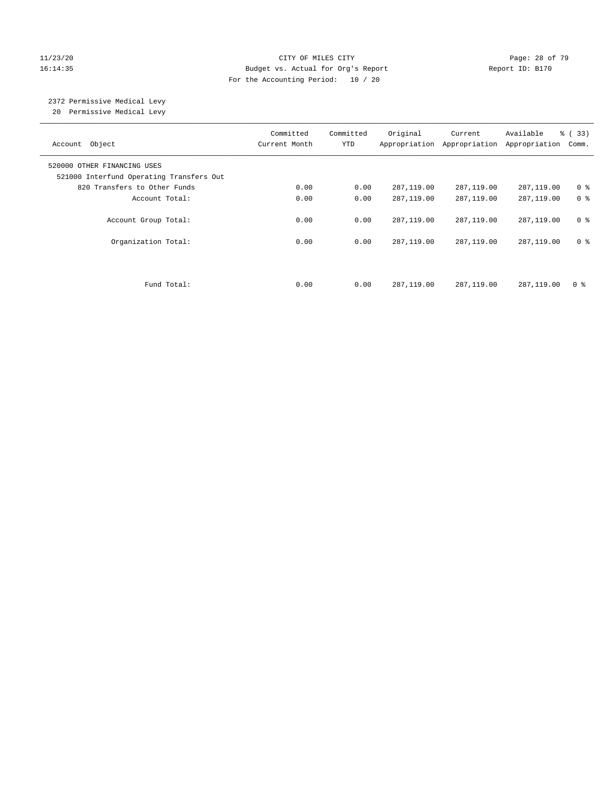#### 11/23/20 Page: 28 of 79 16:14:35 Budget vs. Actual for Org's Report Report ID: B170 For the Accounting Period: 10 / 20

#### 2372 Permissive Medical Levy 20 Permissive Medical Levy

———————————————————————————————————————————————————————————————————————————————————————————————————————————————————————————————————— Committed Committed Original Current Available % ( 33) Account Object **Current Month** YTD Appropriation Appropriation Appropriation Comm. ———————————————————————————————————————————————————————————————————————————————————————————————————————————————————————————————————— 520000 OTHER FINANCING USES 521000 Interfund Operating Transfers Out 820 Transfers to Other Funds 0.00 0.00 287,119.00 287,119.00 287,119.00 0 % Account Total:  $0.00$  0.00 287,119.00 287,119.00 287,119.00 0 % Account Group Total: 0.00 0.00 287,119.00 287,119.00 287,119.00 0 % Organization Total: 0.00 0.00 287,119.00 287,119.00 287,119.00 0 % Fund Total: 0.00 0.00 287,119.00 287,119.00 287,119.00 0 %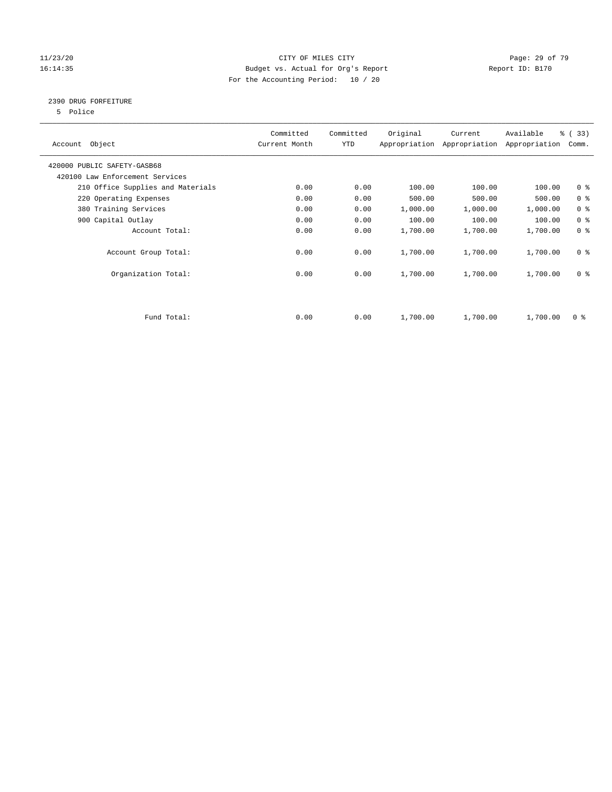#### 11/23/20 Page: 29 of 79 16:14:35 Budget vs. Actual for Org's Report Report ID: B170 For the Accounting Period: 10 / 20

#### 2390 DRUG FORFEITURE

5 Police

| Account Object                    | Committed<br>Current Month | Committed<br>YTD | Original | Current<br>Appropriation Appropriation | Available<br>Appropriation | % (33)<br>Comm. |
|-----------------------------------|----------------------------|------------------|----------|----------------------------------------|----------------------------|-----------------|
| 420000 PUBLIC SAFETY-GASB68       |                            |                  |          |                                        |                            |                 |
| 420100 Law Enforcement Services   |                            |                  |          |                                        |                            |                 |
| 210 Office Supplies and Materials | 0.00                       | 0.00             | 100.00   | 100.00                                 | 100.00                     | 0 <sub>8</sub>  |
| 220 Operating Expenses            | 0.00                       | 0.00             | 500.00   | 500.00                                 | 500.00                     | 0 <sup>8</sup>  |
| 380 Training Services             | 0.00                       | 0.00             | 1,000.00 | 1,000.00                               | 1,000.00                   | 0 <sup>8</sup>  |
| 900 Capital Outlay                | 0.00                       | 0.00             | 100.00   | 100.00                                 | 100.00                     | 0 <sup>8</sup>  |
| Account Total:                    | 0.00                       | 0.00             | 1,700.00 | 1,700.00                               | 1,700.00                   | 0 <sup>8</sup>  |
| Account Group Total:              | 0.00                       | 0.00             | 1,700.00 | 1,700.00                               | 1,700.00                   | 0 <sup>8</sup>  |
| Organization Total:               | 0.00                       | 0.00             | 1,700.00 | 1,700.00                               | 1,700.00                   | 0 <sup>8</sup>  |
|                                   |                            |                  |          |                                        |                            |                 |
| Fund Total:                       | 0.00                       | 0.00             | 1,700.00 | 1,700.00                               | 1,700.00                   | 0 %             |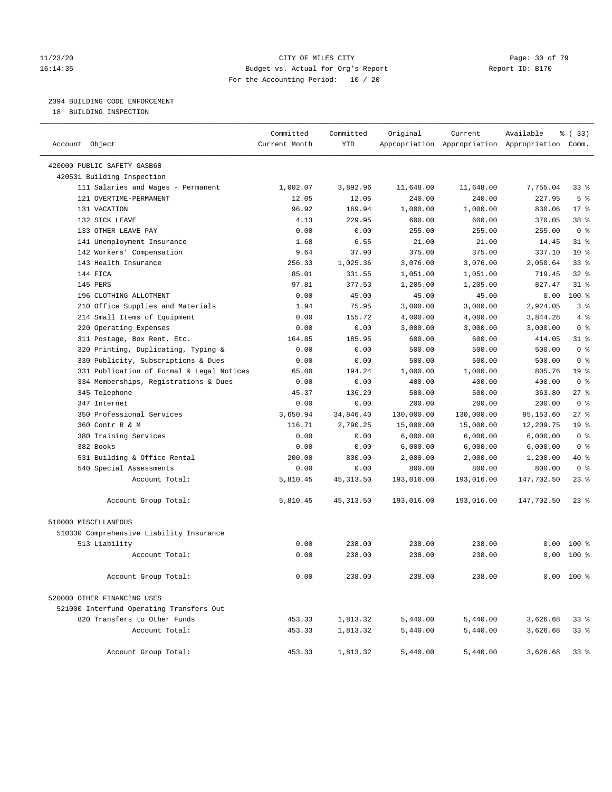#### 11/23/20 Page: 30 of 79 16:14:35 Budget vs. Actual for Org's Report Report ID: B170 For the Accounting Period: 10 / 20

### 2394 BUILDING CODE ENFORCEMENT

18 BUILDING INSPECTION

| Account Object                            | Committed<br>Current Month | Committed<br><b>YTD</b> | Original   | Current    | Available<br>Appropriation Appropriation Appropriation Comm. | 8 (33)          |
|-------------------------------------------|----------------------------|-------------------------|------------|------------|--------------------------------------------------------------|-----------------|
| 420000 PUBLIC SAFETY-GASB68               |                            |                         |            |            |                                                              |                 |
| 420531 Building Inspection                |                            |                         |            |            |                                                              |                 |
| 111 Salaries and Wages - Permanent        | 1,002.07                   | 3,892.96                | 11,648.00  | 11,648.00  | 7,755.04                                                     | $33$ $%$        |
| 121 OVERTIME-PERMANENT                    | 12.05                      | 12.05                   | 240.00     | 240.00     | 227.95                                                       | 5 <sup>°</sup>  |
| 131 VACATION                              | 96.92                      | 169.94                  | 1,000.00   | 1,000.00   | 830.06                                                       | $17*$           |
| 132 SICK LEAVE                            | 4.13                       | 229.95                  | 600.00     | 600.00     | 370.05                                                       | 38 <sup>8</sup> |
| 133 OTHER LEAVE PAY                       | 0.00                       | 0.00                    | 255.00     | 255.00     | 255.00                                                       | 0 <sup>8</sup>  |
| 141 Unemployment Insurance                | 1.68                       | 6.55                    | 21.00      | 21.00      | 14.45                                                        | $31$ %          |
| 142 Workers' Compensation                 | 9.64                       | 37.90                   | 375.00     | 375.00     | 337.10                                                       | $10*$           |
| 143 Health Insurance                      | 256.33                     | 1,025.36                | 3,076.00   | 3,076.00   | 2,050.64                                                     | 33%             |
| 144 FICA                                  | 85.01                      | 331.55                  | 1,051.00   | 1,051.00   | 719.45                                                       | 328             |
| 145 PERS                                  | 97.81                      | 377.53                  | 1,205.00   | 1,205.00   | 827.47                                                       | 318             |
| 196 CLOTHING ALLOTMENT                    | 0.00                       | 45.00                   | 45.00      | 45.00      | 0.00                                                         | 100%            |
| 210 Office Supplies and Materials         | 1.94                       | 75.95                   | 3,000.00   | 3,000.00   | 2,924.05                                                     | 3 <sup>8</sup>  |
| 214 Small Items of Equipment              | 0.00                       | 155.72                  | 4,000.00   | 4,000.00   | 3,844.28                                                     | 4%              |
| 220 Operating Expenses                    | 0.00                       | 0.00                    | 3,000.00   | 3,000.00   | 3,000.00                                                     | 0 <sup>8</sup>  |
| 311 Postage, Box Rent, Etc.               | 164.85                     | 185.95                  | 600.00     | 600.00     | 414.05                                                       | $31$ %          |
| 320 Printing, Duplicating, Typing &       | 0.00                       | 0.00                    | 500.00     | 500.00     | 500.00                                                       | 0 <sup>8</sup>  |
| 330 Publicity, Subscriptions & Dues       | 0.00                       | 0.00                    | 500.00     | 500.00     | 500.00                                                       | 0 <sup>8</sup>  |
| 331 Publication of Formal & Legal Notices | 65.00                      | 194.24                  | 1,000.00   | 1,000.00   | 805.76                                                       | 19 <sup>°</sup> |
| 334 Memberships, Registrations & Dues     | 0.00                       | 0.00                    | 400.00     | 400.00     | 400.00                                                       | 0 <sup>8</sup>  |
| 345 Telephone                             | 45.37                      | 136.20                  | 500.00     | 500.00     | 363.80                                                       | $27$ %          |
| 347 Internet                              | 0.00                       | 0.00                    | 200.00     | 200.00     | 200.00                                                       | 0 <sup>8</sup>  |
| 350 Professional Services                 | 3,650.94                   | 34,846.40               | 130,000.00 | 130,000.00 | 95,153.60                                                    | 27%             |
| 360 Contr R & M                           | 116.71                     | 2,790.25                | 15,000.00  | 15,000.00  | 12,209.75                                                    | 19 <sup>°</sup> |
| 380 Training Services                     | 0.00                       | 0.00                    | 6,000.00   | 6,000.00   | 6,000.00                                                     | 0 <sup>8</sup>  |
| 382 Books                                 | 0.00                       | 0.00                    | 6,000.00   | 6,000.00   | 6,000.00                                                     | 0 <sup>8</sup>  |
| 531 Building & Office Rental              | 200.00                     | 800.00                  | 2,000.00   | 2,000.00   | 1,200.00                                                     | 40 %            |
| 540 Special Assessments                   | 0.00                       | 0.00                    | 800.00     | 800.00     | 800.00                                                       | 0 <sup>8</sup>  |
| Account Total:                            | 5,810.45                   | 45, 313.50              | 193,016.00 | 193,016.00 | 147,702.50                                                   | $23$ %          |
| Account Group Total:                      | 5,810.45                   | 45, 313.50              | 193,016.00 | 193,016.00 | 147,702.50                                                   | $23$ %          |
| 510000 MISCELLANEOUS                      |                            |                         |            |            |                                                              |                 |
| 510330 Comprehensive Liability Insurance  |                            |                         |            |            |                                                              |                 |
| 513 Liability                             | 0.00                       | 238.00                  | 238.00     | 238.00     | 0.00                                                         | $100*$          |
| Account Total:                            | 0.00                       | 238.00                  | 238.00     | 238.00     | 0.00                                                         | $100*$          |
| Account Group Total:                      | 0.00                       | 238.00                  | 238.00     | 238.00     |                                                              | $0.00$ 100 %    |
| 520000 OTHER FINANCING USES               |                            |                         |            |            |                                                              |                 |
| 521000 Interfund Operating Transfers Out  |                            |                         |            |            |                                                              |                 |
| 820 Transfers to Other Funds              | 453.33                     | 1,813.32                | 5,440.00   | 5,440.00   | 3,626.68                                                     | 33%             |
| Account Total:                            | 453.33                     | 1,813.32                | 5,440.00   | 5,440.00   | 3,626.68                                                     | 33%             |
| Account Group Total:                      | 453.33                     | 1,813.32                | 5,440.00   | 5,440.00   | 3,626.68                                                     | 33 <sub>8</sub> |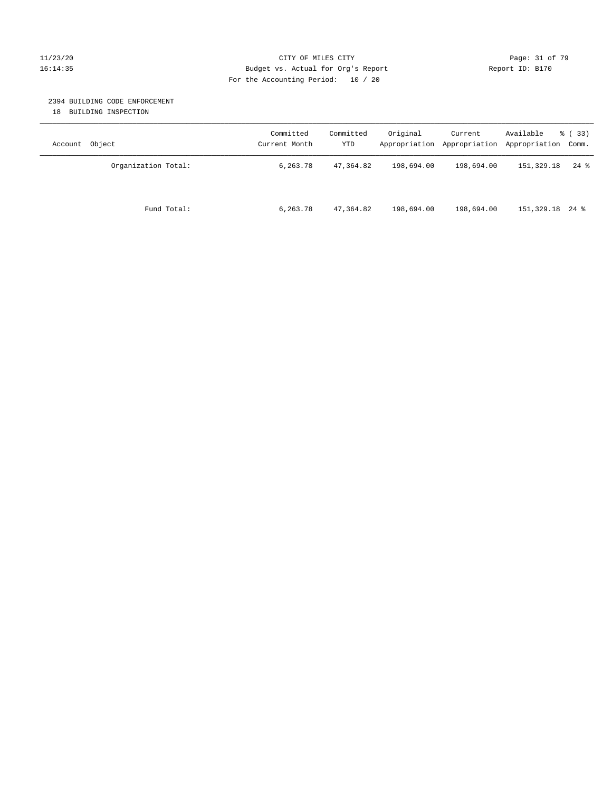#### 11/23/20 Page: 31 of 79 16:14:35 Budget vs. Actual for Org's Report Report ID: B170 For the Accounting Period: 10 / 20

#### 2394 BUILDING CODE ENFORCEMENT

18 BUILDING INSPECTION

| Account Object      | Committed<br>Current Month | Committed<br>YTD | Original   | Current<br>Appropriation Appropriation | Available<br>Appropriation Comm. | % ( 33 ) |
|---------------------|----------------------------|------------------|------------|----------------------------------------|----------------------------------|----------|
| Organization Total: | 6,263.78                   | 47,364.82        | 198,694.00 | 198,694.00                             | 151,329.18                       | $24$ %   |
| Fund Total:         | 6,263.78                   | 47,364.82        | 198,694.00 | 198,694.00                             | 151,329.18 24 %                  |          |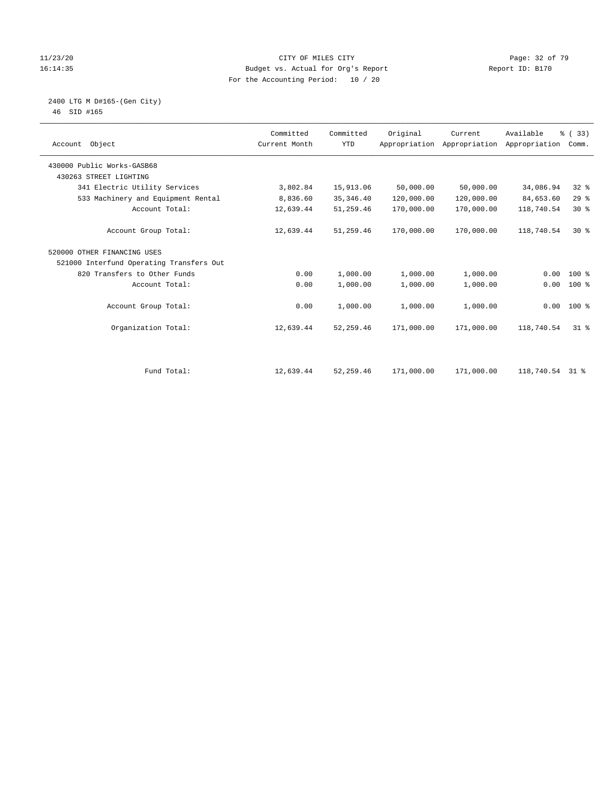#### 11/23/20 Page: 32 of 79 16:14:35 Budget vs. Actual for Org's Report Report ID: B170 For the Accounting Period: 10 / 20

#### 2400 LTG M D#165-(Gen City) 46 SID #165

| Account Object                           | Committed<br>Current Month | Committed<br><b>YTD</b> | Original   | Current<br>Appropriation Appropriation | Available<br>Appropriation | % (33)<br>Comm. |  |
|------------------------------------------|----------------------------|-------------------------|------------|----------------------------------------|----------------------------|-----------------|--|
| 430000 Public Works-GASB68               |                            |                         |            |                                        |                            |                 |  |
| 430263 STREET LIGHTING                   |                            |                         |            |                                        |                            |                 |  |
| 341 Electric Utility Services            | 3,802.84                   | 15,913.06               | 50,000.00  | 50,000.00                              | 34,086.94                  | $32$ $%$        |  |
| 533 Machinery and Equipment Rental       | 8,836.60                   | 35, 346.40              | 120,000.00 | 120,000.00                             | 84,653.60                  | 29%             |  |
| Account Total:                           | 12,639.44                  | 51,259.46               | 170,000.00 | 170,000.00                             | 118,740.54                 | $30*$           |  |
| Account Group Total:                     | 12,639.44                  | 51,259.46               | 170,000.00 | 170,000.00                             | 118,740.54                 | $30*$           |  |
| 520000 OTHER FINANCING USES              |                            |                         |            |                                        |                            |                 |  |
| 521000 Interfund Operating Transfers Out |                            |                         |            |                                        |                            |                 |  |
| 820 Transfers to Other Funds             | 0.00                       | 1,000.00                | 1,000.00   | 1,000.00                               | 0.00                       | 100 %           |  |
| Account Total:                           | 0.00                       | 1,000.00                | 1,000.00   | 1,000.00                               | 0.00                       | 100 %           |  |
| Account Group Total:                     | 0.00                       | 1,000.00                | 1,000.00   | 1,000.00                               |                            | $0.00 100$ %    |  |
| Organization Total:                      | 12,639.44                  | 52, 259.46              | 171,000.00 | 171,000.00                             | 118,740.54                 | $31*$           |  |
|                                          |                            |                         |            |                                        |                            |                 |  |
| Fund Total:                              | 12,639.44                  | 52,259.46               | 171,000.00 | 171,000.00                             | 118,740.54                 | 31 %            |  |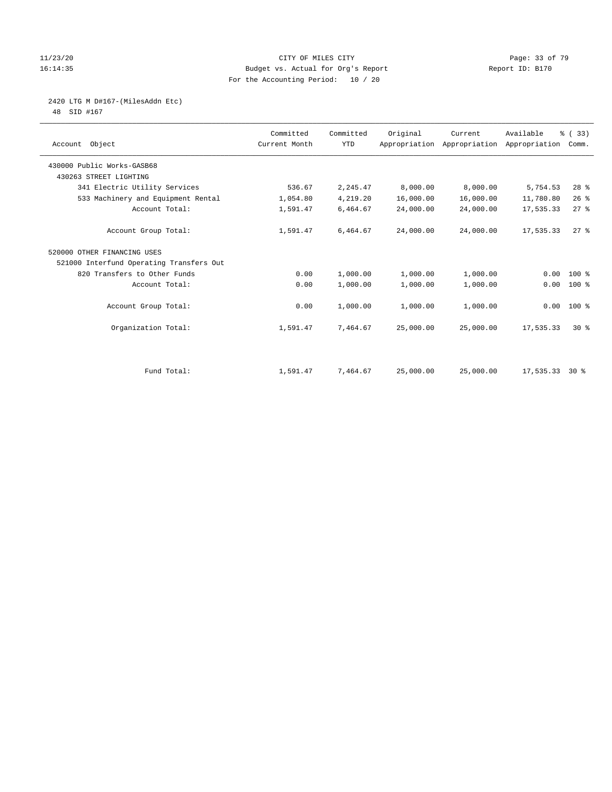#### 11/23/20 Page: 33 of 79 16:14:35 Budget vs. Actual for Org's Report Report ID: B170 For the Accounting Period: 10 / 20

# 2420 LTG M D#167-(MilesAddn Etc)

48 SID #167

| Account Object                           | Committed<br>Current Month | Committed<br><b>YTD</b> | Original  | Current<br>Appropriation Appropriation Appropriation | Available | % (33)<br>Comm. |  |
|------------------------------------------|----------------------------|-------------------------|-----------|------------------------------------------------------|-----------|-----------------|--|
| 430000 Public Works-GASB68               |                            |                         |           |                                                      |           |                 |  |
| 430263 STREET LIGHTING                   |                            |                         |           |                                                      |           |                 |  |
| 341 Electric Utility Services            | 536.67                     | 2,245.47                | 8,000.00  | 8,000.00                                             | 5,754.53  | $28$ %          |  |
| 533 Machinery and Equipment Rental       | 1,054.80                   | 4,219.20                | 16,000.00 | 16,000.00                                            | 11,780.80 | 26%             |  |
| Account Total:                           | 1,591.47                   | 6,464.67                | 24,000.00 | 24,000.00                                            | 17,535.33 | 27%             |  |
| Account Group Total:                     | 1,591.47                   | 6,464.67                | 24,000.00 | 24,000.00                                            | 17,535.33 | $27$ $%$        |  |
| 520000 OTHER FINANCING USES              |                            |                         |           |                                                      |           |                 |  |
| 521000 Interfund Operating Transfers Out |                            |                         |           |                                                      |           |                 |  |
| 820 Transfers to Other Funds             | 0.00                       | 1,000.00                | 1,000.00  | 1,000.00                                             | 0.00      | $100*$          |  |
| Account Total:                           | 0.00                       | 1,000.00                | 1,000.00  | 1,000.00                                             | 0.00      | 100 %           |  |
| Account Group Total:                     | 0.00                       | 1,000.00                | 1,000.00  | 1,000.00                                             |           | $0.00 100$ %    |  |
| Organization Total:                      | 1,591.47                   | 7,464.67                | 25,000.00 | 25,000.00                                            | 17,535.33 | $30*$           |  |
|                                          |                            |                         |           |                                                      |           |                 |  |
| Fund Total:                              | 1,591.47                   | 7,464.67                | 25,000.00 | 25,000.00                                            | 17,535.33 | $30*$           |  |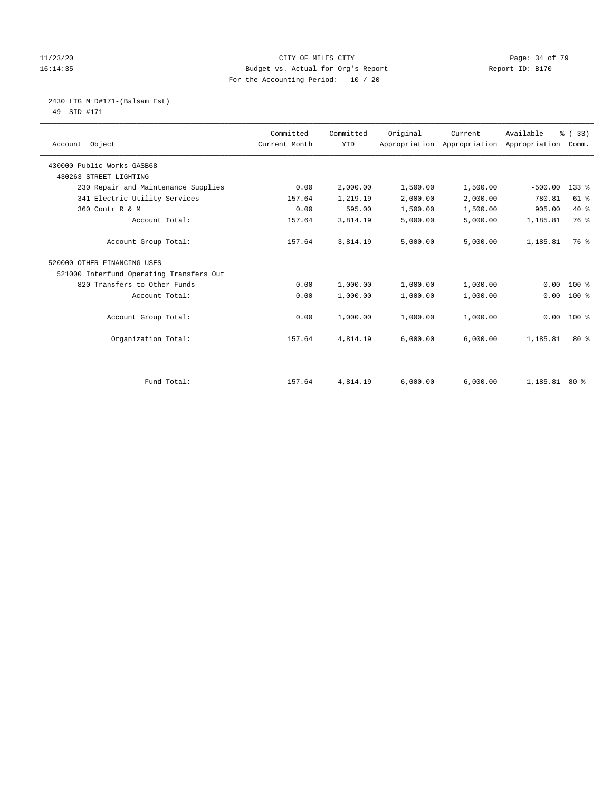#### 11/23/20 Page: 34 of 79 16:14:35 Budget vs. Actual for Org's Report Report ID: B170 For the Accounting Period: 10 / 20

 2430 LTG M D#171-(Balsam Est) 49 SID #171

| Account Object                           | Committed<br>Current Month | Committed<br><b>YTD</b> | Original | Current<br>Appropriation Appropriation Appropriation Comm. | Available     | % (33)    |
|------------------------------------------|----------------------------|-------------------------|----------|------------------------------------------------------------|---------------|-----------|
| 430000 Public Works-GASB68               |                            |                         |          |                                                            |               |           |
| 430263 STREET LIGHTING                   |                            |                         |          |                                                            |               |           |
| 230 Repair and Maintenance Supplies      | 0.00                       | 2,000.00                | 1,500.00 | 1,500.00                                                   | $-500.00$     | $133$ $%$ |
| 341 Electric Utility Services            | 157.64                     | 1,219.19                | 2,000.00 | 2,000.00                                                   | 780.81        | $61$ %    |
| 360 Contr R & M                          | 0.00                       | 595.00                  | 1,500.00 | 1,500.00                                                   | 905.00        | $40*$     |
| Account Total:                           | 157.64                     | 3,814.19                | 5,000.00 | 5,000.00                                                   | 1,185.81      | 76 %      |
| Account Group Total:                     | 157.64                     | 3,814.19                | 5,000.00 | 5,000.00                                                   | 1,185.81      | 76 %      |
| 520000 OTHER FINANCING USES              |                            |                         |          |                                                            |               |           |
| 521000 Interfund Operating Transfers Out |                            |                         |          |                                                            |               |           |
| 820 Transfers to Other Funds             | 0.00                       | 1,000.00                | 1,000.00 | 1,000.00                                                   | 0.00          | $100*$    |
| Account Total:                           | 0.00                       | 1,000.00                | 1,000.00 | 1,000.00                                                   | 0.00          | $100*$    |
| Account Group Total:                     | 0.00                       | 1,000.00                | 1,000.00 | 1,000.00                                                   | 0.00          | $100*$    |
| Organization Total:                      | 157.64                     | 4,814.19                | 6,000.00 | 6,000.00                                                   | 1,185.81      | $80*$     |
|                                          |                            |                         |          |                                                            |               |           |
| Fund Total:                              | 157.64                     | 4,814.19                | 6,000.00 | 6,000.00                                                   | 1,185.81 80 % |           |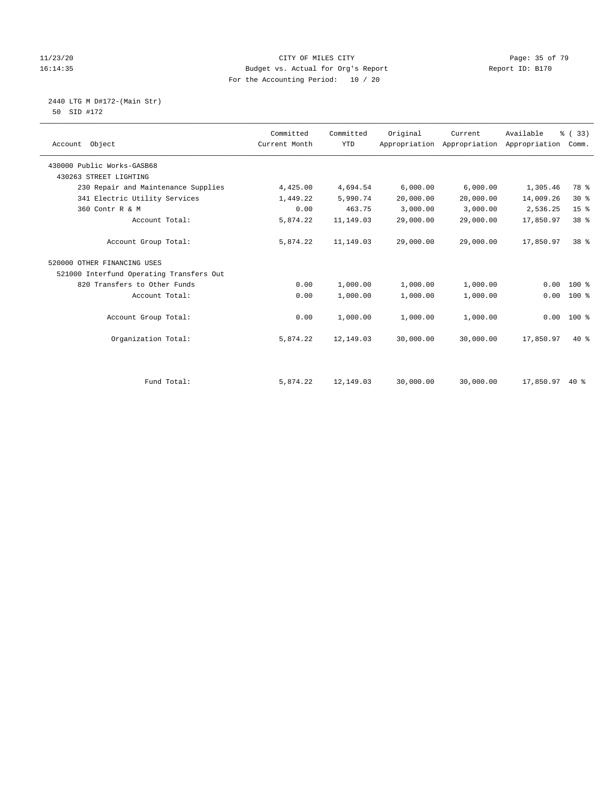#### 11/23/20 Page: 35 of 79 16:14:35 Budget vs. Actual for Org's Report Report ID: B170 For the Accounting Period: 10 / 20

 2440 LTG M D#172-(Main Str) 50 SID #172

| Account Object                           | Committed<br>Current Month | Committed<br><b>YTD</b> | Original  | Current<br>Appropriation Appropriation | Available<br>Appropriation | % (33)<br>Comm. |  |
|------------------------------------------|----------------------------|-------------------------|-----------|----------------------------------------|----------------------------|-----------------|--|
| 430000 Public Works-GASB68               |                            |                         |           |                                        |                            |                 |  |
| 430263 STREET LIGHTING                   |                            |                         |           |                                        |                            |                 |  |
|                                          |                            |                         |           |                                        |                            |                 |  |
| 230 Repair and Maintenance Supplies      | 4,425.00                   | 4,694.54                | 6,000.00  | 6,000.00                               | 1,305.46                   | 78 %            |  |
| 341 Electric Utility Services            | 1,449.22                   | 5,990.74                | 20,000.00 | 20,000.00                              | 14,009.26                  | $30*$           |  |
| 360 Contr R & M                          | 0.00                       | 463.75                  | 3,000.00  | 3,000.00                               | 2,536.25                   | 15 <sup>°</sup> |  |
| Account Total:                           | 5,874.22                   | 11,149.03               | 29,000.00 | 29,000.00                              | 17,850.97                  | 38 %            |  |
|                                          |                            |                         |           |                                        |                            |                 |  |
| Account Group Total:                     | 5,874.22                   | 11,149.03               | 29,000.00 | 29,000.00                              | 17,850.97                  | 38 %            |  |
| 520000 OTHER FINANCING USES              |                            |                         |           |                                        |                            |                 |  |
| 521000 Interfund Operating Transfers Out |                            |                         |           |                                        |                            |                 |  |
| 820 Transfers to Other Funds             | 0.00                       | 1,000.00                | 1,000.00  | 1,000.00                               | 0.00                       | $100$ %         |  |
| Account Total:                           | 0.00                       | 1,000.00                | 1,000.00  | 1,000.00                               | 0.00                       | 100 %           |  |
| Account Group Total:                     | 0.00                       | 1,000.00                | 1,000.00  | 1,000.00                               | 0.00                       | 100 %           |  |
| Organization Total:                      | 5,874.22                   | 12,149.03               | 30,000.00 | 30,000.00                              | 17,850.97                  | $40*$           |  |
|                                          |                            |                         |           |                                        |                            |                 |  |
| Fund Total:                              | 5,874.22                   | 12,149.03               | 30,000.00 | 30,000.00                              | 17,850.97                  | $40*$           |  |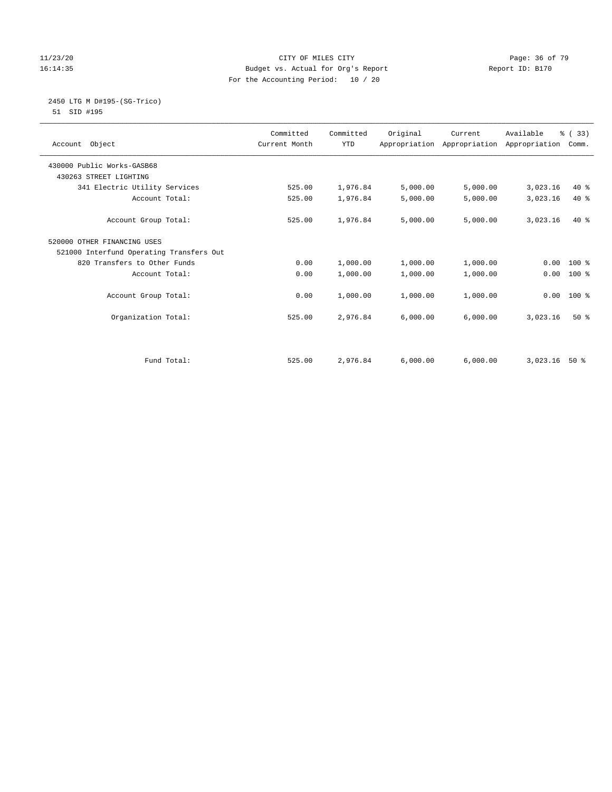#### 11/23/20 Page: 36 of 79 16:14:35 Budget vs. Actual for Org's Report Report ID: B170 For the Accounting Period: 10 / 20

#### 2450 LTG M D#195-(SG-Trico) 51 SID #195

| Account Object                           | Committed<br>Current Month | Committed<br><b>YTD</b> | Original | Current<br>Appropriation Appropriation Appropriation | Available | % (33)<br>Comm. |
|------------------------------------------|----------------------------|-------------------------|----------|------------------------------------------------------|-----------|-----------------|
| 430000 Public Works-GASB68               |                            |                         |          |                                                      |           |                 |
| 430263 STREET LIGHTING                   |                            |                         |          |                                                      |           |                 |
| 341 Electric Utility Services            | 525.00                     | 1,976.84                | 5,000.00 | 5,000.00                                             | 3,023.16  | $40*$           |
| Account Total:                           | 525.00                     | 1,976.84                | 5,000.00 | 5,000.00                                             | 3,023.16  | $40*$           |
| Account Group Total:                     | 525.00                     | 1,976.84                | 5,000.00 | 5,000.00                                             | 3,023.16  | $40*$           |
| 520000 OTHER FINANCING USES              |                            |                         |          |                                                      |           |                 |
| 521000 Interfund Operating Transfers Out |                            |                         |          |                                                      |           |                 |
| 820 Transfers to Other Funds             | 0.00                       | 1,000.00                | 1,000.00 | 1,000.00                                             | 0.00      | $100*$          |
| Account Total:                           | 0.00                       | 1,000.00                | 1,000.00 | 1,000.00                                             | 0.00      | 100 %           |
| Account Group Total:                     | 0.00                       | 1,000.00                | 1,000.00 | 1,000.00                                             | 0.00      | $100*$          |
| Organization Total:                      | 525.00                     | 2,976.84                | 6,000.00 | 6,000.00                                             | 3,023.16  | $50*$           |
|                                          |                            |                         |          |                                                      |           |                 |
| Fund Total:                              | 525.00                     | 2,976.84                | 6.000.00 | 6.000.00                                             | 3,023.16  | $50*$           |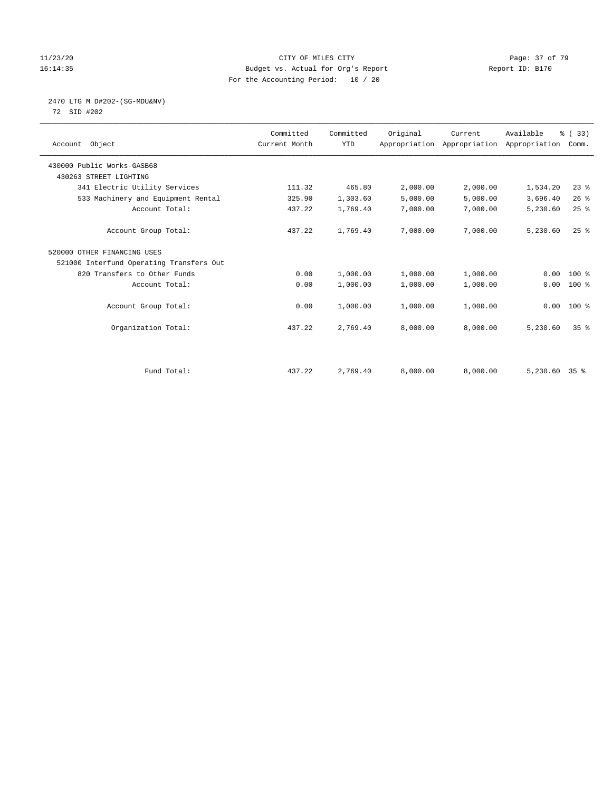## 11/23/20 Page: 37 of 79 16:14:35 Budget vs. Actual for Org's Report Report ID: B170 For the Accounting Period: 10 / 20

# 2470 LTG M D#202-(SG-MDU&NV)

72 SID #202

| Account Object                           | Committed<br>Current Month | Committed<br><b>YTD</b> | Original | Current<br>Appropriation Appropriation Appropriation | Available       | % (33)<br>Comm. |  |
|------------------------------------------|----------------------------|-------------------------|----------|------------------------------------------------------|-----------------|-----------------|--|
| 430000 Public Works-GASB68               |                            |                         |          |                                                      |                 |                 |  |
| 430263 STREET LIGHTING                   |                            |                         |          |                                                      |                 |                 |  |
| 341 Electric Utility Services            | 111.32                     | 465.80                  | 2,000.00 | 2,000.00                                             | 1,534.20        | $23$ $%$        |  |
| 533 Machinery and Equipment Rental       | 325.90                     | 1,303.60                | 5,000.00 | 5,000.00                                             | 3,696.40        | 26%             |  |
| Account Total:                           | 437.22                     | 1,769.40                | 7,000.00 | 7,000.00                                             | 5,230.60        | $25$ $%$        |  |
| Account Group Total:                     | 437.22                     | 1,769.40                | 7,000.00 | 7,000.00                                             | 5,230.60        | $25$ $%$        |  |
| 520000 OTHER FINANCING USES              |                            |                         |          |                                                      |                 |                 |  |
| 521000 Interfund Operating Transfers Out |                            |                         |          |                                                      |                 |                 |  |
| 820 Transfers to Other Funds             | 0.00                       | 1,000.00                | 1,000.00 | 1,000.00                                             | 0.00            | 100 %           |  |
| Account Total:                           | 0.00                       | 1,000.00                | 1,000.00 | 1,000.00                                             | 0.00            | $100$ %         |  |
| Account Group Total:                     | 0.00                       | 1,000.00                | 1,000.00 | 1,000.00                                             | 0.00            | 100 %           |  |
| Organization Total:                      | 437.22                     | 2,769.40                | 8,000.00 | 8,000.00                                             | 5,230.60        | 35 <sup>8</sup> |  |
|                                          |                            |                         |          |                                                      |                 |                 |  |
| Fund Total:                              | 437.22                     | 2,769.40                | 8,000.00 | 8,000.00                                             | $5,230.60$ 35 % |                 |  |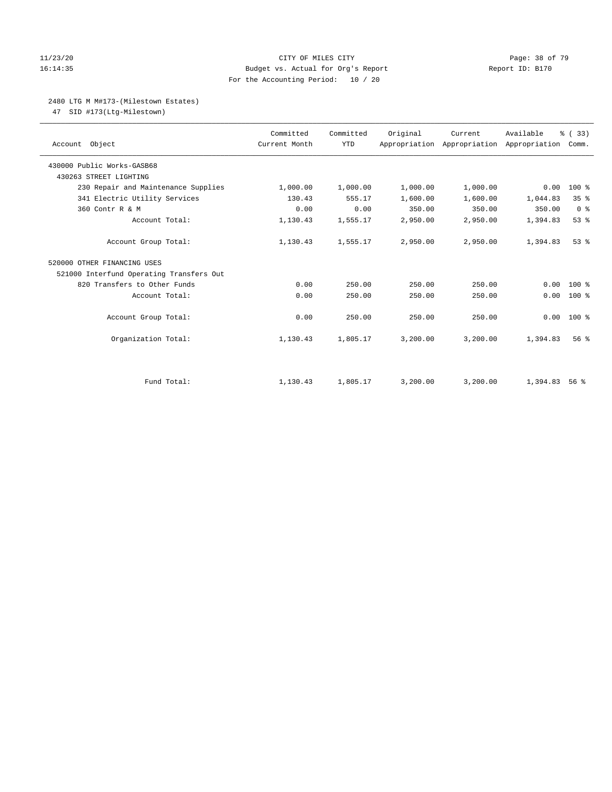## 11/23/20 Page: 38 of 79 16:14:35 Budget vs. Actual for Org's Report Report ID: B170 For the Accounting Period: 10 / 20

## 2480 LTG M M#173-(Milestown Estates)

47 SID #173(Ltg-Milestown)

| Account Object                           | Committed<br>Current Month | Committed<br><b>YTD</b> | Original | Current<br>Appropriation Appropriation Appropriation Comm. | Available | % (33)          |
|------------------------------------------|----------------------------|-------------------------|----------|------------------------------------------------------------|-----------|-----------------|
| 430000 Public Works-GASB68               |                            |                         |          |                                                            |           |                 |
| 430263 STREET LIGHTING                   |                            |                         |          |                                                            |           |                 |
| 230 Repair and Maintenance Supplies      | 1,000.00                   | 1,000.00                | 1,000.00 | 1,000.00                                                   | 0.00      | 100 %           |
| 341 Electric Utility Services            | 130.43                     | 555.17                  | 1,600.00 | 1,600.00                                                   | 1,044.83  | 35%             |
| 360 Contr R & M                          | 0.00                       | 0.00                    | 350.00   | 350.00                                                     | 350.00    | 0 <sup>8</sup>  |
| Account Total:                           | 1,130.43                   | 1,555.17                | 2,950.00 | 2,950.00                                                   | 1,394.83  | 53%             |
| Account Group Total:                     | 1,130.43                   | 1,555.17                | 2,950.00 | 2,950.00                                                   | 1,394.83  | $53$ $%$        |
| 520000 OTHER FINANCING USES              |                            |                         |          |                                                            |           |                 |
| 521000 Interfund Operating Transfers Out |                            |                         |          |                                                            |           |                 |
| 820 Transfers to Other Funds             | 0.00                       | 250.00                  | 250.00   | 250.00                                                     | 0.00      | $100*$          |
| Account Total:                           | 0.00                       | 250.00                  | 250.00   | 250.00                                                     | 0.00      | $100*$          |
| Account Group Total:                     | 0.00                       | 250.00                  | 250.00   | 250.00                                                     | 0.00      | $100*$          |
| Organization Total:                      | 1,130.43                   | 1,805.17                | 3,200.00 | 3,200.00                                                   | 1,394.83  | 56 <sup>8</sup> |
|                                          |                            |                         |          |                                                            |           |                 |
| Fund Total:                              | 1,130.43                   | 1,805.17                | 3,200.00 | 3,200.00                                                   | 1,394.83  | 56%             |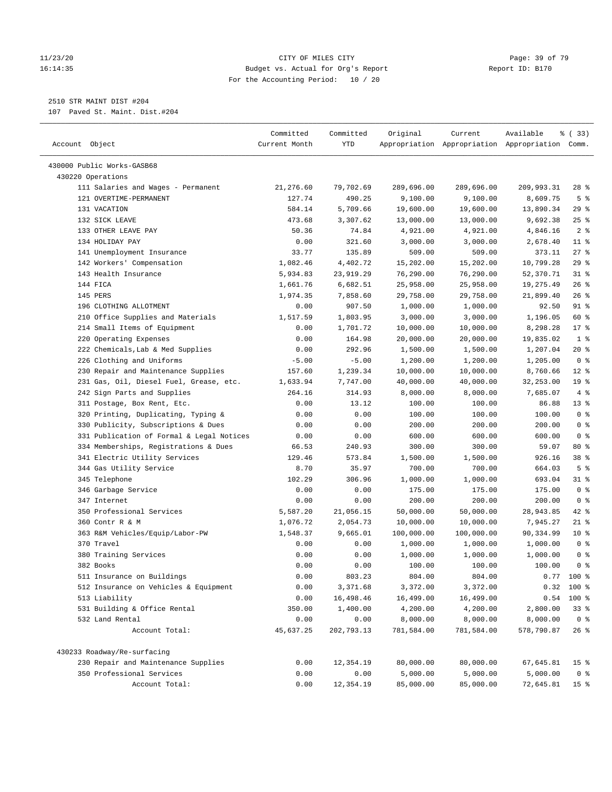## 11/23/20 Page: 39 of 79 16:14:35 Budget vs. Actual for Org's Report Report ID: B170 For the Accounting Period: 10 / 20

————————————————————————————————————————————————————————————————————————————————————————————————————————————————————————————————————

# 2510 STR MAINT DIST #204

107 Paved St. Maint. Dist.#204

|                                           | Committed     | Committed  | Original   | Current    | Available                                       | % (33)          |
|-------------------------------------------|---------------|------------|------------|------------|-------------------------------------------------|-----------------|
| Account Object                            | Current Month | <b>YTD</b> |            |            | Appropriation Appropriation Appropriation Comm. |                 |
|                                           |               |            |            |            |                                                 |                 |
| 430000 Public Works-GASB68                |               |            |            |            |                                                 |                 |
| 430220 Operations                         |               |            |            |            |                                                 |                 |
| 111 Salaries and Wages - Permanent        | 21,276.60     | 79,702.69  | 289,696.00 | 289,696.00 | 209,993.31                                      | $28$ %          |
| 121 OVERTIME-PERMANENT                    | 127.74        | 490.25     | 9,100.00   | 9,100.00   | 8,609.75                                        | 5 <sup>°</sup>  |
| 131 VACATION                              | 584.14        | 5,709.66   | 19,600.00  | 19,600.00  | 13,890.34                                       | 29%             |
| 132 SICK LEAVE                            | 473.68        | 3,307.62   | 13,000.00  | 13,000.00  | 9,692.38                                        | 25%             |
| 133 OTHER LEAVE PAY                       | 50.36         | 74.84      | 4,921.00   | 4,921.00   | 4,846.16                                        | 2 <sup>8</sup>  |
| 134 HOLIDAY PAY                           | 0.00          | 321.60     | 3,000.00   | 3,000.00   | 2,678.40                                        | $11$ %          |
| 141 Unemployment Insurance                | 33.77         | 135.89     | 509.00     | 509.00     | 373.11                                          | $27$ %          |
| 142 Workers' Compensation                 | 1,082.46      | 4,402.72   | 15,202.00  | 15,202.00  | 10,799.28                                       | 29%             |
| 143 Health Insurance                      | 5,934.83      | 23,919.29  | 76,290.00  | 76,290.00  | 52,370.71                                       | $31$ %          |
| 144 FICA                                  | 1,661.76      | 6,682.51   | 25,958.00  | 25,958.00  | 19,275.49                                       | 26%             |
| 145 PERS                                  | 1,974.35      | 7,858.60   | 29,758.00  | 29,758.00  | 21,899.40                                       | 26%             |
| 196 CLOTHING ALLOTMENT                    | 0.00          | 907.50     | 1,000.00   | 1,000.00   | 92.50                                           | 91 %            |
| 210 Office Supplies and Materials         | 1,517.59      | 1,803.95   | 3,000.00   | 3,000.00   | 1,196.05                                        | 60 %            |
| 214 Small Items of Equipment              | 0.00          | 1,701.72   | 10,000.00  | 10,000.00  | 8,298.28                                        | $17*$           |
| 220 Operating Expenses                    | 0.00          | 164.98     | 20,000.00  | 20,000.00  | 19,835.02                                       | 1 <sup>°</sup>  |
| 222 Chemicals, Lab & Med Supplies         | 0.00          | 292.96     | 1,500.00   | 1,500.00   | 1,207.04                                        | $20*$           |
| 226 Clothing and Uniforms                 | $-5.00$       | $-5.00$    | 1,200.00   | 1,200.00   | 1,205.00                                        | 0 <sup>8</sup>  |
| 230 Repair and Maintenance Supplies       | 157.60        | 1,239.34   | 10,000.00  | 10,000.00  | 8,760.66                                        | $12*$           |
| 231 Gas, Oil, Diesel Fuel, Grease, etc.   | 1,633.94      | 7,747.00   | 40,000.00  | 40,000.00  | 32,253.00                                       | 19 <sup>°</sup> |
| 242 Sign Parts and Supplies               | 264.16        | 314.93     | 8,000.00   | 8,000.00   | 7,685.07                                        | 4%              |
| 311 Postage, Box Rent, Etc.               | 0.00          | 13.12      | 100.00     | 100.00     | 86.88                                           | 13 <sup>8</sup> |
| 320 Printing, Duplicating, Typing &       | 0.00          | 0.00       | 100.00     | 100.00     | 100.00                                          | 0 <sup>8</sup>  |
| 330 Publicity, Subscriptions & Dues       | 0.00          | 0.00       | 200.00     | 200.00     | 200.00                                          | 0 <sup>8</sup>  |
| 331 Publication of Formal & Legal Notices | 0.00          | 0.00       | 600.00     | 600.00     | 600.00                                          | 0 <sup>8</sup>  |
| 334 Memberships, Registrations & Dues     | 66.53         | 240.93     | 300.00     | 300.00     | 59.07                                           | 80 %            |
| 341 Electric Utility Services             | 129.46        | 573.84     | 1,500.00   | 1,500.00   | 926.16                                          | 38 <sup>8</sup> |
| 344 Gas Utility Service                   | 8.70          | 35.97      | 700.00     | 700.00     | 664.03                                          | 5 <sup>8</sup>  |
| 345 Telephone                             | 102.29        | 306.96     | 1,000.00   | 1,000.00   | 693.04                                          | $31$ %          |
| 346 Garbage Service                       | 0.00          | 0.00       | 175.00     | 175.00     | 175.00                                          | 0 <sup>8</sup>  |
| 347 Internet                              | 0.00          | 0.00       | 200.00     | 200.00     | 200.00                                          | 0 <sup>8</sup>  |
| 350 Professional Services                 | 5,587.20      | 21,056.15  | 50,000.00  | 50,000.00  | 28,943.85                                       | $42$ %          |
| 360 Contr R & M                           | 1,076.72      | 2,054.73   | 10,000.00  | 10,000.00  | 7,945.27                                        | $21$ %          |
| 363 R&M Vehicles/Equip/Labor-PW           | 1,548.37      | 9,665.01   | 100,000.00 | 100,000.00 | 90,334.99                                       | $10*$           |
| 370 Travel                                | 0.00          | 0.00       | 1,000.00   | 1,000.00   | 1,000.00                                        | 0 <sup>8</sup>  |
| 380 Training Services                     | 0.00          | 0.00       | 1,000.00   | 1,000.00   | 1,000.00                                        | 0 <sup>8</sup>  |
| 382 Books                                 | 0.00          | 0.00       | 100.00     | 100.00     | 100.00                                          | 0 <sup>8</sup>  |
| 511 Insurance on Buildings                | 0.00          | 803.23     | 804.00     | 804.00     |                                                 | $0.77$ 100 %    |
| 512 Insurance on Vehicles & Equipment     | 0.00          | 3,371.68   | 3,372.00   | 3,372.00   |                                                 | $0.32$ 100 %    |
| 513 Liability                             | 0.00          | 16,498.46  | 16,499.00  | 16,499.00  | 0.54                                            | 100 %           |
| 531 Building & Office Rental              | 350.00        | 1,400.00   | 4,200.00   | 4,200.00   | 2,800.00                                        | 33 <sup>8</sup> |
| 532 Land Rental                           | 0.00          | 0.00       | 8,000.00   | 8,000.00   | 8,000.00                                        | 0 <sup>8</sup>  |
| Account Total:                            | 45,637.25     | 202,793.13 | 781,584.00 | 781,584.00 | 578,790.87                                      | $26$ %          |
|                                           |               |            |            |            |                                                 |                 |
| 430233 Roadway/Re-surfacing               |               |            |            |            |                                                 |                 |
| 230 Repair and Maintenance Supplies       | 0.00          | 12,354.19  | 80,000.00  | 80,000.00  | 67,645.81                                       | 15 <sup>8</sup> |
| 350 Professional Services                 | 0.00          | 0.00       | 5,000.00   | 5,000.00   | 5,000.00                                        | 0 <sup>8</sup>  |
| Account Total:                            | 0.00          | 12,354.19  | 85,000.00  | 85,000.00  | 72,645.81                                       | 15 <sup>°</sup> |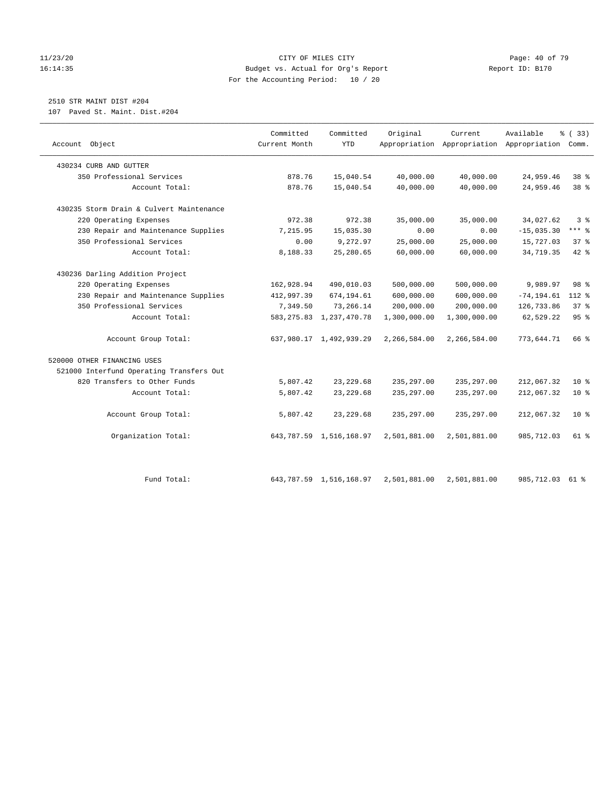## 11/23/20 Page: 40 of 79 16:14:35 Budget vs. Actual for Org's Report Report ID: B170 For the Accounting Period: 10 / 20

# 2510 STR MAINT DIST #204

107 Paved St. Maint. Dist.#204

| Account Object                           | Committed<br>Current Month | Committed<br><b>YTD</b>    | Original     | Current      | Available<br>Appropriation Appropriation Appropriation | % (33)<br>Comm. |
|------------------------------------------|----------------------------|----------------------------|--------------|--------------|--------------------------------------------------------|-----------------|
| 430234 CURB AND GUTTER                   |                            |                            |              |              |                                                        |                 |
| 350 Professional Services                | 878.76                     | 15,040.54                  | 40,000.00    | 40,000.00    | 24,959.46                                              | 38 %            |
| Account Total:                           | 878.76                     | 15,040.54                  | 40,000.00    | 40,000.00    | 24,959.46                                              | 38 %            |
| 430235 Storm Drain & Culvert Maintenance |                            |                            |              |              |                                                        |                 |
| 220 Operating Expenses                   | 972.38                     | 972.38                     | 35,000.00    | 35,000.00    | 34,027.62                                              | 3 <sup>8</sup>  |
| 230 Repair and Maintenance Supplies      | 7,215.95                   | 15,035.30                  | 0.00         | 0.00         | $-15,035.30$                                           | $***$ $%$       |
| 350 Professional Services                | 0.00                       | 9,272.97                   | 25,000.00    | 25,000.00    | 15,727.03                                              | 37%             |
| Account Total:                           | 8,188.33                   | 25,280.65                  | 60,000.00    | 60,000.00    | 34,719.35                                              | $42$ $%$        |
| 430236 Darling Addition Project          |                            |                            |              |              |                                                        |                 |
| 220 Operating Expenses                   | 162,928.94                 | 490,010.03                 | 500,000.00   | 500,000.00   | 9,989.97                                               | 98 %            |
| 230 Repair and Maintenance Supplies      | 412,997.39                 | 674,194.61                 | 600,000.00   | 600,000.00   | $-74, 194.61$                                          | 112 %           |
| 350 Professional Services                | 7,349.50                   | 73,266.14                  | 200,000.00   | 200,000.00   | 126,733.86                                             | 37.8            |
| Account Total:                           |                            | 583, 275.83 1, 237, 470.78 | 1,300,000.00 | 1,300,000.00 | 62,529.22                                              | 95%             |
| Account Group Total:                     |                            | 637,980.17 1,492,939.29    | 2,266,584.00 | 2,266,584.00 | 773,644.71                                             | 66 %            |
| 520000 OTHER FINANCING USES              |                            |                            |              |              |                                                        |                 |
| 521000 Interfund Operating Transfers Out |                            |                            |              |              |                                                        |                 |
| 820 Transfers to Other Funds             | 5,807.42                   | 23, 229.68                 | 235, 297.00  | 235, 297.00  | 212,067.32                                             | 10 <sup>8</sup> |
| Account Total:                           | 5,807.42                   | 23, 229.68                 | 235, 297.00  | 235, 297.00  | 212,067.32                                             | 10 <sup>°</sup> |
| Account Group Total:                     | 5,807.42                   | 23, 229.68                 | 235, 297.00  | 235, 297.00  | 212,067.32                                             | 10 <sup>8</sup> |
| Organization Total:                      |                            | 643, 787.59 1, 516, 168.97 | 2,501,881.00 | 2,501,881.00 | 985,712.03                                             | $61$ $%$        |
| Fund Total:                              |                            | 643, 787.59 1, 516, 168.97 | 2,501,881.00 | 2,501,881.00 | 985,712.03                                             | 61 %            |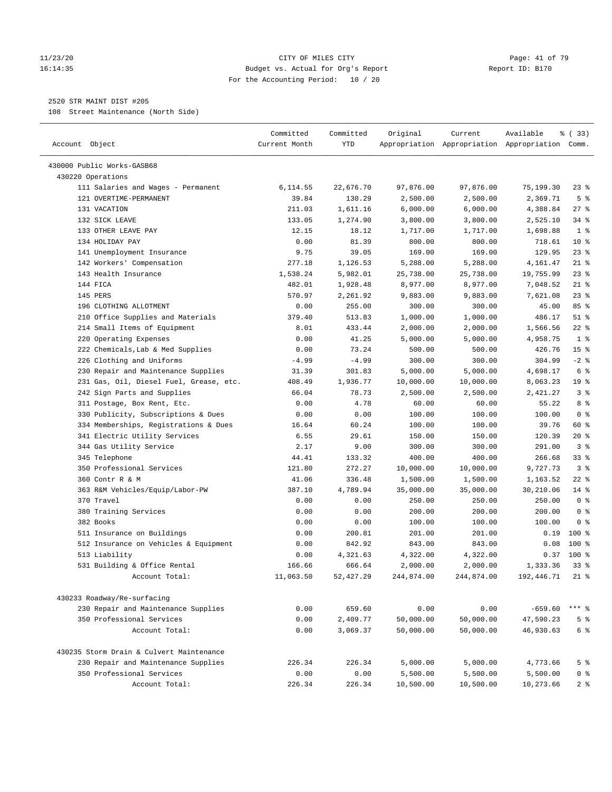## 11/23/20 Page: 41 of 79 16:14:35 Budget vs. Actual for Org's Report Report ID: B170 For the Accounting Period: 10 / 20

————————————————————————————————————————————————————————————————————————————————————————————————————————————————————————————————————

## 2520 STR MAINT DIST #205

108 Street Maintenance (North Side)

| Account Object                                                 | Committed<br>Current Month | Committed<br>YTD  | Original              | Current    | Available<br>Appropriation Appropriation Appropriation Comm. | १ (33)                    |
|----------------------------------------------------------------|----------------------------|-------------------|-----------------------|------------|--------------------------------------------------------------|---------------------------|
|                                                                |                            |                   |                       |            |                                                              |                           |
| 430000 Public Works-GASB68                                     |                            |                   |                       |            |                                                              |                           |
| 430220 Operations                                              |                            |                   |                       |            |                                                              |                           |
| 111 Salaries and Wages - Permanent                             | 6,114.55                   | 22,676.70         | 97,876.00             | 97,876.00  | 75,199.30                                                    | $23$ %                    |
| 121 OVERTIME-PERMANENT                                         | 39.84                      | 130.29            | 2,500.00              | 2,500.00   | 2,369.71                                                     | 5 <sup>8</sup><br>$27$ %  |
| 131 VACATION<br>132 SICK LEAVE                                 | 211.03                     | 1,611.16          | 6,000.00              | 6,000.00   | 4,388.84                                                     | $34$ $%$                  |
| 133 OTHER LEAVE PAY                                            | 133.05<br>12.15            | 1,274.90<br>18.12 | 3,800.00              | 3,800.00   | 2,525.10<br>1,698.88                                         | 1 <sup>°</sup>            |
|                                                                |                            |                   | 1,717.00              | 1,717.00   |                                                              | $10*$                     |
| 134 HOLIDAY PAY<br>141 Unemployment Insurance                  | 0.00<br>9.75               | 81.39<br>39.05    | 800.00                | 800.00     | 718.61<br>129.95                                             | $23$ $%$                  |
|                                                                | 277.18                     |                   | 169.00                | 169.00     |                                                              | $21$ %                    |
| 142 Workers' Compensation<br>143 Health Insurance              |                            | 1,126.53          | 5,288.00<br>25,738.00 | 5,288.00   | 4,161.47                                                     | 23%                       |
|                                                                | 1,538.24                   | 5,982.01          |                       | 25,738.00  | 19,755.99                                                    |                           |
| 144 FICA                                                       | 482.01                     | 1,928.48          | 8,977.00              | 8,977.00   | 7,048.52                                                     | $21$ %                    |
| 145 PERS                                                       | 570.97                     | 2,261.92          | 9,883.00              | 9,883.00   | 7,621.08                                                     | $23$ $%$                  |
| 196 CLOTHING ALLOTMENT                                         | 0.00                       | 255.00            | 300.00                | 300.00     | 45.00                                                        | 85%<br>$51$ %             |
| 210 Office Supplies and Materials                              | 379.40                     | 513.83            | 1,000.00              | 1,000.00   | 486.17                                                       | $22$ %                    |
| 214 Small Items of Equipment                                   | 8.01                       | 433.44            | 2,000.00              | 2,000.00   | 1,566.56                                                     | 1 <sup>°</sup>            |
| 220 Operating Expenses                                         | 0.00                       | 41.25             | 5,000.00              | 5,000.00   | 4,958.75                                                     |                           |
| 222 Chemicals, Lab & Med Supplies<br>226 Clothing and Uniforms | 0.00                       | 73.24             | 500.00                | 500.00     | 426.76                                                       | 15 <sup>°</sup><br>$-2$ % |
|                                                                | $-4.99$                    | $-4.99$           | 300.00                | 300.00     | 304.99                                                       | 6 <sup>°</sup>            |
| 230 Repair and Maintenance Supplies                            | 31.39                      | 301.83            | 5,000.00              | 5,000.00   | 4,698.17                                                     | 19 <sup>°</sup>           |
| 231 Gas, Oil, Diesel Fuel, Grease, etc.                        | 408.49                     | 1,936.77          | 10,000.00             | 10,000.00  | 8,063.23                                                     |                           |
| 242 Sign Parts and Supplies                                    | 66.04                      | 78.73             | 2,500.00              | 2,500.00   | 2,421.27                                                     | 3%                        |
| 311 Postage, Box Rent, Etc.                                    | 0.00                       | 4.78              | 60.00                 | 60.00      | 55.22                                                        | 8 %                       |
| 330 Publicity, Subscriptions & Dues                            | 0.00                       | 0.00              | 100.00                | 100.00     | 100.00                                                       | 0 <sup>8</sup>            |
| 334 Memberships, Registrations & Dues                          | 16.64                      | 60.24             | 100.00                | 100.00     | 39.76                                                        | 60 %                      |
| 341 Electric Utility Services                                  | 6.55                       | 29.61             | 150.00                | 150.00     | 120.39                                                       | 20%                       |
| 344 Gas Utility Service                                        | 2.17                       | 9.00              | 300.00                | 300.00     | 291.00                                                       | 3%                        |
| 345 Telephone                                                  | 44.41                      | 133.32            | 400.00                | 400.00     | 266.68                                                       | $33$ $%$                  |
| 350 Professional Services                                      | 121.80                     | 272.27            | 10,000.00             | 10,000.00  | 9,727.73                                                     | 3 <sup>8</sup>            |
| 360 Contr R & M                                                | 41.06                      | 336.48            | 1,500.00              | 1,500.00   | 1,163.52                                                     | $22$ %                    |
| 363 R&M Vehicles/Equip/Labor-PW                                | 387.10                     | 4,789.94          | 35,000.00             | 35,000.00  | 30,210.06                                                    | $14*$                     |
| 370 Travel                                                     | 0.00                       | 0.00              | 250.00                | 250.00     | 250.00                                                       | 0 <sup>°</sup>            |
| 380 Training Services                                          | 0.00                       | 0.00              | 200.00                | 200.00     | 200.00                                                       | 0 <sup>8</sup>            |
| 382 Books                                                      | 0.00                       | 0.00              | 100.00                | 100.00     | 100.00                                                       | 0 <sup>8</sup>            |
| 511 Insurance on Buildings                                     | 0.00                       | 200.81            | 201.00                | 201.00     | 0.19                                                         | $100*$                    |
| 512 Insurance on Vehicles & Equipment                          | 0.00                       | 842.92            | 843.00                | 843.00     | 0.08                                                         | $100*$                    |
| 513 Liability                                                  | 0.00                       | 4,321.63          | 4,322.00              | 4,322.00   | 0.37                                                         | $100*$                    |
| 531 Building & Office Rental                                   | 166.66                     | 666.64            | 2,000.00              | 2,000.00   | 1,333.36                                                     | 33 <sup>8</sup>           |
| Account Total:                                                 | 11,063.50                  | 52, 427.29        | 244,874.00            | 244,874.00 | 192,446.71                                                   | $21$ %                    |
| 430233 Roadway/Re-surfacing                                    |                            |                   |                       |            |                                                              |                           |
| 230 Repair and Maintenance Supplies                            | 0.00                       | 659.60            | 0.00                  | 0.00       | $-659.60$                                                    | $***$ $%$                 |
| 350 Professional Services                                      | 0.00                       | 2,409.77          | 50,000.00             | 50,000.00  | 47,590.23                                                    | 5 <sup>8</sup>            |
| Account Total:                                                 | 0.00                       | 3,069.37          | 50,000.00             | 50,000.00  | 46,930.63                                                    | $6\degree$                |
| 430235 Storm Drain & Culvert Maintenance                       |                            |                   |                       |            |                                                              |                           |
| 230 Repair and Maintenance Supplies                            | 226.34                     | 226.34            | 5,000.00              | 5,000.00   | 4,773.66                                                     | 5 <sup>°</sup>            |
| 350 Professional Services                                      | 0.00                       | 0.00              | 5,500.00              | 5,500.00   | 5,500.00                                                     | 0 <sup>8</sup>            |
| Account Total:                                                 | 226.34                     | 226.34            | 10,500.00             | 10,500.00  | 10,273.66                                                    | 2%                        |
|                                                                |                            |                   |                       |            |                                                              |                           |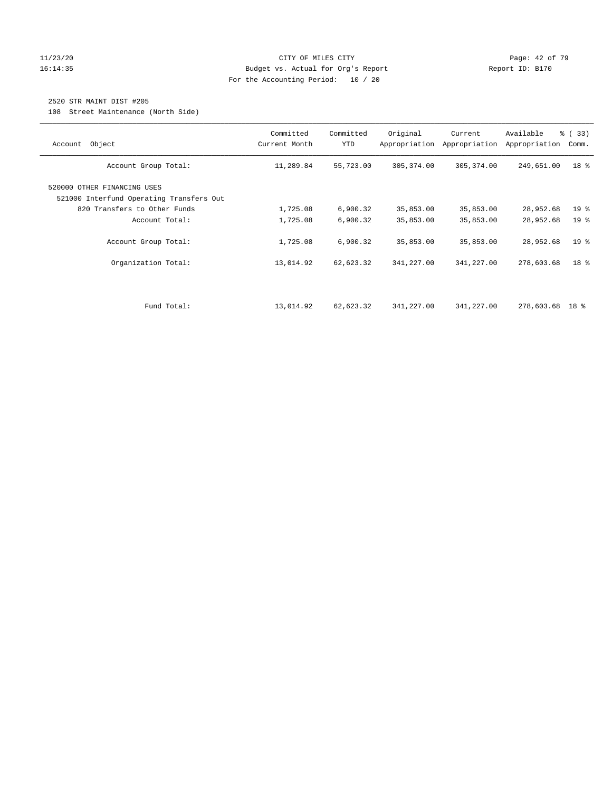## 11/23/20 Page: 42 of 79 16:14:35 Budget vs. Actual for Org's Report Report ID: B170 For the Accounting Period: 10 / 20

## 2520 STR MAINT DIST #205

108 Street Maintenance (North Side)

| Account Object                                                          | Committed<br>Current Month | Committed<br><b>YTD</b> | Original<br>Appropriation | Current<br>Appropriation | Available<br>Appropriation | % (33)<br>Comm. |
|-------------------------------------------------------------------------|----------------------------|-------------------------|---------------------------|--------------------------|----------------------------|-----------------|
| Account Group Total:                                                    | 11,289.84                  | 55,723.00               | 305, 374.00               | 305, 374.00              | 249,651.00                 | 18 %            |
| 520000 OTHER FINANCING USES<br>521000 Interfund Operating Transfers Out |                            |                         |                           |                          |                            |                 |
| 820 Transfers to Other Funds                                            | 1,725.08                   | 6,900.32                | 35,853.00                 | 35,853.00                | 28,952.68                  | 19 <sup>°</sup> |
| Account Total:                                                          | 1,725.08                   | 6,900.32                | 35,853.00                 | 35,853.00                | 28,952.68                  | 19 <sup>°</sup> |
| Account Group Total:                                                    | 1,725.08                   | 6,900.32                | 35,853.00                 | 35,853.00                | 28,952.68                  | 19 <sup>°</sup> |
| Organization Total:                                                     | 13,014.92                  | 62,623.32               | 341,227.00                | 341,227.00               | 278,603.68                 | 18 %            |
| Fund Total:                                                             | 13,014.92                  | 62,623.32               | 341,227.00                | 341,227.00               | 278,603.68 18 %            |                 |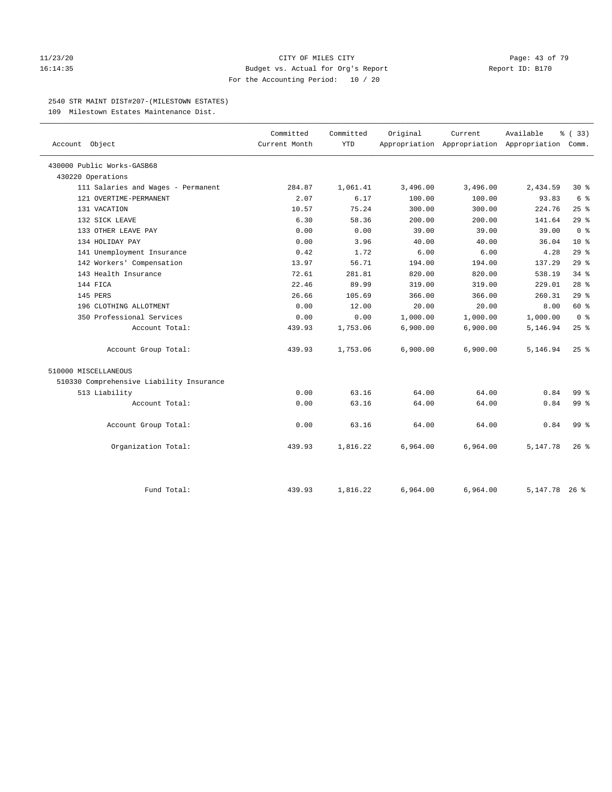## 11/23/20 **CITY OF MILES CITY CITY CITY Page: 43 of 79** 16:14:35 Budget vs. Actual for Org's Report Report ID: B170 For the Accounting Period: 10 / 20

## 2540 STR MAINT DIST#207-(MILESTOWN ESTATES)

109 Milestown Estates Maintenance Dist.

| Account Object                           | Committed<br>Current Month | Committed<br><b>YTD</b> | Original | Current  | Available<br>Appropriation Appropriation Appropriation Comm. | % (33)             |
|------------------------------------------|----------------------------|-------------------------|----------|----------|--------------------------------------------------------------|--------------------|
|                                          |                            |                         |          |          |                                                              |                    |
| 430000 Public Works-GASB68               |                            |                         |          |          |                                                              |                    |
| 430220 Operations                        |                            |                         |          |          |                                                              |                    |
| 111 Salaries and Wages - Permanent       | 284.87                     | 1,061.41                | 3,496.00 | 3,496.00 | 2,434.59                                                     | $30*$              |
| 121 OVERTIME-PERMANENT                   | 2.07                       | 6.17                    | 100.00   | 100.00   | 93.83                                                        | $6\degree$         |
| 131 VACATION                             | 10.57                      | 75.24                   | 300.00   | 300.00   | 224.76                                                       | 25%                |
| 132 SICK LEAVE                           | 6.30                       | 58.36                   | 200.00   | 200.00   | 141.64                                                       | 29%                |
| 133 OTHER LEAVE PAY                      | 0.00                       | 0.00                    | 39.00    | 39.00    | 39.00                                                        | 0 <sup>8</sup>     |
| 134 HOLIDAY PAY                          | 0.00                       | 3.96                    | 40.00    | 40.00    | 36.04                                                        | 10 <sup>8</sup>    |
| 141 Unemployment Insurance               | 0.42                       | 1.72                    | 6.00     | 6.00     | 4.28                                                         | 29%                |
| 142 Workers' Compensation                | 13.97                      | 56.71                   | 194.00   | 194.00   | 137.29                                                       | 29%                |
| 143 Health Insurance                     | 72.61                      | 281.81                  | 820.00   | 820.00   | 538.19                                                       | 34.8               |
| 144 FICA                                 | 22.46                      | 89.99                   | 319.00   | 319.00   | 229.01                                                       | $28$ %             |
| 145 PERS                                 | 26.66                      | 105.69                  | 366.00   | 366.00   | 260.31                                                       | 29%                |
| 196 CLOTHING ALLOTMENT                   | 0.00                       | 12.00                   | 20.00    | 20.00    | 8.00                                                         | 60 %               |
| 350 Professional Services                | 0.00                       | 0.00                    | 1,000.00 | 1,000.00 | 1,000.00                                                     | 0 <sup>8</sup>     |
| Account Total:                           | 439.93                     | 1,753.06                | 6,900.00 | 6,900.00 | 5,146.94                                                     | 25%                |
| Account Group Total:                     | 439.93                     | 1,753.06                | 6,900.00 | 6,900.00 | 5,146.94                                                     | $25$ $\frac{6}{5}$ |
| 510000 MISCELLANEOUS                     |                            |                         |          |          |                                                              |                    |
| 510330 Comprehensive Liability Insurance |                            |                         |          |          |                                                              |                    |
| 513 Liability                            | 0.00                       | 63.16                   | 64.00    | 64.00    | 0.84                                                         | 99.8               |
| Account Total:                           | 0.00                       | 63.16                   | 64.00    | 64.00    | 0.84                                                         | 99 <sub>8</sub>    |
| Account Group Total:                     | 0.00                       | 63.16                   | 64.00    | 64.00    | 0.84                                                         | 99 <sup>8</sup>    |
| Organization Total:                      | 439.93                     | 1,816.22                | 6,964.00 | 6,964.00 | 5,147.78                                                     | $26$ %             |
| Fund Total:                              | 439.93                     | 1,816.22                | 6,964.00 | 6,964.00 | 5, 147. 78 26 %                                              |                    |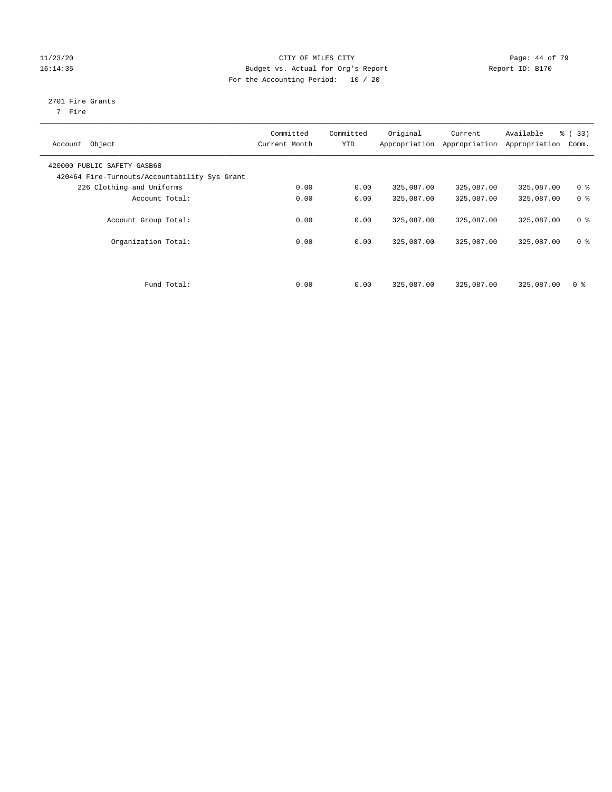## 11/23/20 Page: 44 of 79 16:14:35 Budget vs. Actual for Org's Report Report ID: B170 For the Accounting Period: 10 / 20

## 2701 Fire Grants

7 Fire

| Object<br>Account                             | Committed<br>Current Month | Committed<br><b>YTD</b> | Original<br>Appropriation | Current<br>Appropriation | Available<br>Appropriation | % (33)<br>Comm. |
|-----------------------------------------------|----------------------------|-------------------------|---------------------------|--------------------------|----------------------------|-----------------|
|                                               |                            |                         |                           |                          |                            |                 |
| 420000 PUBLIC SAFETY-GASB68                   |                            |                         |                           |                          |                            |                 |
| 420464 Fire-Turnouts/Accountability Sys Grant |                            |                         |                           |                          |                            |                 |
| 226 Clothing and Uniforms                     | 0.00                       | 0.00                    | 325,087.00                | 325,087.00               | 325,087.00                 | 0 <sup>8</sup>  |
| Account Total:                                | 0.00                       | 0.00                    | 325,087.00                | 325,087.00               | 325,087.00                 | 0 <sup>8</sup>  |
|                                               |                            |                         |                           |                          |                            |                 |
| Account Group Total:                          | 0.00                       | 0.00                    | 325,087.00                | 325,087.00               | 325,087.00                 | 0 <sup>8</sup>  |
|                                               |                            |                         |                           |                          |                            |                 |
| Organization Total:                           | 0.00                       | 0.00                    | 325,087.00                | 325,087.00               | 325,087.00                 | 0 <sup>8</sup>  |
|                                               |                            |                         |                           |                          |                            |                 |
|                                               |                            |                         |                           |                          |                            |                 |
|                                               |                            |                         |                           |                          |                            |                 |
| Fund Total:                                   | 0.00                       | 0.00                    | 325,087.00                | 325,087.00               | 325,087.00                 | 0 <sup>8</sup>  |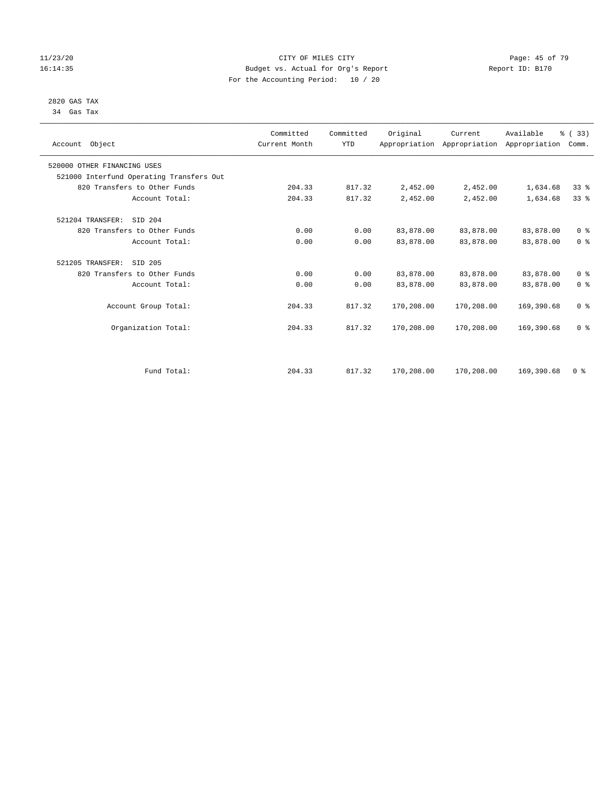## 11/23/20 Page: 45 of 79 16:14:35 Budget vs. Actual for Org's Report Report ID: B170 For the Accounting Period: 10 / 20

## 2820 GAS TAX 34 Gas Tax

| Account Object                           | Committed<br>Current Month | Committed<br><b>YTD</b> | Original   | Current<br>Appropriation Appropriation Appropriation | Available  | % (33)<br>Comm. |
|------------------------------------------|----------------------------|-------------------------|------------|------------------------------------------------------|------------|-----------------|
| 520000 OTHER FINANCING USES              |                            |                         |            |                                                      |            |                 |
| 521000 Interfund Operating Transfers Out |                            |                         |            |                                                      |            |                 |
| 820 Transfers to Other Funds             | 204.33                     | 817.32                  | 2,452.00   | 2,452.00                                             | 1,634.68   | 33 <sup>8</sup> |
| Account Total:                           | 204.33                     | 817.32                  | 2,452.00   | 2,452.00                                             | 1,634.68   | 33 <sup>8</sup> |
| 521204 TRANSFER:<br>SID 204              |                            |                         |            |                                                      |            |                 |
| 820 Transfers to Other Funds             | 0.00                       | 0.00                    | 83,878.00  | 83,878.00                                            | 83,878.00  | 0 <sup>8</sup>  |
| Account Total:                           | 0.00                       | 0.00                    | 83,878.00  | 83,878.00                                            | 83,878.00  | 0 <sup>8</sup>  |
| 521205 TRANSFER:<br>SID 205              |                            |                         |            |                                                      |            |                 |
| 820 Transfers to Other Funds             | 0.00                       | 0.00                    | 83,878.00  | 83,878.00                                            | 83,878.00  | 0 <sup>8</sup>  |
| Account Total:                           | 0.00                       | 0.00                    | 83,878.00  | 83,878.00                                            | 83,878.00  | 0 <sup>8</sup>  |
| Account Group Total:                     | 204.33                     | 817.32                  | 170,208.00 | 170,208.00                                           | 169,390.68 | 0 <sup>8</sup>  |
| Organization Total:                      | 204.33                     | 817.32                  | 170,208.00 | 170,208.00                                           | 169,390.68 | 0 <sup>8</sup>  |
|                                          |                            |                         |            |                                                      |            |                 |
| Fund Total:                              | 204.33                     | 817.32                  | 170,208.00 | 170,208.00                                           | 169,390.68 | 0 <sup>8</sup>  |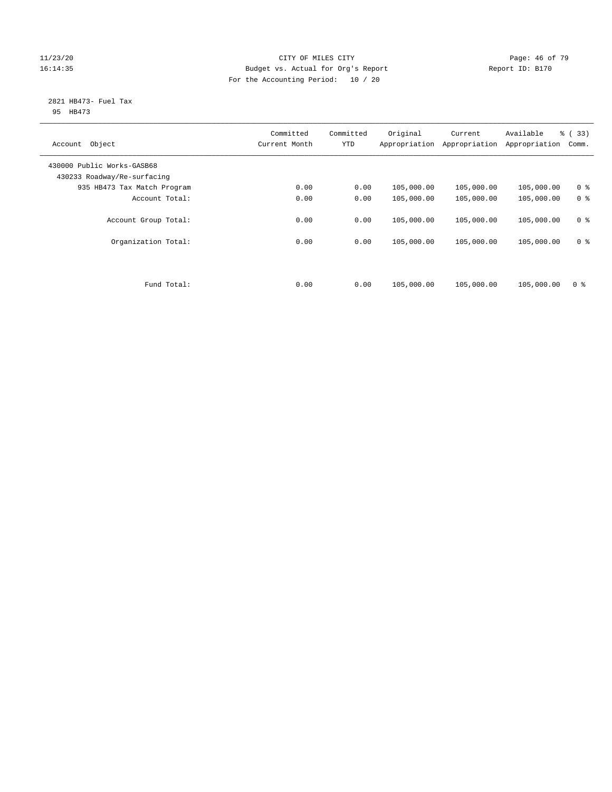## 11/23/20 Page: 46 of 79 16:14:35 Budget vs. Actual for Org's Report Report ID: B170 For the Accounting Period: 10 / 20

## 2821 HB473- Fuel Tax 95 HB473

| Object<br>Account                                         | Committed<br>Current Month | Committed<br><b>YTD</b> | Original<br>Appropriation | Current<br>Appropriation | Available<br>Appropriation | % (33)<br>Comm. |
|-----------------------------------------------------------|----------------------------|-------------------------|---------------------------|--------------------------|----------------------------|-----------------|
| 430000 Public Works-GASB68<br>430233 Roadway/Re-surfacing |                            |                         |                           |                          |                            |                 |
| 935 HB473 Tax Match Program                               | 0.00                       | 0.00                    | 105,000.00                | 105,000.00               | 105,000.00                 | 0 <sup>8</sup>  |
| Account Total:                                            | 0.00                       | 0.00                    | 105,000.00                | 105,000.00               | 105,000.00                 | 0 <sup>8</sup>  |
| Account Group Total:                                      | 0.00                       | 0.00                    | 105,000.00                | 105,000.00               | 105,000.00                 | 0 <sup>8</sup>  |
| Organization Total:                                       | 0.00                       | 0.00                    | 105,000.00                | 105,000.00               | 105,000.00                 | 0 <sup>8</sup>  |
|                                                           |                            |                         |                           |                          |                            |                 |
| Fund Total:                                               | 0.00                       | 0.00                    | 105,000.00                | 105,000.00               | 105,000.00                 | 0 <sup>8</sup>  |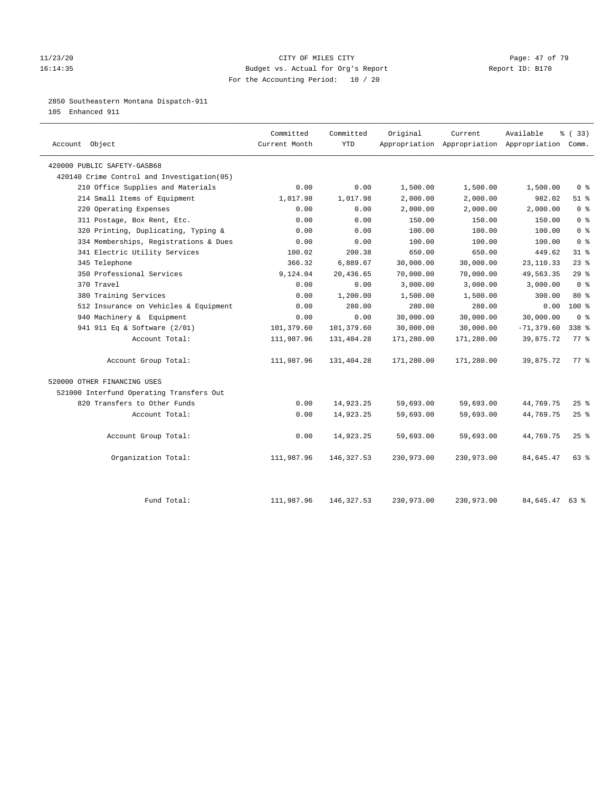## 11/23/20 Page: 47 of 79 16:14:35 Budget vs. Actual for Org's Report Report ID: B170 For the Accounting Period: 10 / 20

## 2850 Southeastern Montana Dispatch-911

105 Enhanced 911

| Account Object                             | Committed<br>Current Month | Committed<br><b>YTD</b> | Original   | Current    | Available<br>Appropriation Appropriation Appropriation Comm. | % (33)                             |
|--------------------------------------------|----------------------------|-------------------------|------------|------------|--------------------------------------------------------------|------------------------------------|
| 420000 PUBLIC SAFETY-GASB68                |                            |                         |            |            |                                                              |                                    |
| 420140 Crime Control and Investigation(05) |                            |                         |            |            |                                                              |                                    |
| 210 Office Supplies and Materials          | 0.00                       | 0.00                    | 1,500.00   | 1,500.00   | 1,500.00                                                     | 0 <sup>8</sup>                     |
| 214 Small Items of Equipment               | 1,017.98                   | 1,017.98                | 2,000.00   | 2,000.00   | 982.02                                                       | $51$ %                             |
| 220 Operating Expenses                     | 0.00                       | 0.00                    | 2,000.00   | 2,000.00   | 2,000.00                                                     | $0 \text{ }$ $\text{ }$ $\text{ }$ |
| 311 Postage, Box Rent, Etc.                | 0.00                       | 0.00                    | 150.00     | 150.00     | 150.00                                                       | 0 <sup>°</sup>                     |
| 320 Printing, Duplicating, Typing &        | 0.00                       | 0.00                    | 100.00     | 100.00     | 100.00                                                       | 0 <sup>8</sup>                     |
| 334 Memberships, Registrations & Dues      | 0.00                       | 0.00                    | 100.00     | 100.00     | 100.00                                                       | 0 <sup>8</sup>                     |
| 341 Electric Utility Services              | 100.02                     | 200.38                  | 650.00     | 650.00     | 449.62                                                       | 31.8                               |
| 345 Telephone                              | 366.32                     | 6,889.67                | 30,000.00  | 30,000.00  | 23, 110.33                                                   | $23$ $%$                           |
| 350 Professional Services                  | 9,124.04                   | 20,436.65               | 70,000.00  | 70,000.00  | 49,563.35                                                    | 29%                                |
| 370 Travel                                 | 0.00                       | 0.00                    | 3,000.00   | 3,000.00   | 3,000.00                                                     | 0 <sup>8</sup>                     |
| 380 Training Services                      | 0.00                       | 1,200.00                | 1,500.00   | 1,500.00   | 300.00                                                       | 80 %                               |
| 512 Insurance on Vehicles & Equipment      | 0.00                       | 280.00                  | 280.00     | 280.00     | 0.00                                                         | 100%                               |
| 940 Machinery & Equipment                  | 0.00                       | 0.00                    | 30,000.00  | 30,000.00  | 30,000.00                                                    | 0 <sup>8</sup>                     |
| 941 911 Eq & Software (2/01)               | 101,379.60                 | 101,379.60              | 30,000.00  | 30,000.00  | $-71, 379.60$                                                | 338 %                              |
| Account Total:                             | 111,987.96                 | 131,404.28              | 171,280.00 | 171,280.00 | 39,875.72                                                    | $77$ $\frac{6}{9}$                 |
| Account Group Total:                       | 111,987.96                 | 131,404.28              | 171,280.00 | 171,280.00 | 39,875.72                                                    | 77.8                               |
| 520000 OTHER FINANCING USES                |                            |                         |            |            |                                                              |                                    |
| 521000 Interfund Operating Transfers Out   |                            |                         |            |            |                                                              |                                    |
| 820 Transfers to Other Funds               | 0.00                       | 14,923.25               | 59,693.00  | 59,693.00  | 44,769.75                                                    | $25$ %                             |
| Account Total:                             | 0.00                       | 14,923.25               | 59,693.00  | 59,693.00  | 44,769.75                                                    | 25%                                |
| Account Group Total:                       | 0.00                       | 14,923.25               | 59,693.00  | 59,693.00  | 44,769.75                                                    | 25%                                |
| Organization Total:                        | 111,987.96                 | 146,327.53              | 230,973.00 | 230,973.00 | 84,645.47                                                    | $63$ $%$                           |
|                                            |                            |                         |            |            |                                                              |                                    |
| Fund Total:                                | 111,987.96                 | 146, 327.53             | 230,973.00 | 230,973.00 | 84,645.47                                                    | 63 %                               |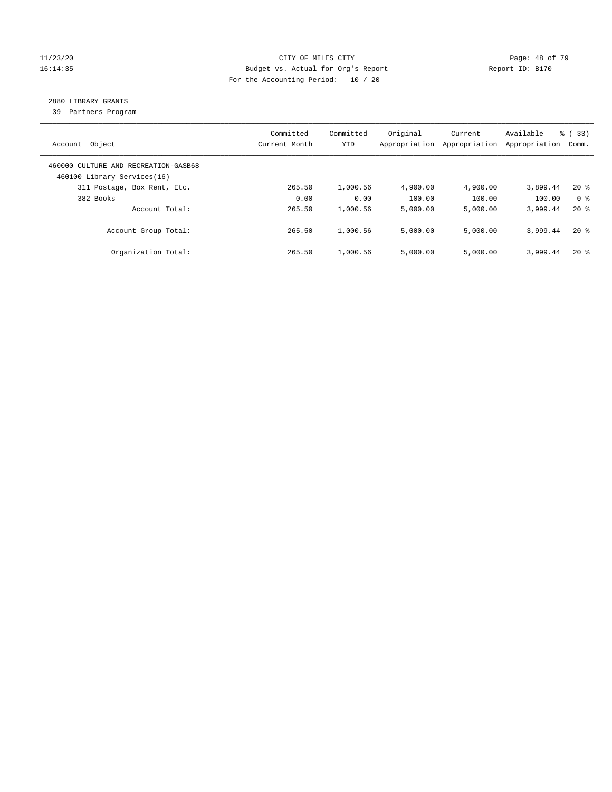## 11/23/20 Page: 48 of 79 16:14:35 Budget vs. Actual for Org's Report Report ID: B170 For the Accounting Period: 10 / 20

## 2880 LIBRARY GRANTS

39 Partners Program

| Account Object                                                      | Committed<br>Current Month | Committed<br><b>YTD</b> | Original<br>Appropriation | Current<br>Appropriation | Available<br>Appropriation | % (33)<br>Comm. |
|---------------------------------------------------------------------|----------------------------|-------------------------|---------------------------|--------------------------|----------------------------|-----------------|
| 460000 CULTURE AND RECREATION-GASB68<br>460100 Library Services(16) |                            |                         |                           |                          |                            |                 |
| 311 Postage, Box Rent, Etc.                                         | 265.50                     | 1,000.56                | 4,900.00                  | 4,900.00                 | 3,899.44                   | $20*$           |
| 382 Books                                                           | 0.00                       | 0.00                    | 100.00                    | 100.00                   | 100.00                     | 0 <sup>8</sup>  |
| Account Total:                                                      | 265.50                     | 1,000.56                | 5,000.00                  | 5,000.00                 | 3,999.44                   | $20*$           |
| Account Group Total:                                                | 265.50                     | 1,000.56                | 5,000.00                  | 5,000.00                 | 3,999.44                   | $20*$           |
| Organization Total:                                                 | 265.50                     | 1,000.56                | 5.000.00                  | 5,000.00                 | 3,999.44                   | $20*$           |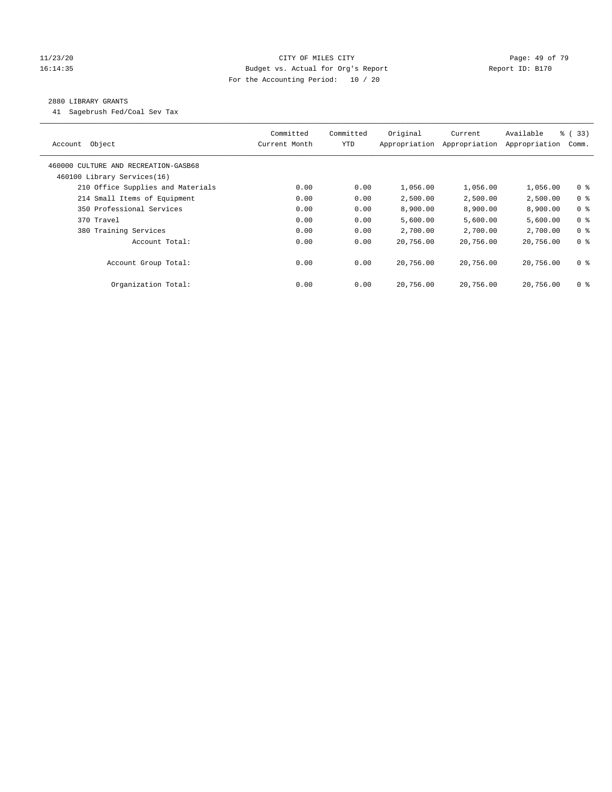## 11/23/20 Page: 49 of 79 16:14:35 Budget vs. Actual for Org's Report Report ID: B170 For the Accounting Period: 10 / 20

## 2880 LIBRARY GRANTS

41 Sagebrush Fed/Coal Sev Tax

| Object<br>Account                    | Committed<br>Current Month | Committed<br><b>YTD</b> | Original<br>Appropriation | Current<br>Appropriation | Available<br>Appropriation | % (33)<br>Comm. |
|--------------------------------------|----------------------------|-------------------------|---------------------------|--------------------------|----------------------------|-----------------|
| 460000 CULTURE AND RECREATION-GASB68 |                            |                         |                           |                          |                            |                 |
| 460100 Library Services(16)          |                            |                         |                           |                          |                            |                 |
| 210 Office Supplies and Materials    | 0.00                       | 0.00                    | 1,056.00                  | 1,056.00                 | 1,056.00                   | 0 <sub>8</sub>  |
| 214 Small Items of Equipment         | 0.00                       | 0.00                    | 2,500.00                  | 2,500.00                 | 2,500.00                   | 0 <sup>8</sup>  |
| 350 Professional Services            | 0.00                       | 0.00                    | 8,900.00                  | 8,900.00                 | 8,900.00                   | 0 <sup>8</sup>  |
| 370 Travel                           | 0.00                       | 0.00                    | 5,600.00                  | 5,600.00                 | 5,600.00                   | 0 <sup>8</sup>  |
| 380 Training Services                | 0.00                       | 0.00                    | 2,700.00                  | 2,700.00                 | 2,700.00                   | 0 <sup>8</sup>  |
| Account Total:                       | 0.00                       | 0.00                    | 20,756.00                 | 20,756.00                | 20,756.00                  | 0 <sup>8</sup>  |
| Account Group Total:                 | 0.00                       | 0.00                    | 20,756.00                 | 20,756.00                | 20,756.00                  | 0 <sup>8</sup>  |
| Organization Total:                  | 0.00                       | 0.00                    | 20,756.00                 | 20,756.00                | 20,756.00                  | 0 %             |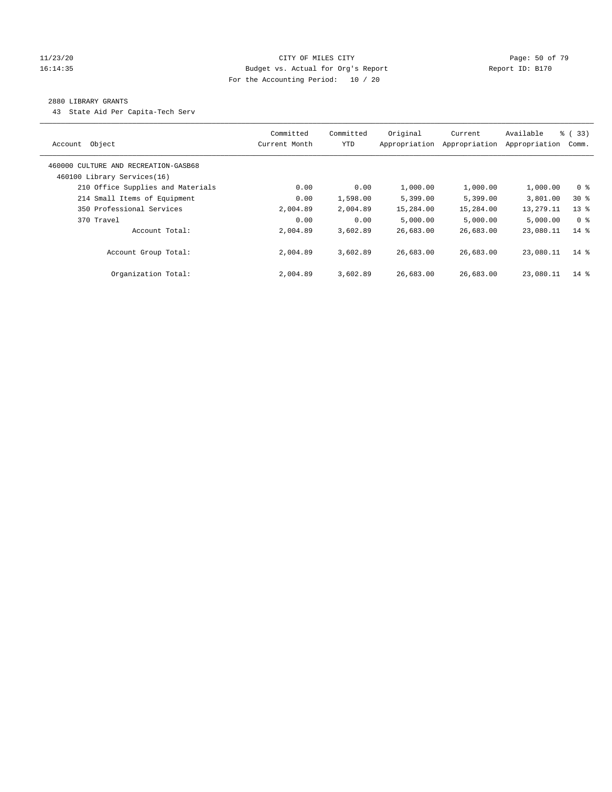## 11/23/20 Page: 50 of 79 16:14:35 Budget vs. Actual for Org's Report Report ID: B170 For the Accounting Period: 10 / 20

## 2880 LIBRARY GRANTS

43 State Aid Per Capita-Tech Serv

| Object<br>Account                                                   | Committed<br>Current Month | Committed<br><b>YTD</b> | Original<br>Appropriation | Current<br>Appropriation | Available<br>Appropriation | % (33)<br>Comm. |
|---------------------------------------------------------------------|----------------------------|-------------------------|---------------------------|--------------------------|----------------------------|-----------------|
| 460000 CULTURE AND RECREATION-GASB68<br>460100 Library Services(16) |                            |                         |                           |                          |                            |                 |
| 210 Office Supplies and Materials                                   | 0.00                       | 0.00                    | 1,000.00                  | 1,000.00                 | 1,000.00                   | 0 %             |
| 214 Small Items of Equipment                                        | 0.00                       | 1,598.00                | 5,399.00                  | 5,399.00                 | 3,801.00                   | $30*$           |
| 350 Professional Services                                           | 2,004.89                   | 2,004.89                | 15,284.00                 | 15,284.00                | 13,279.11                  | $13*$           |
| 370 Travel                                                          | 0.00                       | 0.00                    | 5,000.00                  | 5,000.00                 | 5,000.00                   | 0 <sup>8</sup>  |
| Account Total:                                                      | 2,004.89                   | 3,602.89                | 26,683.00                 | 26,683.00                | 23,080.11                  | $14*$           |
| Account Group Total:                                                | 2,004.89                   | 3,602.89                | 26,683.00                 | 26,683.00                | 23,080.11                  | $14*$           |
| Organization Total:                                                 | 2,004.89                   | 3,602.89                | 26,683.00                 | 26,683.00                | 23,080.11                  | 14 %            |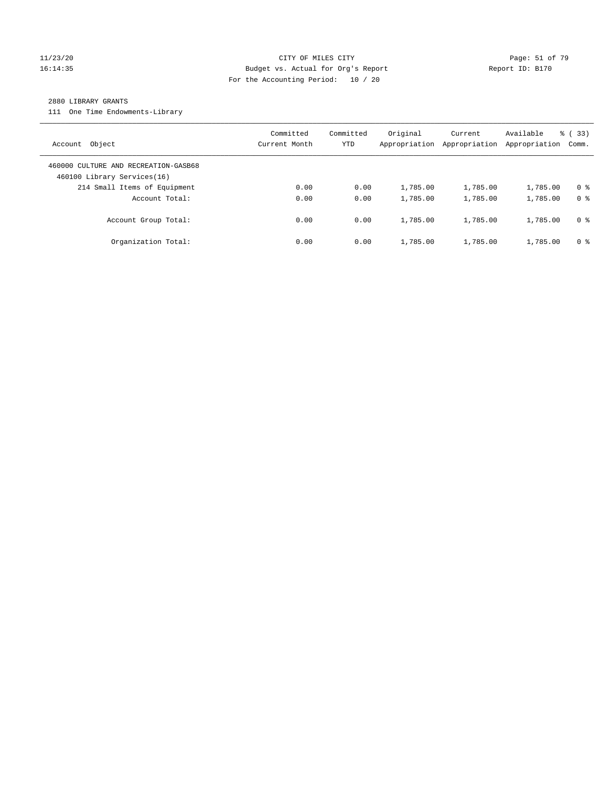## 11/23/20 Page: 51 of 79 16:14:35 Budget vs. Actual for Org's Report Report ID: B170 For the Accounting Period: 10 / 20

## 2880 LIBRARY GRANTS

111 One Time Endowments-Library

| Object<br>Account                                                   | Committed<br>Current Month | Committed<br>YTD | Original<br>Appropriation | Current<br>Appropriation | Available<br>Appropriation | % (33)<br>Comm. |
|---------------------------------------------------------------------|----------------------------|------------------|---------------------------|--------------------------|----------------------------|-----------------|
| 460000 CULTURE AND RECREATION-GASB68<br>460100 Library Services(16) |                            |                  |                           |                          |                            |                 |
| 214 Small Items of Equipment                                        | 0.00                       | 0.00             | 1,785.00                  | 1,785.00                 | 1,785.00                   | 0 <sup>8</sup>  |
| Account Total:                                                      | 0.00                       | 0.00             | 1,785.00                  | 1,785.00                 | 1,785.00                   | 0 <sup>8</sup>  |
| Account Group Total:                                                | 0.00                       | 0.00             | 1,785.00                  | 1,785.00                 | 1,785.00                   | 0 %             |
| Organization Total:                                                 | 0.00                       | 0.00             | 1,785.00                  | 1,785.00                 | 1,785.00                   | 0 %             |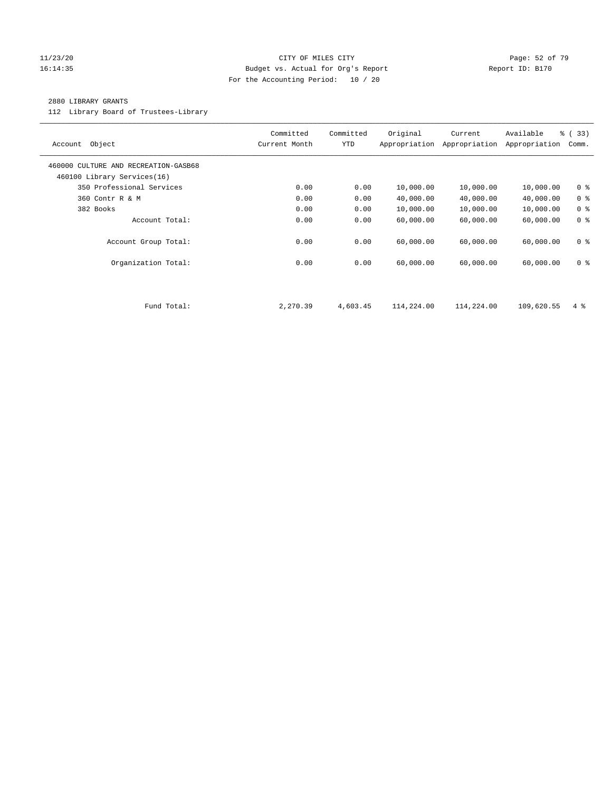## 11/23/20 Page: 52 of 79 16:14:35 Budget vs. Actual for Org's Report Report ID: B170 For the Accounting Period: 10 / 20

## 2880 LIBRARY GRANTS

112 Library Board of Trustees-Library

| Object<br>Account                                                   | Committed<br>Current Month | Committed<br><b>YTD</b> | Original<br>Appropriation | Current<br>Appropriation | Available<br>Appropriation | % (33)<br>Comm. |
|---------------------------------------------------------------------|----------------------------|-------------------------|---------------------------|--------------------------|----------------------------|-----------------|
| 460000 CULTURE AND RECREATION-GASB68<br>460100 Library Services(16) |                            |                         |                           |                          |                            |                 |
| 350 Professional Services                                           | 0.00                       | 0.00                    | 10,000.00                 | 10,000.00                | 10,000.00                  | 0 <sup>8</sup>  |
| 360 Contr R & M                                                     | 0.00                       | 0.00                    | 40,000.00                 | 40,000.00                | 40,000.00                  | 0 <sup>8</sup>  |
| 382 Books                                                           | 0.00                       | 0.00                    | 10,000.00                 | 10,000.00                | 10,000.00                  | 0 <sup>8</sup>  |
| Account Total:                                                      | 0.00                       | 0.00                    | 60,000.00                 | 60,000.00                | 60,000.00                  | 0 <sup>8</sup>  |
| Account Group Total:                                                | 0.00                       | 0.00                    | 60,000.00                 | 60,000.00                | 60,000.00                  | 0 <sub>8</sub>  |
| Organization Total:                                                 | 0.00                       | 0.00                    | 60,000.00                 | 60,000.00                | 60,000.00                  | 0 <sup>8</sup>  |
|                                                                     |                            |                         |                           |                          |                            |                 |
| Fund Total:                                                         | 2,270.39                   | 4,603.45                | 114,224.00                | 114,224.00               | 109,620.55                 | $4\degree$      |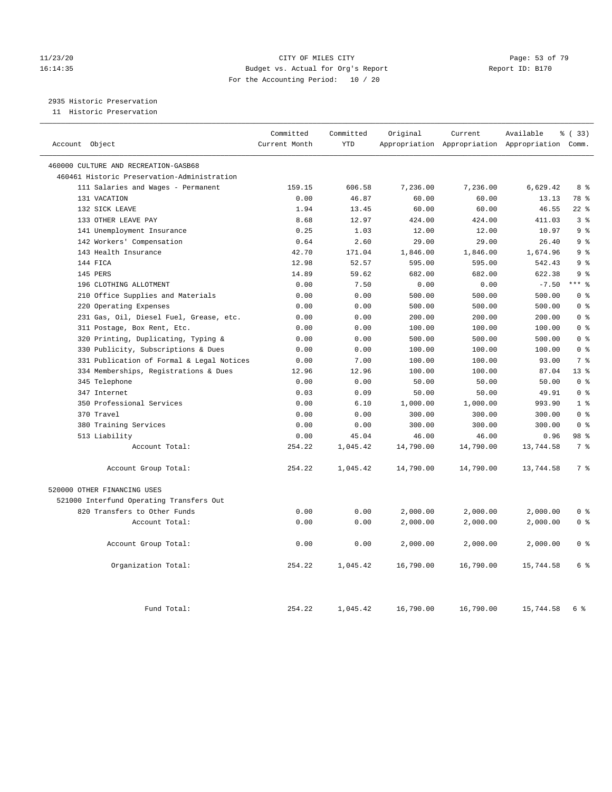## 11/23/20 Page: 53 of 79 16:14:35 Budget vs. Actual for Org's Report Report ID: B170 For the Accounting Period: 10 / 20

2935 Historic Preservation

11 Historic Preservation

| Account Object                              | Committed<br>Current Month | Committed<br><b>YTD</b> | Original  | Current   | Available<br>Appropriation Appropriation Appropriation Comm. | % ( 33 )        |
|---------------------------------------------|----------------------------|-------------------------|-----------|-----------|--------------------------------------------------------------|-----------------|
| 460000 CULTURE AND RECREATION-GASB68        |                            |                         |           |           |                                                              |                 |
| 460461 Historic Preservation-Administration |                            |                         |           |           |                                                              |                 |
| 111 Salaries and Wages - Permanent          | 159.15                     | 606.58                  | 7,236.00  | 7,236.00  | 6,629.42                                                     | 8 %             |
| 131 VACATION                                | 0.00                       | 46.87                   | 60.00     | 60.00     | 13.13                                                        | 78 %            |
| 132 SICK LEAVE                              | 1.94                       | 13.45                   | 60.00     | 60.00     | 46.55                                                        | $22$ %          |
| 133 OTHER LEAVE PAY                         | 8.68                       | 12.97                   | 424.00    | 424.00    | 411.03                                                       | 3 <sup>8</sup>  |
| 141 Unemployment Insurance                  | 0.25                       | 1.03                    | 12.00     | 12.00     | 10.97                                                        | 9 <sup>°</sup>  |
| 142 Workers' Compensation                   | 0.64                       | 2.60                    | 29.00     | 29.00     | 26.40                                                        | 9 <sub>8</sub>  |
| 143 Health Insurance                        | 42.70                      | 171.04                  | 1,846.00  | 1,846.00  | 1,674.96                                                     | 9 <sup>8</sup>  |
| 144 FICA                                    | 12.98                      | 52.57                   | 595.00    | 595.00    | 542.43                                                       | 9 %             |
| 145 PERS                                    | 14.89                      | 59.62                   | 682.00    | 682.00    | 622.38                                                       | 9 <sup>8</sup>  |
| 196 CLOTHING ALLOTMENT                      | 0.00                       | 7.50                    | 0.00      | 0.00      | $-7.50$                                                      | $***$ $_{8}$    |
| 210 Office Supplies and Materials           | 0.00                       | 0.00                    | 500.00    | 500.00    | 500.00                                                       | 0 <sup>8</sup>  |
| 220 Operating Expenses                      | 0.00                       | 0.00                    | 500.00    | 500.00    | 500.00                                                       | 0 <sup>8</sup>  |
| 231 Gas, Oil, Diesel Fuel, Grease, etc.     | 0.00                       | 0.00                    | 200.00    | 200.00    | 200.00                                                       | 0 <sup>8</sup>  |
| 311 Postage, Box Rent, Etc.                 | 0.00                       | 0.00                    | 100.00    | 100.00    | 100.00                                                       | 0 <sup>8</sup>  |
| 320 Printing, Duplicating, Typing &         | 0.00                       | 0.00                    | 500.00    | 500.00    | 500.00                                                       | 0 <sup>8</sup>  |
| 330 Publicity, Subscriptions & Dues         | 0.00                       | 0.00                    | 100.00    | 100.00    | 100.00                                                       | 0 <sup>8</sup>  |
| 331 Publication of Formal & Legal Notices   | 0.00                       | 7.00                    | 100.00    | 100.00    | 93.00                                                        | 7 <sup>°</sup>  |
| 334 Memberships, Registrations & Dues       | 12.96                      | 12.96                   | 100.00    | 100.00    | 87.04                                                        | 13 <sup>8</sup> |
| 345 Telephone                               | 0.00                       | 0.00                    | 50.00     | 50.00     | 50.00                                                        | 0 <sup>8</sup>  |
| 347 Internet                                | 0.03                       | 0.09                    | 50.00     | 50.00     | 49.91                                                        | 0 <sup>8</sup>  |
| 350 Professional Services                   | 0.00                       | 6.10                    | 1,000.00  | 1,000.00  | 993.90                                                       | 1 <sup>8</sup>  |
| 370 Travel                                  | 0.00                       | 0.00                    | 300.00    | 300.00    | 300.00                                                       | 0 <sup>8</sup>  |
| 380 Training Services                       | 0.00                       | 0.00                    | 300.00    | 300.00    | 300.00                                                       | 0 <sup>8</sup>  |
| 513 Liability                               | 0.00                       | 45.04                   | 46.00     | 46.00     | 0.96                                                         | 98 %            |
| Account Total:                              | 254.22                     | 1,045.42                | 14,790.00 | 14,790.00 | 13,744.58                                                    | 7 <sup>°</sup>  |
| Account Group Total:                        | 254.22                     | 1,045.42                | 14,790.00 | 14,790.00 | 13,744.58                                                    | 7 <sup>°</sup>  |
| 520000 OTHER FINANCING USES                 |                            |                         |           |           |                                                              |                 |
| 521000 Interfund Operating Transfers Out    |                            |                         |           |           |                                                              |                 |
| 820 Transfers to Other Funds                | 0.00                       | 0.00                    | 2,000.00  | 2,000.00  | 2,000.00                                                     | 0 <sup>8</sup>  |
| Account Total:                              | 0.00                       | 0.00                    | 2,000.00  | 2,000.00  | 2,000.00                                                     | 0 <sup>8</sup>  |
| Account Group Total:                        | 0.00                       | 0.00                    | 2,000.00  | 2,000.00  | 2,000.00                                                     | 0 <sup>8</sup>  |
| Organization Total:                         | 254.22                     | 1,045.42                | 16,790.00 | 16,790.00 | 15,744.58                                                    | 6 %             |
| Fund Total:                                 | 254.22                     | 1,045.42                | 16,790.00 | 16,790.00 | 15,744.58                                                    | 6 %             |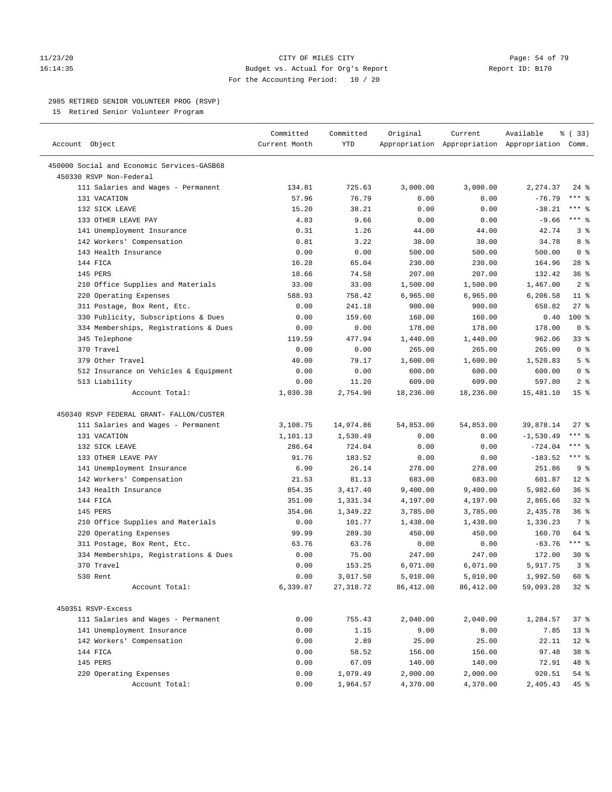## 11/23/20 Page: 54 of 79 16:14:35 Budget vs. Actual for Org's Report Report ID: B170 For the Accounting Period: 10 / 20

————————————————————————————————————————————————————————————————————————————————————————————————————————————————————————————————————

## 2985 RETIRED SENIOR VOLUNTEER PROG (RSVP)

15 Retired Senior Volunteer Program

|                                            | Committed     | Committed | Original  | Current   | Available                                       | 8 (33)              |
|--------------------------------------------|---------------|-----------|-----------|-----------|-------------------------------------------------|---------------------|
| Account Object                             | Current Month | YTD       |           |           | Appropriation Appropriation Appropriation Comm. |                     |
| 450000 Social and Economic Services-GASB68 |               |           |           |           |                                                 |                     |
| 450330 RSVP Non-Federal                    |               |           |           |           |                                                 |                     |
| 111 Salaries and Wages - Permanent         | 134.81        | 725.63    | 3,000.00  | 3,000.00  | 2,274.37                                        | 24 %                |
| 131 VACATION                               | 57.96         | 76.79     | 0.00      | 0.00      | $-76.79$                                        | $***$ $_{8}$        |
| 132 SICK LEAVE                             | 15.20         | 38.21     | 0.00      | 0.00      | $-38.21$                                        | *** 응               |
| 133 OTHER LEAVE PAY                        | 4.83          | 9.66      | 0.00      | 0.00      | $-9.66$                                         | *** 응               |
| 141 Unemployment Insurance                 | 0.31          | 1.26      | 44.00     | 44.00     | 42.74                                           | 3%                  |
| 142 Workers' Compensation                  | 0.81          | 3.22      | 38.00     | 38.00     | 34.78                                           | 8%                  |
| 143 Health Insurance                       | 0.00          | 0.00      | 500.00    | 500.00    | 500.00                                          | 0 <sup>8</sup>      |
| 144 FICA                                   | 16.28         | 65.04     | 230.00    | 230.00    | 164.96                                          | 28 %                |
| 145 PERS                                   | 18.66         | 74.58     | 207.00    | 207.00    | 132.42                                          | 36%                 |
| 210 Office Supplies and Materials          | 33.00         | 33.00     | 1,500.00  | 1,500.00  | 1,467.00                                        | 2 <sup>8</sup>      |
| 220 Operating Expenses                     | 588.93        | 758.42    | 6,965.00  | 6,965.00  | 6,206.58                                        | $11$ %              |
| 311 Postage, Box Rent, Etc.                | 0.00          | 241.18    | 900.00    | 900.00    | 658.82                                          | $27$ %              |
| 330 Publicity, Subscriptions & Dues        | 0.00          | 159.60    | 160.00    | 160.00    | 0.40                                            | $100*$              |
| 334 Memberships, Registrations & Dues      | 0.00          | 0.00      | 178.00    | 178.00    | 178.00                                          | 0 <sup>8</sup>      |
| 345 Telephone                              | 119.59        | 477.94    | 1,440.00  | 1,440.00  | 962.06                                          | $33$ $%$            |
| 370 Travel                                 | 0.00          | 0.00      | 265.00    | 265.00    | 265.00                                          | 0 <sup>8</sup>      |
| 379 Other Travel                           | 40.00         | 79.17     | 1,600.00  | 1,600.00  | 1,520.83                                        | 5 <sup>°</sup>      |
| 512 Insurance on Vehicles & Equipment      | 0.00          | 0.00      | 600.00    | 600.00    | 600.00                                          | 0 <sup>8</sup>      |
| 513 Liability                              | 0.00          | 11.20     | 609.00    | 609.00    | 597.80                                          | 2 <sup>8</sup>      |
| Account Total:                             | 1,030.38      | 2,754.90  | 18,236.00 | 18,236.00 | 15,481.10                                       | 15 <sup>°</sup>     |
|                                            |               |           |           |           |                                                 |                     |
| 450340 RSVP FEDERAL GRANT- FALLON/CUSTER   |               |           |           |           |                                                 |                     |
| 111 Salaries and Wages - Permanent         | 3,108.75      | 14,974.86 | 54,853.00 | 54,853.00 | 39,878.14                                       | 27 %                |
| 131 VACATION                               | 1,101.13      | 1,530.49  | 0.00      | 0.00      | $-1,530.49$                                     | $***$ $%$           |
| 132 SICK LEAVE                             | 286.64        | 724.04    | 0.00      | 0.00      | $-724.04$                                       | $***$ $-$           |
| 133 OTHER LEAVE PAY                        | 91.76         | 183.52    | 0.00      | 0.00      | $-183.52$                                       | $***$ $\frac{6}{6}$ |
| 141 Unemployment Insurance                 | 6.90          | 26.14     | 278.00    | 278.00    | 251.86                                          | 9 <sup>°</sup>      |
| 142 Workers' Compensation                  | 21.53         | 81.13     | 683.00    | 683.00    | 601.87                                          | $12*$               |
| 143 Health Insurance                       | 854.35        | 3,417.40  | 9,400.00  | 9,400.00  | 5,982.60                                        | 36%                 |
| 144 FICA                                   | 351.00        | 1,331.34  | 4,197.00  | 4,197.00  | 2,865.66                                        | $32$ $%$            |
| 145 PERS                                   | 354.06        | 1,349.22  | 3,785.00  | 3,785.00  | 2,435.78                                        | 36%                 |
| 210 Office Supplies and Materials          | 0.00          | 101.77    | 1,438.00  | 1,438.00  | 1,336.23                                        | 7 %                 |
| 220 Operating Expenses                     | 99.99         | 289.30    | 450.00    | 450.00    | 160.70                                          | 64 %                |
| 311 Postage, Box Rent, Etc.                | 63.76         | 63.76     | 0.00      | 0.00      | $-63.76$                                        | $***$ $%$           |
| 334 Memberships, Registrations & Dues      | 0.00          | 75.00     | 247.00    | 247.00    | 172.00                                          | $30*$               |
| 370 Travel                                 | 0.00          | 153.25    | 6,071.00  | 6,071.00  | 5,917.75                                        | 3 <sup>°</sup>      |
| 530 Rent                                   | 0.00          | 3,017.50  | 5,010.00  | 5,010.00  | 1,992.50                                        | 60 %                |
| Account Total:                             | 6,339.87      | 27,318.72 | 86,412.00 | 86,412.00 | 59,093.28                                       | $32$ %              |
|                                            |               |           |           |           |                                                 |                     |
| 450351 RSVP-Excess                         |               |           |           |           |                                                 |                     |
| 111 Salaries and Wages - Permanent         | 0.00          | 755.43    | 2,040.00  | 2,040.00  | 1,284.57                                        | 37%                 |
| 141 Unemployment Insurance                 | 0.00          | 1.15      | 9.00      | 9.00      | 7.85                                            | $13*$               |
| 142 Workers' Compensation                  | 0.00          | 2.89      | 25.00     | 25.00     | 22.11                                           | $12*$               |
| 144 FICA                                   | 0.00          | 58.52     | 156.00    | 156.00    | 97.48                                           | 38 %                |
| 145 PERS                                   | 0.00          | 67.09     | 140.00    | 140.00    | 72.91                                           | 48 %                |
| 220 Operating Expenses                     | 0.00          | 1,079.49  | 2,000.00  | 2,000.00  | 920.51                                          | $54$ %              |
| Account Total:                             | 0.00          | 1,964.57  | 4,370.00  | 4,370.00  | 2,405.43                                        | 45 %                |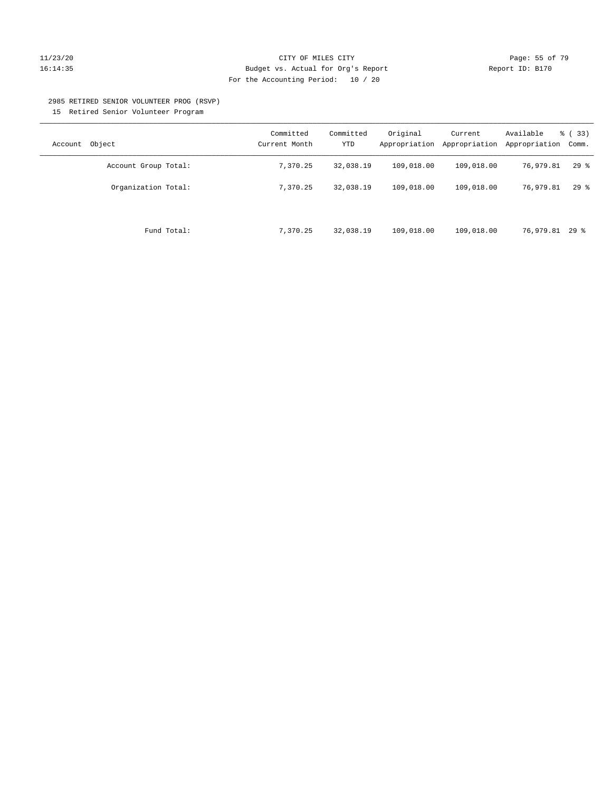## 11/23/20 Page: 55 of 79 16:14:35 Budget vs. Actual for Org's Report Report ID: B170 For the Accounting Period: 10 / 20

#### 2985 RETIRED SENIOR VOLUNTEER PROG (RSVP)

15 Retired Senior Volunteer Program

| Object<br>Account    | Committed<br>Current Month | Committed<br><b>YTD</b> | Original<br>Appropriation | Current<br>Appropriation | Available<br>Appropriation | % (33)<br>Comm. |
|----------------------|----------------------------|-------------------------|---------------------------|--------------------------|----------------------------|-----------------|
| Account Group Total: | 7,370.25                   | 32,038.19               | 109,018.00                | 109,018.00               | 76,979.81                  | $29$ %          |
| Organization Total:  | 7,370.25                   | 32,038.19               | 109,018.00                | 109,018.00               | 76,979.81                  | $29$ %          |
| Fund Total:          | 7,370.25                   | 32,038.19               | 109,018.00                | 109,018.00               | 76,979.81 29 %             |                 |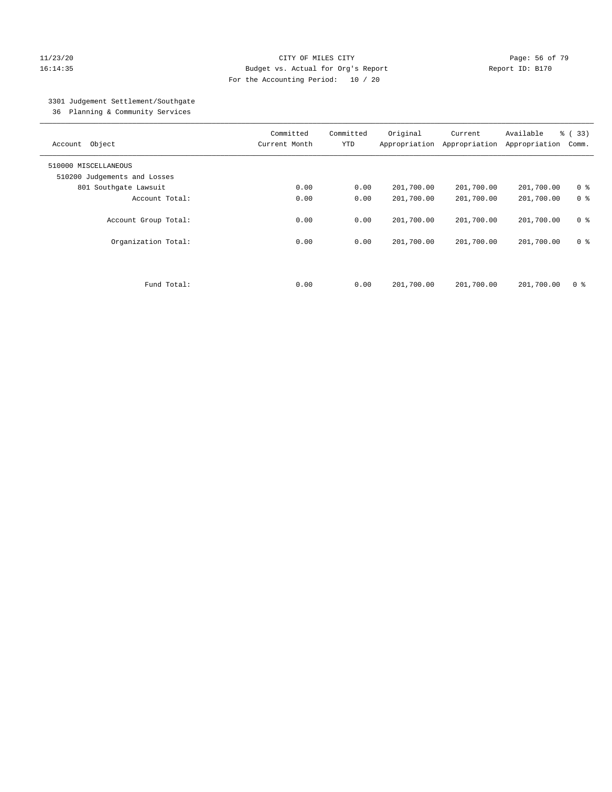## 11/23/20 Page: 56 of 79 16:14:35 Budget vs. Actual for Org's Report Report ID: B170 For the Accounting Period: 10 / 20

## 3301 Judgement Settlement/Southgate

36 Planning & Community Services

| Object<br>Account            | Committed<br>Current Month | Committed<br><b>YTD</b> | Original<br>Appropriation | Current<br>Appropriation | Available<br>Appropriation | % (33)<br>Comm. |
|------------------------------|----------------------------|-------------------------|---------------------------|--------------------------|----------------------------|-----------------|
| 510000 MISCELLANEOUS         |                            |                         |                           |                          |                            |                 |
| 510200 Judgements and Losses |                            |                         |                           |                          |                            |                 |
| 801 Southgate Lawsuit        | 0.00                       | 0.00                    | 201,700.00                | 201,700.00               | 201,700.00                 | 0 <sup>8</sup>  |
| Account Total:               | 0.00                       | 0.00                    | 201,700.00                | 201,700.00               | 201,700.00                 | 0 <sup>8</sup>  |
| Account Group Total:         | 0.00                       | 0.00                    | 201,700.00                | 201,700.00               | 201,700.00                 | 0 <sup>8</sup>  |
| Organization Total:          | 0.00                       | 0.00                    | 201,700.00                | 201,700.00               | 201,700.00                 | 0 <sup>8</sup>  |
| Fund Total:                  | 0.00                       | 0.00                    | 201,700.00                | 201,700.00               | 201,700.00                 | 0 %             |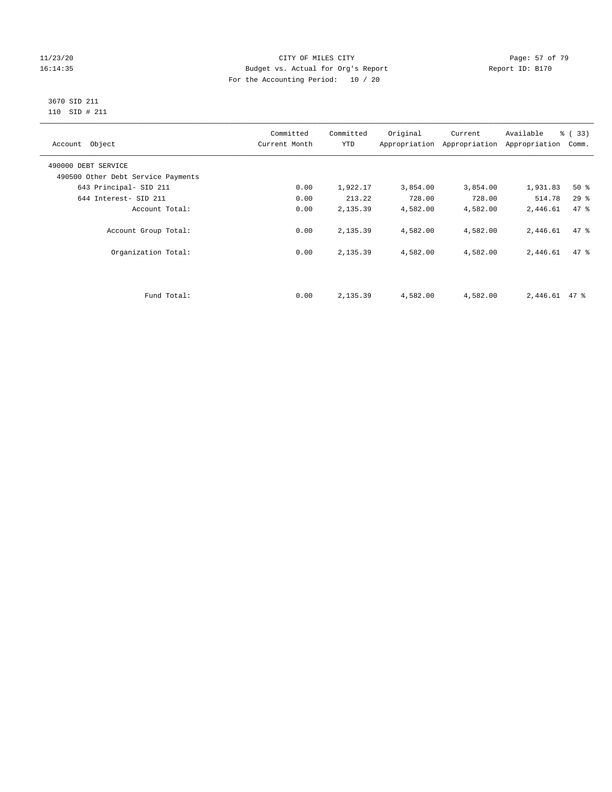## 11/23/20 Page: 57 of 79 16:14:35 Budget vs. Actual for Org's Report Report ID: B170 For the Accounting Period: 10 / 20

## 3670 SID 211 110 SID # 211

| Account Object                     | Committed<br>Current Month | Committed<br><b>YTD</b> | Original | Current<br>Appropriation Appropriation | Available<br>Appropriation | % (33)<br>Comm. |
|------------------------------------|----------------------------|-------------------------|----------|----------------------------------------|----------------------------|-----------------|
| 490000 DEBT SERVICE                |                            |                         |          |                                        |                            |                 |
| 490500 Other Debt Service Payments |                            |                         |          |                                        |                            |                 |
| 643 Principal- SID 211             | 0.00                       | 1,922.17                | 3,854.00 | 3,854.00                               | 1,931.83                   | 50%             |
| 644 Interest- SID 211              | 0.00                       | 213.22                  | 728.00   | 728.00                                 | 514.78                     | 29%             |
| Account Total:                     | 0.00                       | 2,135.39                | 4,582.00 | 4,582.00                               | 2,446.61                   | 47.8            |
| Account Group Total:               | 0.00                       | 2,135.39                | 4,582.00 | 4,582.00                               | 2,446.61                   | 47.8            |
| Organization Total:                | 0.00                       | 2,135.39                | 4,582.00 | 4,582.00                               | 2,446.61                   | 47 %            |
|                                    |                            |                         |          |                                        |                            |                 |
| Fund Total:                        | 0.00                       | 2,135.39                | 4,582.00 | 4,582.00                               | 2,446.61                   | $47$ %          |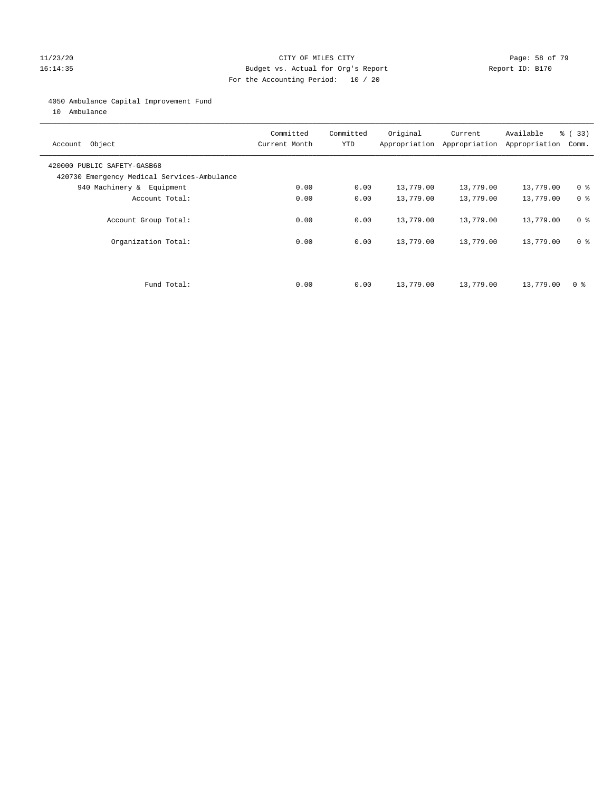## 11/23/20 Page: 58 of 79 16:14:35 Budget vs. Actual for Org's Report Report ID: B170 For the Accounting Period: 10 / 20

## 4050 Ambulance Capital Improvement Fund

10 Ambulance

| Account Object                                                             | Committed<br>Current Month | Committed<br><b>YTD</b> | Original  | Current<br>Appropriation Appropriation | Available<br>Appropriation | % (33)<br>Comm. |
|----------------------------------------------------------------------------|----------------------------|-------------------------|-----------|----------------------------------------|----------------------------|-----------------|
| 420000 PUBLIC SAFETY-GASB68<br>420730 Emergency Medical Services-Ambulance |                            |                         |           |                                        |                            |                 |
| 940 Machinery & Equipment                                                  | 0.00                       | 0.00                    | 13,779.00 | 13,779.00                              | 13,779.00                  | 0 <sup>8</sup>  |
| Account Total:                                                             | 0.00                       | 0.00                    | 13,779.00 | 13,779.00                              | 13,779.00                  | 0 <sup>8</sup>  |
| Account Group Total:                                                       | 0.00                       | 0.00                    | 13,779.00 | 13,779.00                              | 13,779.00                  | 0 <sup>8</sup>  |
| Organization Total:                                                        | 0.00                       | 0.00                    | 13,779.00 | 13,779.00                              | 13,779.00                  | 0 <sup>8</sup>  |
|                                                                            |                            |                         |           |                                        |                            |                 |
| Fund Total:                                                                | 0.00                       | 0.00                    | 13,779.00 | 13,779.00                              | 13,779.00                  | 0 %             |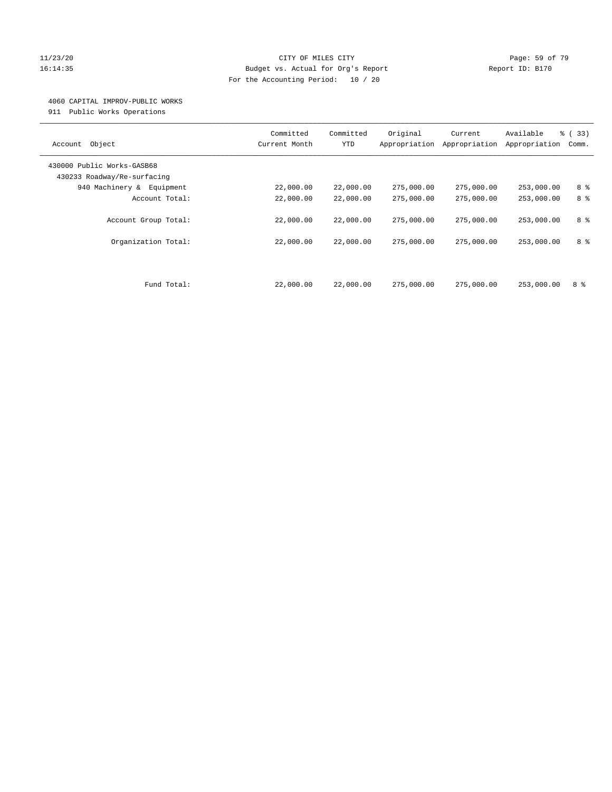## 11/23/20 Page: 59 of 79 16:14:35 Budget vs. Actual for Org's Report Report ID: B170 For the Accounting Period: 10 / 20

## 4060 CAPITAL IMPROV-PUBLIC WORKS

911 Public Works Operations

| Object<br>Account           | Committed<br>Current Month | Committed<br><b>YTD</b> | Original<br>Appropriation | Current<br>Appropriation | Available<br>Appropriation | % (33)<br>Comm. |
|-----------------------------|----------------------------|-------------------------|---------------------------|--------------------------|----------------------------|-----------------|
| 430000 Public Works-GASB68  |                            |                         |                           |                          |                            |                 |
| 430233 Roadway/Re-surfacing |                            |                         |                           |                          |                            |                 |
| 940 Machinery & Equipment   | 22,000.00                  | 22,000.00               | 275,000.00                | 275,000.00               | 253,000.00                 | 8 %             |
| Account Total:              | 22,000.00                  | 22,000.00               | 275,000.00                | 275,000.00               | 253,000.00                 | 8 %             |
|                             |                            |                         |                           |                          |                            |                 |
| Account Group Total:        | 22,000.00                  | 22,000.00               | 275,000.00                | 275,000.00               | 253,000.00                 | 8 %             |
|                             |                            |                         |                           |                          |                            |                 |
| Organization Total:         | 22,000.00                  | 22,000.00               | 275,000.00                | 275,000.00               | 253,000.00                 | 8 %             |
|                             |                            |                         |                           |                          |                            |                 |
|                             |                            |                         |                           |                          |                            |                 |
|                             |                            |                         |                           |                          |                            |                 |
| Fund Total:                 | 22,000.00                  | 22,000.00               | 275,000.00                | 275,000.00               | 253,000.00                 | 8 %             |
|                             |                            |                         |                           |                          |                            |                 |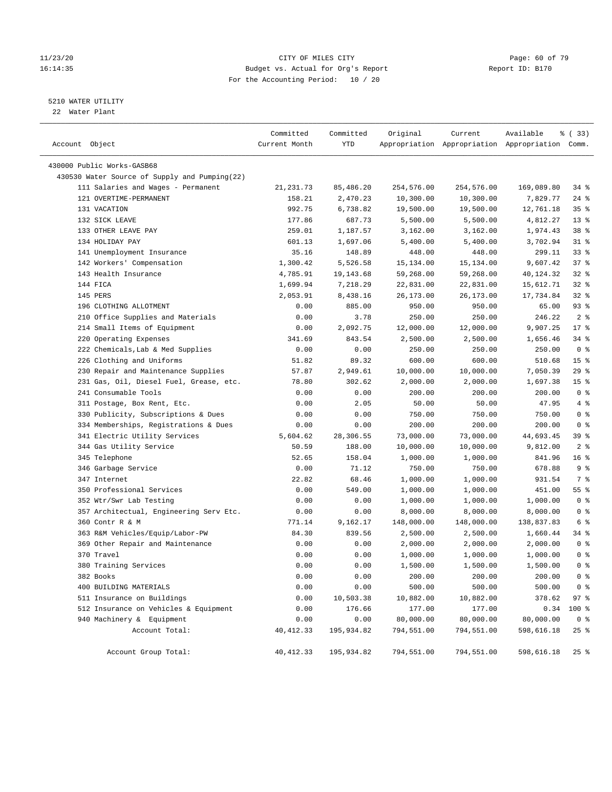## 11/23/20 Page: 60 of 79 16:14:35 Budget vs. Actual for Org's Report Report ID: B170 For the Accounting Period: 10 / 20

————————————————————————————————————————————————————————————————————————————————————————————————————————————————————————————————————

## 5210 WATER UTILITY

22 Water Plant

|                                               | Committed     | Committed  | Original   | Current    | Available                                       | % (33)          |  |
|-----------------------------------------------|---------------|------------|------------|------------|-------------------------------------------------|-----------------|--|
| Account Object                                | Current Month | YTD        |            |            | Appropriation Appropriation Appropriation Comm. |                 |  |
| 430000 Public Works-GASB68                    |               |            |            |            |                                                 |                 |  |
| 430530 Water Source of Supply and Pumping(22) |               |            |            |            |                                                 |                 |  |
| 111 Salaries and Wages - Permanent            | 21, 231.73    | 85,486.20  | 254,576.00 | 254,576.00 | 169,089.80                                      | $34$ $%$        |  |
| 121 OVERTIME-PERMANENT                        | 158.21        | 2,470.23   | 10,300.00  | 10,300.00  | 7,829.77                                        | $24$ %          |  |
| 131 VACATION                                  | 992.75        | 6,738.82   | 19,500.00  | 19,500.00  | 12,761.18                                       | 35 <sup>8</sup> |  |
| 132 SICK LEAVE                                | 177.86        | 687.73     | 5,500.00   | 5,500.00   | 4,812.27                                        | $13*$           |  |
| 133 OTHER LEAVE PAY                           | 259.01        | 1,187.57   | 3,162.00   | 3,162.00   | 1,974.43                                        | 38 <sup>8</sup> |  |
| 134 HOLIDAY PAY                               | 601.13        | 1,697.06   | 5,400.00   | 5,400.00   | 3,702.94                                        | $31$ %          |  |
| 141 Unemployment Insurance                    | 35.16         | 148.89     | 448.00     | 448.00     | 299.11                                          | 338             |  |
| 142 Workers' Compensation                     | 1,300.42      | 5,526.58   | 15,134.00  | 15,134.00  | 9,607.42                                        | 37%             |  |
| 143 Health Insurance                          | 4,785.91      | 19,143.68  | 59,268.00  | 59,268.00  | 40,124.32                                       | $32$ $%$        |  |
| 144 FICA                                      | 1,699.94      | 7,218.29   | 22,831.00  | 22,831.00  | 15,612.71                                       | $32$ $%$        |  |
| 145 PERS                                      | 2,053.91      | 8,438.16   | 26,173.00  | 26,173.00  | 17,734.84                                       | $32$ $%$        |  |
| 196 CLOTHING ALLOTMENT                        | 0.00          | 885.00     | 950.00     | 950.00     | 65.00                                           | $93$ $%$        |  |
| 210 Office Supplies and Materials             | 0.00          | 3.78       | 250.00     | 250.00     | 246.22                                          | 2 <sup>8</sup>  |  |
| 214 Small Items of Equipment                  | 0.00          | 2,092.75   | 12,000.00  | 12,000.00  | 9,907.25                                        | $17*$           |  |
| 220 Operating Expenses                        | 341.69        | 843.54     | 2,500.00   | 2,500.00   | 1,656.46                                        | $34$ $%$        |  |
| 222 Chemicals, Lab & Med Supplies             | 0.00          | 0.00       | 250.00     | 250.00     | 250.00                                          | 0 <sup>8</sup>  |  |
| 226 Clothing and Uniforms                     | 51.82         | 89.32      | 600.00     | 600.00     | 510.68                                          | 15 <sup>8</sup> |  |
| 230 Repair and Maintenance Supplies           | 57.87         | 2,949.61   | 10,000.00  | 10,000.00  | 7,050.39                                        | 29%             |  |
| 231 Gas, Oil, Diesel Fuel, Grease, etc.       | 78.80         | 302.62     | 2,000.00   | 2,000.00   | 1,697.38                                        | 15 <sup>8</sup> |  |
| 241 Consumable Tools                          | 0.00          | 0.00       | 200.00     | 200.00     | 200.00                                          | 0 <sup>8</sup>  |  |
| 311 Postage, Box Rent, Etc.                   | 0.00          | 2.05       | 50.00      | 50.00      | 47.95                                           | 4%              |  |
| 330 Publicity, Subscriptions & Dues           | 0.00          | 0.00       | 750.00     | 750.00     | 750.00                                          | 0 <sup>8</sup>  |  |
| 334 Memberships, Registrations & Dues         | 0.00          | 0.00       | 200.00     | 200.00     | 200.00                                          | 0 <sup>8</sup>  |  |
| 341 Electric Utility Services                 | 5,604.62      | 28,306.55  | 73,000.00  | 73,000.00  | 44,693.45                                       | 39 %            |  |
| 344 Gas Utility Service                       | 50.59         | 188.00     | 10,000.00  | 10,000.00  | 9,812.00                                        | 2 <sup>8</sup>  |  |
| 345 Telephone                                 | 52.65         | 158.04     | 1,000.00   | 1,000.00   | 841.96                                          | 16 <sup>°</sup> |  |
| 346 Garbage Service                           | 0.00          | 71.12      | 750.00     | 750.00     | 678.88                                          | 9%              |  |
| 347 Internet                                  | 22.82         | 68.46      | 1,000.00   | 1,000.00   | 931.54                                          | 7 %             |  |
| 350 Professional Services                     | 0.00          | 549.00     | 1,000.00   | 1,000.00   | 451.00                                          | 55 %            |  |
| 352 Wtr/Swr Lab Testing                       | 0.00          | 0.00       | 1,000.00   | 1,000.00   | 1,000.00                                        | 0 <sup>8</sup>  |  |
| 357 Architectual, Engineering Serv Etc.       | 0.00          | 0.00       | 8,000.00   | 8,000.00   | 8,000.00                                        | 0 <sup>8</sup>  |  |
| 360 Contr R & M                               | 771.14        | 9,162.17   | 148,000.00 | 148,000.00 | 138,837.83                                      | 6 %             |  |
| 363 R&M Vehicles/Equip/Labor-PW               | 84.30         | 839.56     | 2,500.00   | 2,500.00   | 1,660.44                                        | $34$ $%$        |  |
| 369 Other Repair and Maintenance              | 0.00          | 0.00       | 2,000.00   | 2,000.00   | 2,000.00                                        | 0 <sup>8</sup>  |  |
| 370 Travel                                    | 0.00          | 0.00       | 1,000.00   | 1,000.00   | 1,000.00                                        | 0 <sup>8</sup>  |  |
| 380 Training Services                         | 0.00          | 0.00       | 1,500.00   | 1,500.00   | 1,500.00                                        | 0 <sup>8</sup>  |  |
| 382 Books                                     | 0.00          | 0.00       | 200.00     | 200.00     | 200.00                                          | 0 <sup>8</sup>  |  |
| 400 BUILDING MATERIALS                        | 0.00          | 0.00       | 500.00     | 500.00     | 500.00                                          | 0 <sup>8</sup>  |  |
| 511 Insurance on Buildings                    | 0.00          | 10,503.38  | 10,882.00  | 10,882.00  | 378.62                                          | 97%             |  |
| 512 Insurance on Vehicles & Equipment         | 0.00          | 176.66     | 177.00     | 177.00     | 0.34                                            | 100 %           |  |
| 940 Machinery & Equipment                     | 0.00          | 0.00       | 80,000.00  | 80,000.00  | 80,000.00                                       | 0 <sup>8</sup>  |  |
| Account Total:                                | 40, 412.33    | 195,934.82 | 794,551.00 | 794,551.00 | 598,616.18                                      | $25$ %          |  |
| Account Group Total:                          | 40, 412.33    | 195,934.82 | 794,551.00 | 794,551.00 | 598,616.18                                      | 25%             |  |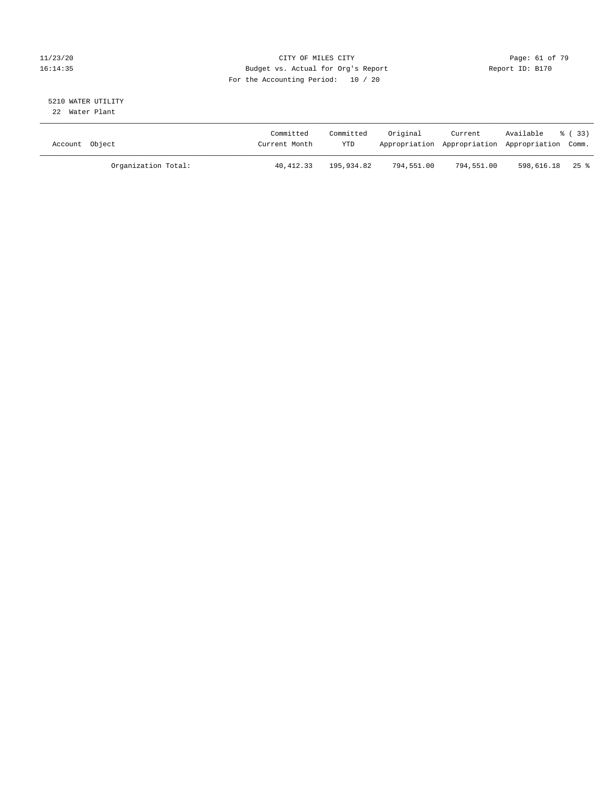## 11/23/20 Page: 61 of 79 16:14:35 Budget vs. Actual for Org's Report Report ID: B170 For the Accounting Period: 10 / 20

## 5210 WATER UTILITY 22 Water Plant

| Account Object |                     | Committed<br>Current Month | Committed<br>YTD | Original   | Current    | Available<br>Appropriation Appropriation Appropriation Comm. | 8 ( 33 ) |
|----------------|---------------------|----------------------------|------------------|------------|------------|--------------------------------------------------------------|----------|
|                | Organization Total: | 40,412.33                  | 195,934.82       | 794,551.00 | 794,551.00 | 598,616.18 25%                                               |          |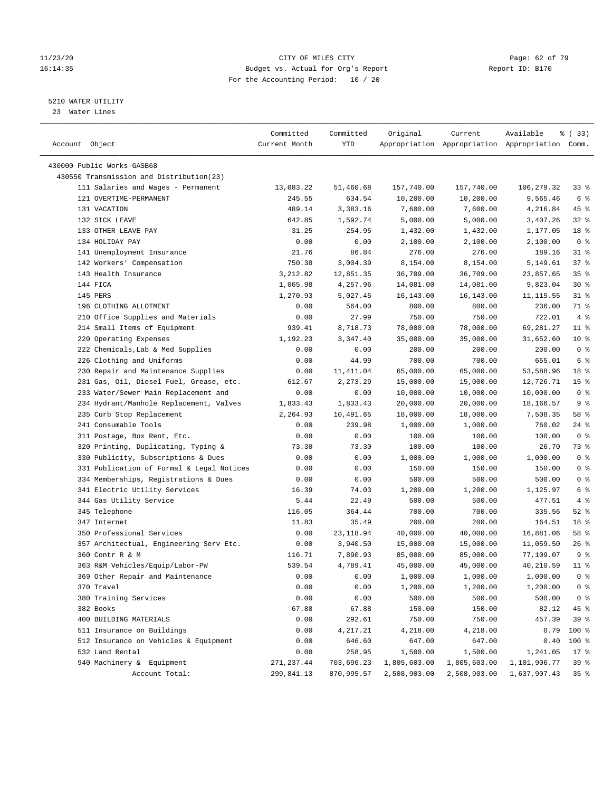## 11/23/20 **Page: 62 of 79** CITY OF MILES CITY **CITY** CITY **Page: 62 of 79** 16:14:35 Budget vs. Actual for Org's Report Report ID: B170 For the Accounting Period: 10 / 20

————————————————————————————————————————————————————————————————————————————————————————————————————————————————————————————————————

## 5210 WATER UTILITY

23 Water Lines

|                                           | Committed     | Committed  | Original     | Current      | Available                                       | % (33)          |
|-------------------------------------------|---------------|------------|--------------|--------------|-------------------------------------------------|-----------------|
| Account Object                            | Current Month | YTD        |              |              | Appropriation Appropriation Appropriation Comm. |                 |
|                                           |               |            |              |              |                                                 |                 |
| 430000 Public Works-GASB68                |               |            |              |              |                                                 |                 |
| 430550 Transmission and Distribution(23)  |               |            |              |              |                                                 |                 |
| 111 Salaries and Wages - Permanent        | 13,083.22     | 51,460.68  | 157,740.00   | 157,740.00   | 106,279.32                                      | 33%             |
| 121 OVERTIME-PERMANENT                    | 245.55        | 634.54     | 10,200.00    | 10,200.00    | 9,565.46                                        | 6 %             |
| 131 VACATION                              | 489.14        | 3,383.16   | 7,600.00     | 7,600.00     | 4,216.84                                        | 45 %            |
| 132 SICK LEAVE                            | 642.85        | 1,592.74   | 5,000.00     | 5,000.00     | 3,407.26                                        | $32$ $%$        |
| 133 OTHER LEAVE PAY                       | 31.25         | 254.95     | 1,432.00     | 1,432.00     | 1,177.05                                        | 18 %            |
| 134 HOLIDAY PAY                           | 0.00          | 0.00       | 2,100.00     | 2,100.00     | 2,100.00                                        | 0 <sup>8</sup>  |
| 141 Unemployment Insurance                | 21.76         | 86.84      | 276.00       | 276.00       | 189.16                                          | $31$ %          |
| 142 Workers' Compensation                 | 750.38        | 3,004.39   | 8,154.00     | 8,154.00     | 5,149.61                                        | 37%             |
| 143 Health Insurance                      | 3,212.82      | 12,851.35  | 36,709.00    | 36,709.00    | 23,857.65                                       | 35 <sup>8</sup> |
| 144 FICA                                  | 1,065.98      | 4,257.96   | 14,081.00    | 14,081.00    | 9,823.04                                        | $30*$           |
| 145 PERS                                  | 1,270.93      | 5,027.45   | 16,143.00    | 16,143.00    | 11, 115.55                                      | $31$ %          |
| 196 CLOTHING ALLOTMENT                    | 0.00          | 564.00     | 800.00       | 800.00       | 236.00                                          | 71 %            |
| 210 Office Supplies and Materials         | 0.00          | 27.99      | 750.00       | 750.00       | 722.01                                          | 4%              |
| 214 Small Items of Equipment              | 939.41        | 8,718.73   | 78,000.00    | 78,000.00    | 69,281.27                                       | $11$ %          |
| 220 Operating Expenses                    | 1,192.23      | 3,347.40   | 35,000.00    | 35,000.00    | 31,652.60                                       | $10*$           |
| 222 Chemicals, Lab & Med Supplies         | 0.00          | 0.00       | 200.00       | 200.00       | 200.00                                          | 0 <sup>8</sup>  |
| 226 Clothing and Uniforms                 | 0.00          | 44.99      | 700.00       | 700.00       | 655.01                                          | 6 <sup>°</sup>  |
| 230 Repair and Maintenance Supplies       | 0.00          | 11,411.04  | 65,000.00    | 65,000.00    | 53,588.96                                       | 18 %            |
| 231 Gas, Oil, Diesel Fuel, Grease, etc.   | 612.67        | 2,273.29   | 15,000.00    | 15,000.00    | 12,726.71                                       | 15 <sup>°</sup> |
| 233 Water/Sewer Main Replacement and      | 0.00          | 0.00       | 10,000.00    | 10,000.00    | 10,000.00                                       | 0 <sup>8</sup>  |
| 234 Hydrant/Manhole Replacement, Valves   | 1,833.43      | 1,833.43   | 20,000.00    | 20,000.00    | 18,166.57                                       | 9%              |
| 235 Curb Stop Replacement                 | 2,264.93      | 10,491.65  | 18,000.00    | 18,000.00    | 7,508.35                                        | 58 %            |
| 241 Consumable Tools                      | 0.00          | 239.98     | 1,000.00     | 1,000.00     | 760.02                                          | $24$ %          |
| 311 Postage, Box Rent, Etc.               | 0.00          | 0.00       | 100.00       | 100.00       | 100.00                                          | 0 <sup>8</sup>  |
| 320 Printing, Duplicating, Typing &       | 73.30         | 73.30      | 100.00       | 100.00       | 26.70                                           | 73 %            |
| 330 Publicity, Subscriptions & Dues       | 0.00          | 0.00       | 1,000.00     | 1,000.00     | 1,000.00                                        | 0 <sup>°</sup>  |
| 331 Publication of Formal & Legal Notices | 0.00          | 0.00       | 150.00       | 150.00       | 150.00                                          | 0 <sup>8</sup>  |
| 334 Memberships, Registrations & Dues     | 0.00          | 0.00       | 500.00       | 500.00       | 500.00                                          | 0 <sup>8</sup>  |
| 341 Electric Utility Services             | 16.39         | 74.03      | 1,200.00     | 1,200.00     | 1,125.97                                        | 6 %             |
| 344 Gas Utility Service                   | 5.44          | 22.49      | 500.00       | 500.00       | 477.51                                          | 4%              |
| 345 Telephone                             | 116.05        | 364.44     | 700.00       | 700.00       | 335.56                                          | $52$ $%$        |
| 347 Internet                              | 11.83         | 35.49      | 200.00       | 200.00       | 164.51                                          | 18 %            |
| 350 Professional Services                 | 0.00          | 23, 118.94 | 40,000.00    | 40,000.00    | 16,881.06                                       | 58 %            |
| 357 Architectual, Engineering Serv Etc.   | 0.00          | 3,940.50   | 15,000.00    | 15,000.00    | 11,059.50                                       | $26$ %          |
| 360 Contr R & M                           | 116.71        | 7,890.93   | 85,000.00    | 85,000.00    | 77,109.07                                       | 9 <sub>8</sub>  |
| 363 R&M Vehicles/Equip/Labor-PW           | 539.54        | 4,789.41   | 45,000.00    | 45,000.00    | 40,210.59                                       | $11$ %          |
| 369 Other Repair and Maintenance          | 0.00          | 0.00       | 1,000.00     | 1,000.00     | 1,000.00                                        | 0 <sup>8</sup>  |
| 370 Travel                                | 0.00          | 0.00       | 1,200.00     | 1,200.00     | 1,200.00                                        | 0 <sup>8</sup>  |
| 380 Training Services                     | 0.00          | 0.00       | 500.00       | 500.00       | 500.00                                          | 0 <sup>8</sup>  |
| 382 Books                                 | 67.88         | 67.88      | 150.00       | 150.00       | 82.12                                           | 45 %            |
| 400 BUILDING MATERIALS                    | 0.00          | 292.61     | 750.00       | 750.00       | 457.39                                          | 39 %            |
| 511 Insurance on Buildings                | 0.00          | 4,217.21   | 4,218.00     | 4,218.00     | 0.79                                            | 100 %           |
| 512 Insurance on Vehicles & Equipment     | 0.00          | 646.60     | 647.00       | 647.00       | 0.40                                            | 100 %           |
| 532 Land Rental                           | 0.00          | 258.95     | 1,500.00     | 1,500.00     | 1,241.05                                        | $17 - 8$        |
| 940 Machinery & Equipment                 | 271, 237.44   | 703,696.23 | 1,805,603.00 | 1,805,603.00 | 1,101,906.77                                    | 39%             |
| Account Total:                            | 299,841.13    | 870,995.57 | 2,508,903.00 | 2,508,903.00 | 1,637,907.43                                    | 35 <sup>8</sup> |
|                                           |               |            |              |              |                                                 |                 |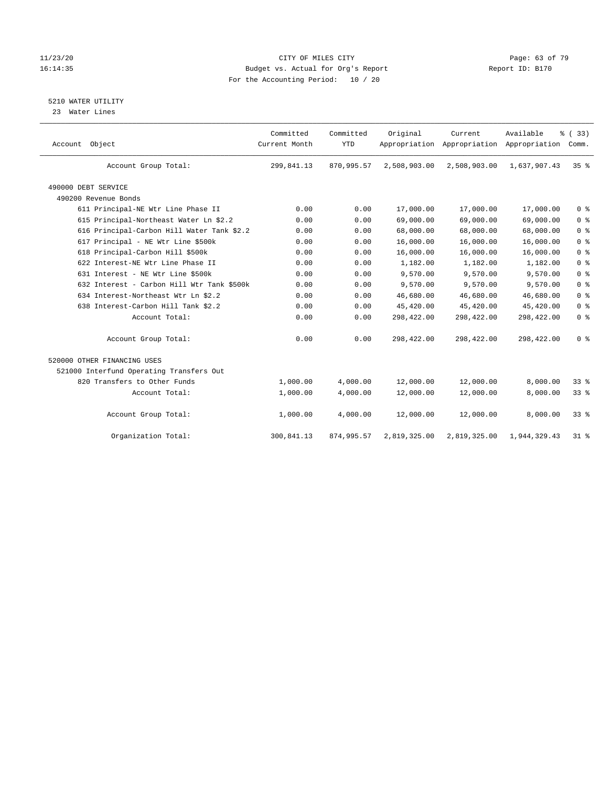## 11/23/20 Page: 63 of 79 16:14:35 Budget vs. Actual for Org's Report Report ID: B170 For the Accounting Period: 10 / 20

## 5210 WATER UTILITY

23 Water Lines

| Account Object                             | Committed<br>Current Month | Committed<br><b>YTD</b> | Original     | Current<br>Appropriation Appropriation Appropriation | Available    | % (33)<br>Comm. |
|--------------------------------------------|----------------------------|-------------------------|--------------|------------------------------------------------------|--------------|-----------------|
| Account Group Total:                       | 299,841.13                 | 870,995.57              | 2,508,903.00 | 2,508,903.00                                         | 1,637,907.43 | 35 <sup>8</sup> |
| 490000 DEBT SERVICE                        |                            |                         |              |                                                      |              |                 |
| 490200 Revenue Bonds                       |                            |                         |              |                                                      |              |                 |
| 611 Principal-NE Wtr Line Phase II         | 0.00                       | 0.00                    | 17,000.00    | 17,000.00                                            | 17,000.00    | 0 <sup>8</sup>  |
| 615 Principal-Northeast Water Ln \$2.2     | 0.00                       | 0.00                    | 69,000.00    | 69,000.00                                            | 69,000.00    | 0 <sup>8</sup>  |
| 616 Principal-Carbon Hill Water Tank \$2.2 | 0.00                       | 0.00                    | 68,000.00    | 68,000.00                                            | 68,000.00    | 0 <sup>8</sup>  |
| 617 Principal - NE Wtr Line \$500k         | 0.00                       | 0.00                    | 16,000.00    | 16,000.00                                            | 16,000.00    | 0 <sup>8</sup>  |
| 618 Principal-Carbon Hill \$500k           | 0.00                       | 0.00                    | 16,000.00    | 16,000.00                                            | 16,000.00    | 0 <sup>8</sup>  |
| 622 Interest-NE Wtr Line Phase II          | 0.00                       | 0.00                    | 1,182.00     | 1,182.00                                             | 1,182.00     | 0 <sup>8</sup>  |
| 631 Interest - NE Wtr Line \$500k          | 0.00                       | 0.00                    | 9,570.00     | 9,570.00                                             | 9,570.00     | 0 <sup>8</sup>  |
| 632 Interest - Carbon Hill Wtr Tank \$500k | 0.00                       | 0.00                    | 9,570.00     | 9,570.00                                             | 9,570.00     | 0 <sup>8</sup>  |
| 634 Interest-Northeast Wtr Ln \$2.2        | 0.00                       | 0.00                    | 46,680.00    | 46,680.00                                            | 46,680.00    | 0 <sup>8</sup>  |
| 638 Interest-Carbon Hill Tank \$2.2        | 0.00                       | 0.00                    | 45,420.00    | 45,420.00                                            | 45,420.00    | 0 <sup>8</sup>  |
| Account Total:                             | 0.00                       | 0.00                    | 298,422.00   | 298,422.00                                           | 298,422.00   | 0 <sup>8</sup>  |
| Account Group Total:                       | 0.00                       | 0.00                    | 298,422.00   | 298,422.00                                           | 298,422.00   | 0 <sup>8</sup>  |
| 520000 OTHER FINANCING USES                |                            |                         |              |                                                      |              |                 |
| 521000 Interfund Operating Transfers Out   |                            |                         |              |                                                      |              |                 |
| 820 Transfers to Other Funds               | 1,000.00                   | 4,000.00                | 12,000.00    | 12,000.00                                            | 8,000.00     | $33*$           |
| Account Total:                             | 1,000.00                   | 4,000.00                | 12,000.00    | 12,000.00                                            | 8,000.00     | 33%             |
| Account Group Total:                       | 1,000.00                   | 4,000.00                | 12,000.00    | 12,000.00                                            | 8,000.00     | 33 <sup>8</sup> |
| Organization Total:                        | 300,841.13                 | 874,995.57              | 2,819,325.00 | 2,819,325.00                                         | 1,944,329.43 | $31$ %          |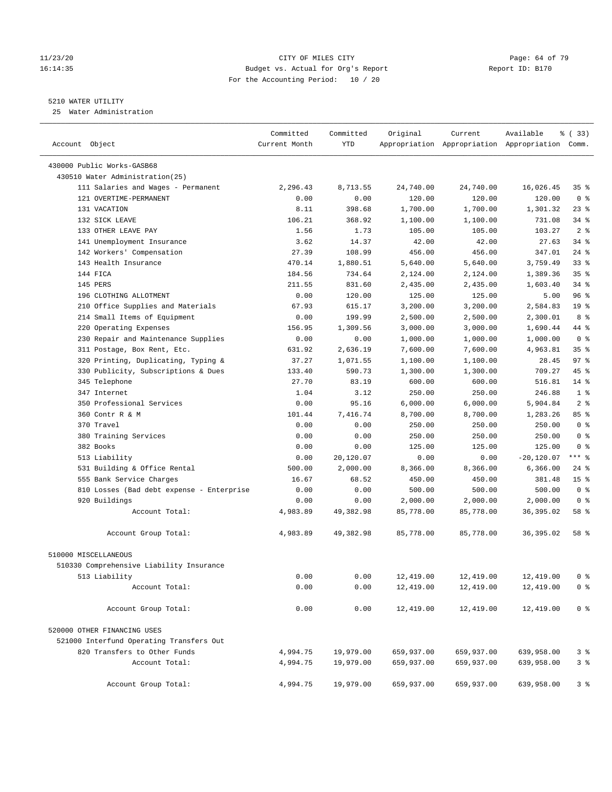## 11/23/20 Page: 64 of 79 16:14:35 Budget vs. Actual for Org's Report Report ID: B170 For the Accounting Period: 10 / 20

————————————————————————————————————————————————————————————————————————————————————————————————————————————————————————————————————

## 5210 WATER UTILITY

25 Water Administration

|                                           | Committed     | Committed | Original   | Current    | Available                                       | % (33)             |
|-------------------------------------------|---------------|-----------|------------|------------|-------------------------------------------------|--------------------|
| Account Object                            | Current Month | YTD       |            |            | Appropriation Appropriation Appropriation Comm. |                    |
| 430000 Public Works-GASB68                |               |           |            |            |                                                 |                    |
| 430510 Water Administration(25)           |               |           |            |            |                                                 |                    |
| 111 Salaries and Wages - Permanent        | 2,296.43      | 8,713.55  | 24,740.00  | 24,740.00  | 16,026.45                                       | $35$ $\frac{6}{3}$ |
| 121 OVERTIME-PERMANENT                    | 0.00          | 0.00      | 120.00     | 120.00     | 120.00                                          | 0 <sup>8</sup>     |
| 131 VACATION                              | 8.11          | 398.68    | 1,700.00   | 1,700.00   | 1,301.32                                        | $23$ %             |
| 132 SICK LEAVE                            | 106.21        | 368.92    | 1,100.00   | 1,100.00   | 731.08                                          | $34$ $%$           |
| 133 OTHER LEAVE PAY                       | 1.56          | 1.73      | 105.00     | 105.00     | 103.27                                          | 2 <sup>8</sup>     |
| 141 Unemployment Insurance                | 3.62          | 14.37     | 42.00      | 42.00      | 27.63                                           | $34$ $%$           |
| 142 Workers' Compensation                 | 27.39         | 108.99    | 456.00     | 456.00     | 347.01                                          | $24$ %             |
| 143 Health Insurance                      | 470.14        | 1,880.51  | 5,640.00   | 5,640.00   | 3,759.49                                        | $33$ $%$           |
| 144 FICA                                  | 184.56        | 734.64    | 2,124.00   | 2,124.00   | 1,389.36                                        | 35%                |
| 145 PERS                                  | 211.55        | 831.60    | 2,435.00   | 2,435.00   | 1,603.40                                        | $34$ $%$           |
| 196 CLOTHING ALLOTMENT                    | 0.00          | 120.00    | 125.00     | 125.00     | 5.00                                            | 96%                |
| 210 Office Supplies and Materials         | 67.93         | 615.17    | 3,200.00   | 3,200.00   | 2,584.83                                        | 19 <sup>°</sup>    |
| 214 Small Items of Equipment              | 0.00          | 199.99    | 2,500.00   | 2,500.00   | 2,300.01                                        | 8 %                |
| 220 Operating Expenses                    | 156.95        | 1,309.56  | 3,000.00   | 3,000.00   | 1,690.44                                        | 44 %               |
| 230 Repair and Maintenance Supplies       | 0.00          | 0.00      | 1,000.00   | 1,000.00   | 1,000.00                                        | 0 <sup>8</sup>     |
| 311 Postage, Box Rent, Etc.               | 631.92        | 2,636.19  | 7,600.00   | 7,600.00   | 4,963.81                                        | 35 <sup>8</sup>    |
| 320 Printing, Duplicating, Typing &       | 37.27         | 1,071.55  | 1,100.00   | 1,100.00   | 28.45                                           | 97%                |
| 330 Publicity, Subscriptions & Dues       | 133.40        | 590.73    | 1,300.00   | 1,300.00   | 709.27                                          | 45 %               |
| 345 Telephone                             | 27.70         | 83.19     | 600.00     | 600.00     | 516.81                                          | $14$ %             |
| 347 Internet                              | 1.04          | 3.12      | 250.00     | 250.00     | 246.88                                          | 1 <sup>8</sup>     |
| 350 Professional Services                 | 0.00          | 95.16     | 6,000.00   | 6,000.00   | 5,904.84                                        | 2 <sub>8</sub>     |
| 360 Contr R & M                           | 101.44        | 7,416.74  | 8,700.00   | 8,700.00   | 1,283.26                                        | 85%                |
| 370 Travel                                | 0.00          | 0.00      | 250.00     | 250.00     | 250.00                                          | 0 <sup>8</sup>     |
| 380 Training Services                     | 0.00          | 0.00      | 250.00     | 250.00     | 250.00                                          | 0 <sup>8</sup>     |
| 382 Books                                 | 0.00          | 0.00      | 125.00     | 125.00     | 125.00                                          | 0 <sup>8</sup>     |
| 513 Liability                             | 0.00          | 20,120.07 | 0.00       | 0.00       | $-20, 120.07$                                   | $***$ $-$          |
| 531 Building & Office Rental              | 500.00        | 2,000.00  | 8,366.00   | 8,366.00   | 6,366.00                                        | $24$ %             |
| 555 Bank Service Charges                  | 16.67         | 68.52     | 450.00     | 450.00     | 381.48                                          | 15 <sup>°</sup>    |
| 810 Losses (Bad debt expense - Enterprise | 0.00          | 0.00      | 500.00     | 500.00     | 500.00                                          | 0 <sup>8</sup>     |
| 920 Buildings                             | 0.00          | 0.00      | 2,000.00   | 2,000.00   | 2,000.00                                        | 0 <sup>8</sup>     |
| Account Total:                            | 4,983.89      | 49,382.98 | 85,778.00  | 85,778.00  | 36,395.02                                       | 58 %               |
|                                           |               |           |            |            |                                                 |                    |
| Account Group Total:                      | 4,983.89      | 49,382.98 | 85,778.00  | 85,778.00  | 36, 395.02                                      | 58 %               |
| 510000 MISCELLANEOUS                      |               |           |            |            |                                                 |                    |
| 510330 Comprehensive Liability Insurance  |               |           |            |            |                                                 |                    |
| 513 Liability                             | 0.00          | 0.00      | 12,419.00  | 12,419.00  | 12,419.00                                       | ∩ ജ                |
| Account Total:                            | 0.00          | 0.00      | 12,419.00  | 12,419.00  | 12,419.00                                       | 0 <sup>8</sup>     |
| Account Group Total:                      | 0.00          | 0.00      | 12,419.00  | 12,419.00  | 12,419.00                                       | 0 <sup>8</sup>     |
| 520000 OTHER FINANCING USES               |               |           |            |            |                                                 |                    |
| 521000 Interfund Operating Transfers Out  |               |           |            |            |                                                 |                    |
| 820 Transfers to Other Funds              | 4,994.75      | 19,979.00 | 659,937.00 | 659,937.00 | 639,958.00                                      | 3%                 |
| Account Total:                            | 4,994.75      | 19,979.00 | 659,937.00 | 659,937.00 | 639,958.00                                      | 3%                 |
| Account Group Total:                      | 4,994.75      | 19,979.00 | 659,937.00 | 659,937.00 | 639,958.00                                      | 3 <sup>°</sup>     |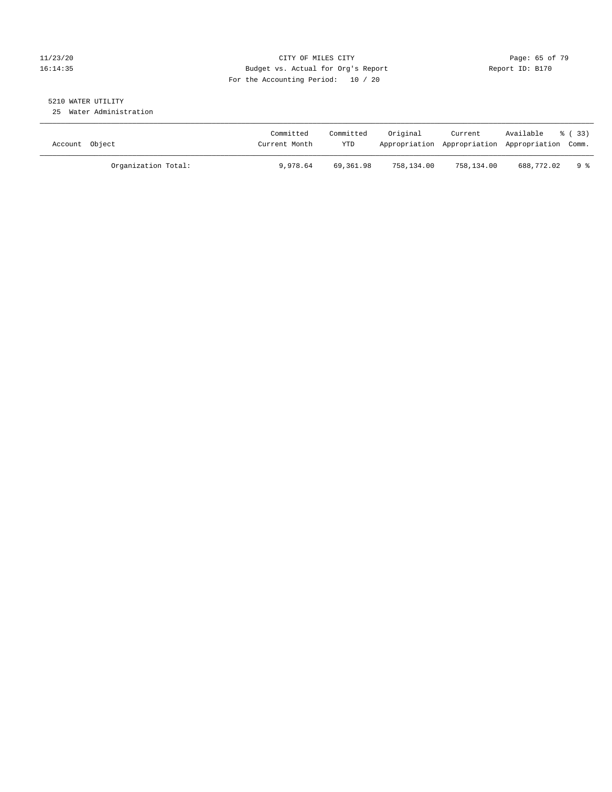## 11/23/20 Page: 65 of 79 16:14:35 Budget vs. Actual for Org's Report Report ID: B170 For the Accounting Period: 10 / 20

## 5210 WATER UTILITY

25 Water Administration

| Account Object      | Committed<br>Current Month | Committed<br>YTD | Original   | Current<br>Appropriation Appropriation Appropriation Comm. | Available  | - 8 ( 33) |
|---------------------|----------------------------|------------------|------------|------------------------------------------------------------|------------|-----------|
| Organization Total: | 9,978.64                   | 69,361.98        | 758,134.00 | 758,134.00                                                 | 688,772.02 | 9 ક       |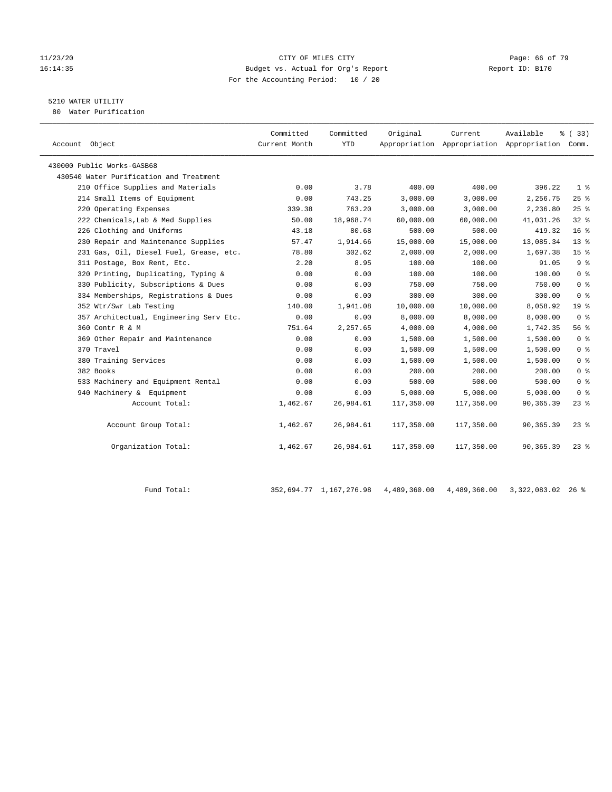## 11/23/20 **CITY OF MILES CITY CITY CITY Page: 66 of 79** 16:14:35 Budget vs. Actual for Org's Report Report ID: B170 For the Accounting Period: 10 / 20

## 5210 WATER UTILITY

80 Water Purification

| Account Object                          | Committed<br>Current Month | Committed<br><b>YTD</b> | Original   | Current    | Available<br>Appropriation Appropriation Appropriation Comm. | 8 (33)          |
|-----------------------------------------|----------------------------|-------------------------|------------|------------|--------------------------------------------------------------|-----------------|
| 430000 Public Works-GASB68              |                            |                         |            |            |                                                              |                 |
| 430540 Water Purification and Treatment |                            |                         |            |            |                                                              |                 |
| 210 Office Supplies and Materials       | 0.00                       | 3.78                    | 400.00     | 400.00     | 396.22                                                       | 1 <sup>°</sup>  |
| 214 Small Items of Equipment            | 0.00                       | 743.25                  | 3,000.00   | 3,000.00   | 2,256.75                                                     | 25%             |
| 220 Operating Expenses                  | 339.38                     | 763.20                  | 3,000.00   | 3,000.00   | 2,236.80                                                     | 25%             |
| 222 Chemicals, Lab & Med Supplies       | 50.00                      | 18,968.74               | 60,000.00  | 60,000.00  | 41,031.26                                                    | $32$ $%$        |
| 226 Clothing and Uniforms               | 43.18                      | 80.68                   | 500.00     | 500.00     | 419.32                                                       | 16 <sup>°</sup> |
| 230 Repair and Maintenance Supplies     | 57.47                      | 1,914.66                | 15,000.00  | 15,000.00  | 13,085.34                                                    | $13*$           |
| 231 Gas, Oil, Diesel Fuel, Grease, etc. | 78.80                      | 302.62                  | 2,000.00   | 2,000.00   | 1,697.38                                                     | 15 <sup>°</sup> |
| 311 Postage, Box Rent, Etc.             | 2.20                       | 8.95                    | 100.00     | 100.00     | 91.05                                                        | 9 <sup>°</sup>  |
| 320 Printing, Duplicating, Typing &     | 0.00                       | 0.00                    | 100.00     | 100.00     | 100.00                                                       | 0 <sup>8</sup>  |
| 330 Publicity, Subscriptions & Dues     | 0.00                       | 0.00                    | 750.00     | 750.00     | 750.00                                                       | 0 <sup>8</sup>  |
| 334 Memberships, Registrations & Dues   | 0.00                       | 0.00                    | 300.00     | 300.00     | 300.00                                                       | 0 <sup>8</sup>  |
| 352 Wtr/Swr Lab Testing                 | 140.00                     | 1,941.08                | 10,000.00  | 10,000.00  | 8,058.92                                                     | 19 <sup>°</sup> |
| 357 Architectual, Engineering Serv Etc. | 0.00                       | 0.00                    | 8,000.00   | 8,000.00   | 8,000.00                                                     | 0 <sup>8</sup>  |
| 360 Contr R & M                         | 751.64                     | 2,257.65                | 4,000.00   | 4,000.00   | 1,742.35                                                     | 56 %            |
| 369 Other Repair and Maintenance        | 0.00                       | 0.00                    | 1,500.00   | 1,500.00   | 1,500.00                                                     | 0 <sup>8</sup>  |
| 370 Travel                              | 0.00                       | 0.00                    | 1,500.00   | 1,500.00   | 1,500.00                                                     | 0 <sup>8</sup>  |
| 380 Training Services                   | 0.00                       | 0.00                    | 1,500.00   | 1,500.00   | 1,500.00                                                     | 0 <sup>8</sup>  |
| 382 Books                               | 0.00                       | 0.00                    | 200.00     | 200.00     | 200.00                                                       | 0 <sup>8</sup>  |
| 533 Machinery and Equipment Rental      | 0.00                       | 0.00                    | 500.00     | 500.00     | 500.00                                                       | 0 <sup>8</sup>  |
| 940 Machinery & Equipment               | 0.00                       | 0.00                    | 5,000.00   | 5,000.00   | 5,000.00                                                     | 0 <sup>8</sup>  |
| Account Total:                          | 1,462.67                   | 26,984.61               | 117,350.00 | 117,350.00 | 90,365.39                                                    | $23$ %          |
| Account Group Total:                    | 1,462.67                   | 26,984.61               | 117,350.00 | 117,350.00 | 90,365.39                                                    | $23$ $%$        |
| Organization Total:                     | 1,462.67                   | 26,984.61               | 117,350.00 | 117,350.00 | 90, 365, 39                                                  | $23$ $%$        |

Fund Total: 352,694.77 1,167,276.98 4,489,360.00 4,489,360.00 3,322,083.02 26 %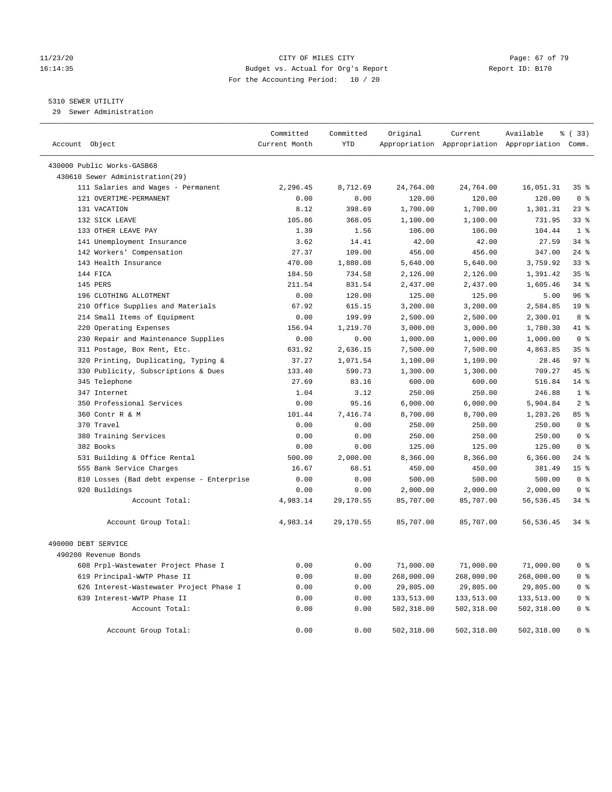## 11/23/20 Page: 67 of 79 16:14:35 Budget vs. Actual for Org's Report Report ID: B170 For the Accounting Period: 10 / 20

## 5310 SEWER UTILITY

29 Sewer Administration

| Account Object                            | Committed<br>Current Month | Committed<br><b>YTD</b> | Original         | Current          | Available<br>Appropriation Appropriation Appropriation Comm. | 8 (33)                           |
|-------------------------------------------|----------------------------|-------------------------|------------------|------------------|--------------------------------------------------------------|----------------------------------|
| 430000 Public Works-GASB68                |                            |                         |                  |                  |                                                              |                                  |
| 430610 Sewer Administration(29)           |                            |                         |                  |                  |                                                              |                                  |
| 111 Salaries and Wages - Permanent        | 2,296.45                   | 8,712.69                | 24,764.00        | 24,764.00        | 16,051.31                                                    | 35%                              |
| 121 OVERTIME-PERMANENT                    | 0.00                       | 0.00                    | 120.00           | 120.00           | 120.00                                                       | 0 <sup>8</sup>                   |
| 131 VACATION                              | 8.12                       | 398.69                  | 1,700.00         | 1,700.00         | 1,301.31                                                     | 23%                              |
| 132 SICK LEAVE                            | 105.86                     | 368.05                  | 1,100.00         | 1,100.00         | 731.95                                                       | 338                              |
| 133 OTHER LEAVE PAY                       | 1.39                       | 1.56                    | 106.00           | 106.00           | 104.44                                                       | 1 <sup>8</sup>                   |
| 141 Unemployment Insurance                | 3.62                       | 14.41                   | 42.00            | 42.00            | 27.59                                                        | 34%                              |
| 142 Workers' Compensation                 | 27.37                      | 109.00                  | 456.00           | 456.00           | 347.00                                                       | $24$ %                           |
| 143 Health Insurance                      | 470.00                     | 1,880.08                | 5,640.00         | 5,640.00         | 3,759.92                                                     | 33%                              |
| 144 FICA                                  | 184.50                     | 734.58                  | 2,126.00         | 2,126.00         | 1,391.42                                                     | 35%                              |
| 145 PERS                                  | 211.54                     | 831.54                  | 2,437.00         | 2,437.00         | 1,605.46                                                     | 34%                              |
| 196 CLOTHING ALLOTMENT                    | 0.00                       | 120.00                  | 125.00           | 125.00           | 5.00                                                         | 96%                              |
| 210 Office Supplies and Materials         | 67.92                      | 615.15                  | 3,200.00         | 3,200.00         | 2,584.85                                                     | 19 <sup>8</sup>                  |
| 214 Small Items of Equipment              | 0.00                       | 199.99                  | 2,500.00         | 2,500.00         | 2,300.01                                                     | 8 %                              |
| 220 Operating Expenses                    | 156.94                     | 1,219.70                | 3,000.00         | 3,000.00         | 1,780.30                                                     | 41.8                             |
| 230 Repair and Maintenance Supplies       | 0.00                       | 0.00                    | 1,000.00         | 1,000.00         | 1,000.00                                                     | 0 <sup>8</sup>                   |
| 311 Postage, Box Rent, Etc.               | 631.92                     | 2,636.15                | 7,500.00         | 7,500.00         | 4,863.85                                                     | 35 <sup>8</sup>                  |
| 320 Printing, Duplicating, Typing &       | 37.27                      | 1,071.54                | 1,100.00         | 1,100.00         | 28.46                                                        | 97 <sup>8</sup>                  |
| 330 Publicity, Subscriptions & Dues       | 133.40                     | 590.73                  | 1,300.00         | 1,300.00         | 709.27                                                       | 45%                              |
| 345 Telephone                             | 27.69                      | 83.16                   | 600.00           | 600.00           | 516.84                                                       | $14*$                            |
| 347 Internet                              | 1.04                       | 3.12                    | 250.00           | 250.00           | 246.88                                                       | 1 <sup>°</sup>                   |
| 350 Professional Services                 | 0.00                       | 95.16                   | 6,000.00         | 6,000.00         | 5,904.84                                                     | 2 <sup>°</sup>                   |
| 360 Contr R & M                           | 101.44                     | 7,416.74                | 8,700.00         | 8,700.00         | 1,283.26                                                     | 85 %                             |
| 370 Travel                                | 0.00                       | 0.00                    | 250.00           | 250.00           | 250.00                                                       | 0 <sup>8</sup><br>0 <sup>8</sup> |
| 380 Training Services<br>382 Books        | 0.00<br>0.00               | 0.00<br>0.00            | 250.00<br>125.00 | 250.00<br>125.00 | 250.00<br>125.00                                             | 0 <sup>8</sup>                   |
| 531 Building & Office Rental              | 500.00                     | 2,000.00                | 8,366.00         | 8,366.00         | 6,366.00                                                     | 24%                              |
| 555 Bank Service Charges                  | 16.67                      | 68.51                   | 450.00           | 450.00           | 381.49                                                       | 15 <sup>8</sup>                  |
| 810 Losses (Bad debt expense - Enterprise | 0.00                       | 0.00                    | 500.00           | 500.00           | 500.00                                                       | 0 <sup>8</sup>                   |
| 920 Buildings                             | 0.00                       | 0.00                    | 2,000.00         | 2,000.00         | 2,000.00                                                     | 0 <sup>8</sup>                   |
| Account Total:                            | 4,983.14                   | 29,170.55               | 85,707.00        | 85,707.00        | 56, 536.45                                                   | 34%                              |
|                                           |                            |                         |                  |                  |                                                              |                                  |
| Account Group Total:                      | 4,983.14                   | 29,170.55               | 85,707.00        | 85,707.00        | 56,536.45                                                    | $34$ $%$                         |
| 490000 DEBT SERVICE                       |                            |                         |                  |                  |                                                              |                                  |
| 490200 Revenue Bonds                      |                            |                         |                  |                  |                                                              |                                  |
| 608 Prpl-Wastewater Project Phase I       | 0.00                       | 0.00                    | 71,000.00        | 71,000.00        | 71,000.00                                                    | 0 <sup>8</sup>                   |
| 619 Principal-WWTP Phase II               | 0.00                       | 0.00                    | 268,000.00       | 268,000.00       | 268,000.00                                                   | 0 <sup>8</sup>                   |
| 626 Interest-Wastewater Project Phase I   | 0.00                       | 0.00                    | 29,805.00        | 29,805.00        | 29,805.00                                                    | 0 <sup>8</sup>                   |
| 639 Interest-WWTP Phase II                | 0.00                       | 0.00                    | 133,513.00       | 133,513.00       | 133,513.00                                                   | 0 <sup>8</sup>                   |
| Account Total:                            | 0.00                       | 0.00                    | 502,318.00       | 502,318.00       | 502,318.00                                                   | 0 <sup>8</sup>                   |
| Account Group Total:                      | 0.00                       | 0.00                    | 502,318.00       | 502,318.00       | 502,318.00                                                   | 0 <sup>8</sup>                   |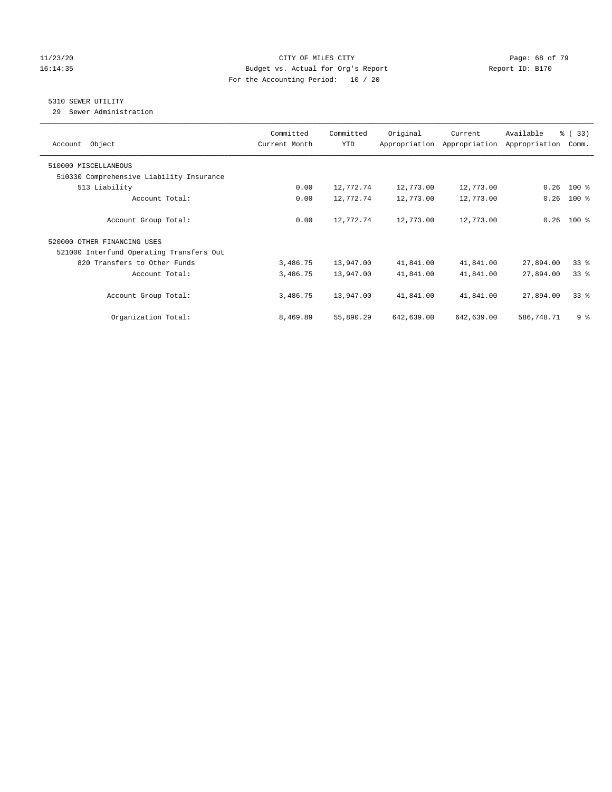## 11/23/20 Page: 68 of 79 16:14:35 Budget vs. Actual for Org's Report Report ID: B170 For the Accounting Period: 10 / 20

## 5310 SEWER UTILITY

29 Sewer Administration

| Object<br>Account                        | Committed<br>Current Month | Committed<br><b>YTD</b> | Original   | Current<br>Appropriation Appropriation | Available<br>Appropriation | % (33)<br>Comm. |
|------------------------------------------|----------------------------|-------------------------|------------|----------------------------------------|----------------------------|-----------------|
| 510000 MISCELLANEOUS                     |                            |                         |            |                                        |                            |                 |
| 510330 Comprehensive Liability Insurance |                            |                         |            |                                        |                            |                 |
| 513 Liability                            | 0.00                       | 12,772.74               | 12,773.00  | 12,773.00                              | 0.26                       | $100$ %         |
| Account Total:                           | 0.00                       | 12,772.74               | 12,773.00  | 12,773.00                              | 0.26                       | $100$ %         |
| Account Group Total:                     | 0.00                       | 12,772.74               | 12,773.00  | 12,773.00                              | 0.26                       | $100$ %         |
| 520000 OTHER FINANCING USES              |                            |                         |            |                                        |                            |                 |
| 521000 Interfund Operating Transfers Out |                            |                         |            |                                        |                            |                 |
| 820 Transfers to Other Funds             | 3,486.75                   | 13,947.00               | 41,841.00  | 41,841.00                              | 27,894.00                  | 338             |
| Account Total:                           | 3,486.75                   | 13,947.00               | 41,841.00  | 41,841.00                              | 27,894.00                  | 33 <sup>8</sup> |
| Account Group Total:                     | 3,486.75                   | 13,947.00               | 41,841.00  | 41,841.00                              | 27,894.00                  | 338             |
| Organization Total:                      | 8,469.89                   | 55,890.29               | 642,639.00 | 642,639.00                             | 586,748.71                 | 9 <sup>8</sup>  |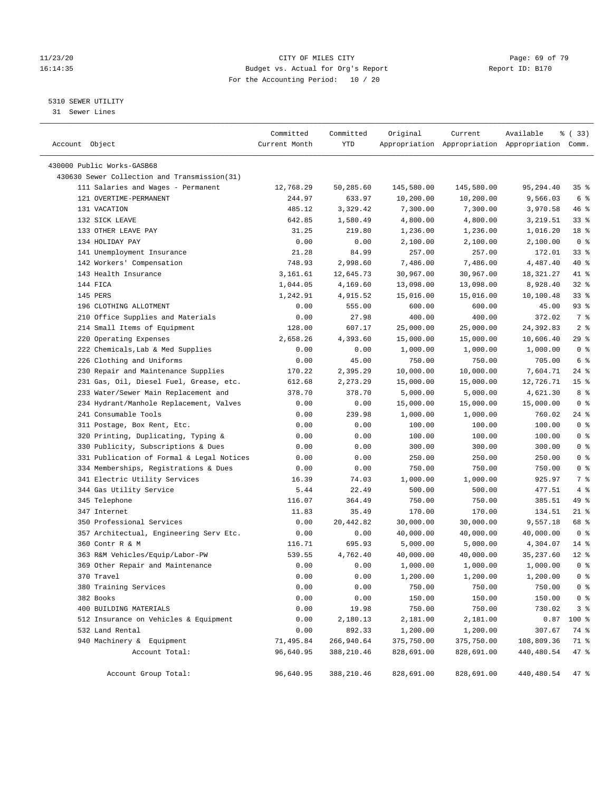## 11/23/20 Page: 69 of 79 16:14:35 Budget vs. Actual for Org's Report Report ID: B170 For the Accounting Period: 10 / 20

————————————————————————————————————————————————————————————————————————————————————————————————————————————————————————————————————

## 5310 SEWER UTILITY

31 Sewer Lines

|                                              | Committed     | Committed  | Original   | Current    | Available                                       | % (33)          |
|----------------------------------------------|---------------|------------|------------|------------|-------------------------------------------------|-----------------|
| Account Object                               | Current Month | YTD        |            |            | Appropriation Appropriation Appropriation Comm. |                 |
|                                              |               |            |            |            |                                                 |                 |
| 430000 Public Works-GASB68                   |               |            |            |            |                                                 |                 |
| 430630 Sewer Collection and Transmission(31) |               |            |            |            |                                                 |                 |
| 111 Salaries and Wages - Permanent           | 12,768.29     | 50,285.60  | 145,580.00 | 145,580.00 | 95,294.40                                       | 35%             |
| 121 OVERTIME-PERMANENT                       | 244.97        | 633.97     | 10,200.00  | 10,200.00  | 9,566.03                                        | 6 %             |
| 131 VACATION                                 | 485.12        | 3,329.42   | 7,300.00   | 7,300.00   | 3,970.58                                        | 46 %            |
| 132 SICK LEAVE                               | 642.85        | 1,580.49   | 4,800.00   | 4,800.00   | 3,219.51                                        | 33%             |
| 133 OTHER LEAVE PAY                          | 31.25         | 219.80     | 1,236.00   | 1,236.00   | 1,016.20                                        | 18 %            |
| 134 HOLIDAY PAY                              | 0.00          | 0.00       | 2,100.00   | 2,100.00   | 2,100.00                                        | 0 <sup>8</sup>  |
| 141 Unemployment Insurance                   | 21.28         | 84.99      | 257.00     | 257.00     | 172.01                                          | 33%             |
| 142 Workers' Compensation                    | 748.93        | 2,998.60   | 7,486.00   | 7,486.00   | 4,487.40                                        | 40 %            |
| 143 Health Insurance                         | 3,161.61      | 12,645.73  | 30,967.00  | 30,967.00  | 18,321.27                                       | 41 %            |
| 144 FICA                                     | 1,044.05      | 4,169.60   | 13,098.00  | 13,098.00  | 8,928.40                                        | 32%             |
| 145 PERS                                     | 1,242.91      | 4,915.52   | 15,016.00  | 15,016.00  | 10,100.48                                       | 33%             |
| 196 CLOTHING ALLOTMENT                       | 0.00          | 555.00     | 600.00     | 600.00     | 45.00                                           | 93 %            |
| 210 Office Supplies and Materials            | 0.00          | 27.98      | 400.00     | 400.00     | 372.02                                          | 7 %             |
| 214 Small Items of Equipment                 | 128.00        | 607.17     | 25,000.00  | 25,000.00  | 24,392.83                                       | 2 <sub>8</sub>  |
| 220 Operating Expenses                       | 2,658.26      | 4,393.60   | 15,000.00  | 15,000.00  | 10,606.40                                       | 29%             |
| 222 Chemicals, Lab & Med Supplies            | 0.00          | 0.00       | 1,000.00   | 1,000.00   | 1,000.00                                        | 0 <sup>8</sup>  |
| 226 Clothing and Uniforms                    | 0.00          | 45.00      | 750.00     | 750.00     | 705.00                                          | 6 %             |
| 230 Repair and Maintenance Supplies          | 170.22        | 2,395.29   | 10,000.00  | 10,000.00  | 7,604.71                                        | $24$ %          |
| 231 Gas, Oil, Diesel Fuel, Grease, etc.      | 612.68        | 2,273.29   | 15,000.00  | 15,000.00  | 12,726.71                                       | 15 <sup>°</sup> |
| 233 Water/Sewer Main Replacement and         | 378.70        | 378.70     | 5,000.00   | 5,000.00   | 4,621.30                                        | 8%              |
| 234 Hydrant/Manhole Replacement, Valves      | 0.00          | 0.00       | 15,000.00  | 15,000.00  | 15,000.00                                       | 0 <sup>8</sup>  |
| 241 Consumable Tools                         | 0.00          | 239.98     | 1,000.00   | 1,000.00   | 760.02                                          | $24$ %          |
| 311 Postage, Box Rent, Etc.                  | 0.00          | 0.00       | 100.00     | 100.00     | 100.00                                          | 0 <sup>8</sup>  |
| 320 Printing, Duplicating, Typing &          | 0.00          | 0.00       | 100.00     | 100.00     | 100.00                                          | 0 <sup>8</sup>  |
| 330 Publicity, Subscriptions & Dues          | 0.00          | 0.00       | 300.00     | 300.00     | 300.00                                          | 0 <sup>8</sup>  |
| 331 Publication of Formal & Legal Notices    | 0.00          | 0.00       | 250.00     | 250.00     | 250.00                                          | 0 <sup>°</sup>  |
| 334 Memberships, Registrations & Dues        | 0.00          | 0.00       | 750.00     | 750.00     | 750.00                                          | 0 <sup>°</sup>  |
| 341 Electric Utility Services                | 16.39         | 74.03      | 1,000.00   | 1,000.00   | 925.97                                          | 7 %             |
| 344 Gas Utility Service                      | 5.44          | 22.49      | 500.00     | 500.00     | 477.51                                          | 4%              |
| 345 Telephone                                | 116.07        | 364.49     | 750.00     | 750.00     | 385.51                                          | 49 %            |
| 347 Internet                                 | 11.83         | 35.49      | 170.00     | 170.00     | 134.51                                          | $21$ %          |
| 350 Professional Services                    | 0.00          | 20,442.82  | 30,000.00  | 30,000.00  | 9,557.18                                        | 68 %            |
| 357 Architectual, Engineering Serv Etc.      | 0.00          | 0.00       | 40,000.00  | 40,000.00  | 40,000.00                                       | 0 <sup>8</sup>  |
| 360 Contr R & M                              | 116.71        | 695.93     | 5,000.00   | 5,000.00   | 4,304.07                                        | $14$ %          |
| 363 R&M Vehicles/Equip/Labor-PW              | 539.55        | 4,762.40   | 40,000.00  | 40,000.00  | 35,237.60                                       | $12*$           |
| 369 Other Repair and Maintenance             | 0.00          | 0.00       | 1,000.00   | 1,000.00   | 1,000.00                                        | 0 <sup>8</sup>  |
| 370 Travel                                   | 0.00          | 0.00       | 1,200.00   | 1,200.00   | 1,200.00                                        | 0 <sup>8</sup>  |
| 380 Training Services                        | 0.00          | 0.00       | 750.00     | 750.00     | 750.00                                          | 0 <sup>8</sup>  |
| 382 Books                                    | 0.00          | 0.00       | 150.00     | 150.00     | 150.00                                          | 0 <sup>8</sup>  |
| 400 BUILDING MATERIALS                       | 0.00          | 19.98      | 750.00     | 750.00     | 730.02                                          | 3 <sup>°</sup>  |
| 512 Insurance on Vehicles & Equipment        | 0.00          | 2,180.13   | 2,181.00   | 2,181.00   | 0.87                                            | 100 %           |
| 532 Land Rental                              | 0.00          | 892.33     | 1,200.00   | 1,200.00   | 307.67                                          | 74 %            |
| 940 Machinery & Equipment                    | 71,495.84     | 266,940.64 | 375,750.00 | 375,750.00 | 108,809.36                                      | 71 %            |
| Account Total:                               | 96,640.95     | 388,210.46 | 828,691.00 | 828,691.00 | 440,480.54                                      | 47 %            |
|                                              |               |            |            |            |                                                 |                 |
| Account Group Total:                         | 96,640.95     | 388,210.46 | 828,691.00 | 828,691.00 | 440,480.54                                      | 47 %            |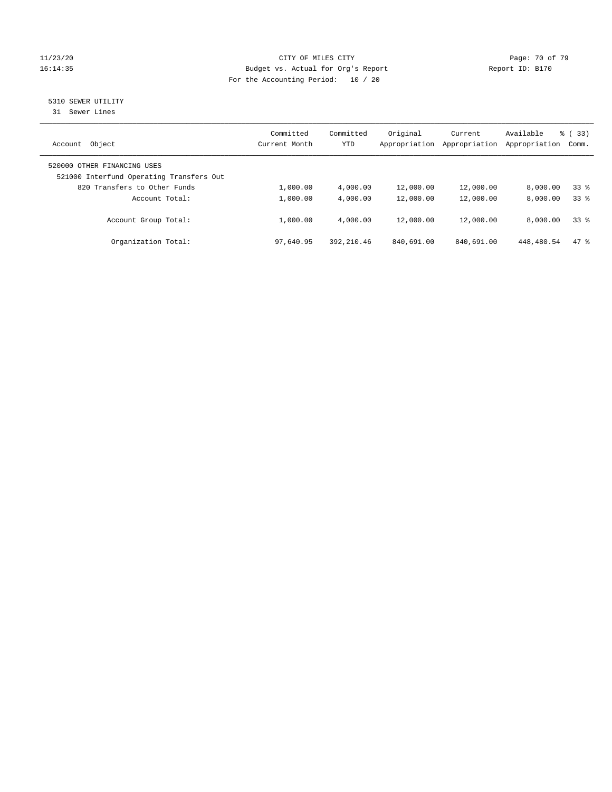## 11/23/20 Page: 70 of 79 16:14:35 Budget vs. Actual for Org's Report Report ID: B170 For the Accounting Period: 10 / 20

# 5310 SEWER UTILITY

31 Sewer Lines

| Object<br>Account                                                       | Committed<br>Current Month | Committed<br>YTD | Original<br>Appropriation | Current<br>Appropriation | Available<br>Appropriation | $\frac{6}{6}$ (33)<br>Comm. |
|-------------------------------------------------------------------------|----------------------------|------------------|---------------------------|--------------------------|----------------------------|-----------------------------|
| 520000 OTHER FINANCING USES<br>521000 Interfund Operating Transfers Out |                            |                  |                           |                          |                            |                             |
| 820 Transfers to Other Funds                                            | 1,000.00                   | 4,000.00         | 12,000.00                 | 12,000.00                | 8.000.00                   | 338                         |
| Account Total:                                                          | 1,000.00                   | 4,000.00         | 12,000.00                 | 12,000.00                | 8,000.00                   | 338                         |
| Account Group Total:                                                    | 1,000.00                   | 4,000.00         | 12,000.00                 | 12,000.00                | 8,000.00                   | 338                         |
| Organization Total:                                                     | 97,640.95                  | 392, 210.46      | 840,691.00                | 840,691.00               | 448,480.54                 | 47.8                        |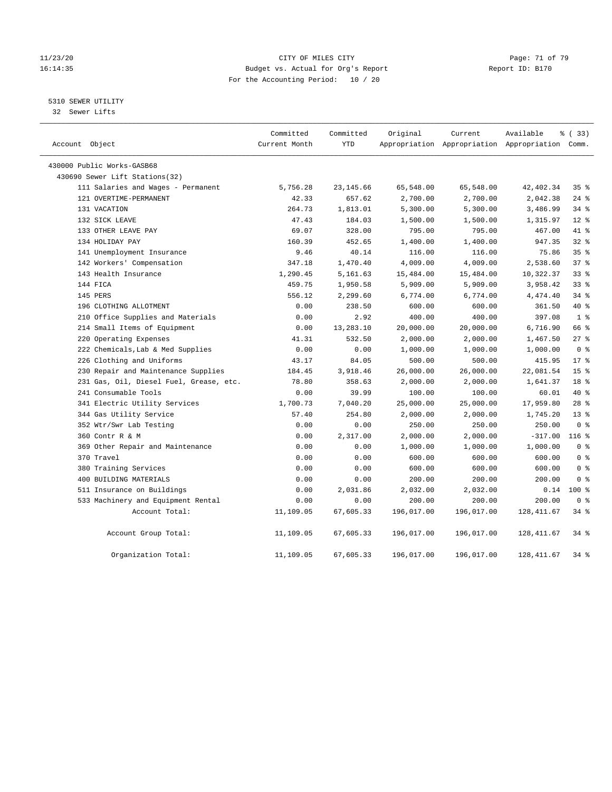## 11/23/20 Page: 71 of 79 16:14:35 Budget vs. Actual for Org's Report Report ID: B170 For the Accounting Period: 10 / 20

5310 SEWER UTILITY

32 Sewer Lifts

| Account Object                          | Committed<br>Current Month | Committed<br><b>YTD</b> | Original   | Current    | Available<br>Appropriation Appropriation Appropriation Comm. | 8 (33)          |
|-----------------------------------------|----------------------------|-------------------------|------------|------------|--------------------------------------------------------------|-----------------|
| 430000 Public Works-GASB68              |                            |                         |            |            |                                                              |                 |
| 430690 Sewer Lift Stations (32)         |                            |                         |            |            |                                                              |                 |
| 111 Salaries and Wages - Permanent      | 5,756.28                   | 23, 145.66              | 65,548.00  | 65,548.00  | 42, 402.34                                                   | 35%             |
| 121 OVERTIME-PERMANENT                  | 42.33                      | 657.62                  | 2,700.00   | 2,700.00   | 2,042.38                                                     | $24$ %          |
| 131 VACATION                            | 264.73                     | 1,813.01                | 5,300.00   | 5,300.00   | 3,486.99                                                     | $34$ $%$        |
| 132 SICK LEAVE                          | 47.43                      | 184.03                  | 1,500.00   | 1,500.00   | 1,315.97                                                     | $12*$           |
| 133 OTHER LEAVE PAY                     | 69.07                      | 328.00                  | 795.00     | 795.00     | 467.00                                                       | 41 %            |
| 134 HOLIDAY PAY                         | 160.39                     | 452.65                  | 1,400.00   | 1,400.00   | 947.35                                                       | 32%             |
| 141 Unemployment Insurance              | 9.46                       | 40.14                   | 116.00     | 116.00     | 75.86                                                        | 35%             |
| 142 Workers' Compensation               | 347.18                     | 1,470.40                | 4,009.00   | 4,009.00   | 2,538.60                                                     | 37%             |
| 143 Health Insurance                    | 1,290.45                   | 5,161.63                | 15,484.00  | 15,484.00  | 10,322.37                                                    | $33$ $%$        |
| 144 FICA                                | 459.75                     | 1,950.58                | 5,909.00   | 5,909.00   | 3,958.42                                                     | 33%             |
| 145 PERS                                | 556.12                     | 2,299.60                | 6,774.00   | 6,774.00   | 4,474.40                                                     | 34.8            |
| 196 CLOTHING ALLOTMENT                  | 0.00                       | 238.50                  | 600.00     | 600.00     | 361.50                                                       | $40*$           |
| 210 Office Supplies and Materials       | 0.00                       | 2.92                    | 400.00     | 400.00     | 397.08                                                       | 1 <sup>8</sup>  |
| 214 Small Items of Equipment            | 0.00                       | 13,283.10               | 20,000.00  | 20,000.00  | 6,716.90                                                     | 66 %            |
| 220 Operating Expenses                  | 41.31                      | 532.50                  | 2,000.00   | 2,000.00   | 1,467.50                                                     | $27$ %          |
| 222 Chemicals, Lab & Med Supplies       | 0.00                       | 0.00                    | 1,000.00   | 1,000.00   | 1,000.00                                                     | 0 <sup>8</sup>  |
| 226 Clothing and Uniforms               | 43.17                      | 84.05                   | 500.00     | 500.00     | 415.95                                                       | $17*$           |
| 230 Repair and Maintenance Supplies     | 184.45                     | 3,918.46                | 26,000.00  | 26,000.00  | 22,081.54                                                    | 15 <sup>°</sup> |
| 231 Gas, Oil, Diesel Fuel, Grease, etc. | 78.80                      | 358.63                  | 2,000.00   | 2,000.00   | 1,641.37                                                     | 18 %            |
| 241 Consumable Tools                    | 0.00                       | 39.99                   | 100.00     | 100.00     | 60.01                                                        | $40*$           |
| 341 Electric Utility Services           | 1,700.73                   | 7,040.20                | 25,000.00  | 25,000.00  | 17,959.80                                                    | $28$ %          |
| 344 Gas Utility Service                 | 57.40                      | 254.80                  | 2,000.00   | 2,000.00   | 1,745.20                                                     | 13 <sup>8</sup> |
| 352 Wtr/Swr Lab Testing                 | 0.00                       | 0.00                    | 250.00     | 250.00     | 250.00                                                       | 0 <sup>8</sup>  |
| 360 Contr R & M                         | 0.00                       | 2,317.00                | 2,000.00   | 2,000.00   | $-317.00$                                                    | $116$ %         |
| 369 Other Repair and Maintenance        | 0.00                       | 0.00                    | 1,000.00   | 1,000.00   | 1,000.00                                                     | 0 <sup>8</sup>  |
| 370 Travel                              | 0.00                       | 0.00                    | 600.00     | 600.00     | 600.00                                                       | 0 <sup>8</sup>  |
| 380 Training Services                   | 0.00                       | 0.00                    | 600.00     | 600.00     | 600.00                                                       | 0 <sup>8</sup>  |
| 400 BUILDING MATERIALS                  | 0.00                       | 0.00                    | 200.00     | 200.00     | 200.00                                                       | 0 <sup>8</sup>  |
| 511 Insurance on Buildings              | 0.00                       | 2,031.86                | 2,032.00   | 2,032.00   | 0.14                                                         | $100*$          |
| 533 Machinery and Equipment Rental      | 0.00                       | 0.00                    | 200.00     | 200.00     | 200.00                                                       | 0 <sup>8</sup>  |
| Account Total:                          | 11,109.05                  | 67,605.33               | 196,017.00 | 196,017.00 | 128, 411.67                                                  | 34.8            |
| Account Group Total:                    | 11,109.05                  | 67,605.33               | 196,017.00 | 196,017.00 | 128, 411.67                                                  | $34$ $%$        |
| Organization Total:                     | 11,109.05                  | 67,605.33               | 196,017.00 | 196,017.00 | 128, 411.67                                                  | $34$ $%$        |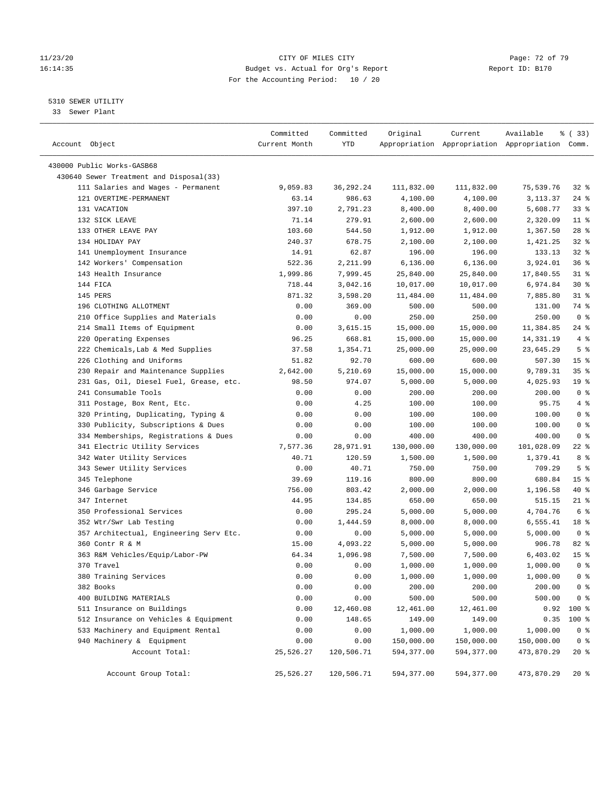## 11/23/20 Page: 72 of 79 16:14:35 Budget vs. Actual for Org's Report Report ID: B170 For the Accounting Period: 10 / 20

————————————————————————————————————————————————————————————————————————————————————————————————————————————————————————————————————

## 5310 SEWER UTILITY

33 Sewer Plant

|                                         | Committed     | Committed  | Original   | Current    | Available                                       | % (33)                             |
|-----------------------------------------|---------------|------------|------------|------------|-------------------------------------------------|------------------------------------|
| Account Object                          | Current Month | YTD        |            |            | Appropriation Appropriation Appropriation Comm. |                                    |
|                                         |               |            |            |            |                                                 |                                    |
| 430000 Public Works-GASB68              |               |            |            |            |                                                 |                                    |
| 430640 Sewer Treatment and Disposal(33) |               |            |            |            |                                                 |                                    |
| 111 Salaries and Wages - Permanent      | 9,059.83      | 36,292.24  | 111,832.00 | 111,832.00 | 75,539.76                                       | 328                                |
| 121 OVERTIME-PERMANENT                  | 63.14         | 986.63     | 4,100.00   | 4,100.00   | 3,113.37                                        | 24 %                               |
| 131 VACATION                            | 397.10        | 2,791.23   | 8,400.00   | 8,400.00   | 5,608.77                                        | 33%                                |
| 132 SICK LEAVE                          | 71.14         | 279.91     | 2,600.00   | 2,600.00   | 2,320.09                                        | $11$ %                             |
| 133 OTHER LEAVE PAY                     | 103.60        | 544.50     | 1,912.00   | 1,912.00   | 1,367.50                                        | $28$ %                             |
| 134 HOLIDAY PAY                         | 240.37        | 678.75     | 2,100.00   | 2,100.00   | 1,421.25                                        | $32$ $%$                           |
| 141 Unemployment Insurance              | 14.91         | 62.87      | 196.00     | 196.00     | 133.13                                          | $32$ $%$                           |
| 142 Workers' Compensation               | 522.36        | 2,211.99   | 6,136.00   | 6,136.00   | 3,924.01                                        | 36%                                |
| 143 Health Insurance                    | 1,999.86      | 7,999.45   | 25,840.00  | 25,840.00  | 17,840.55                                       | $31$ %                             |
| 144 FICA                                | 718.44        | 3,042.16   | 10,017.00  | 10,017.00  | 6,974.84                                        | $30*$                              |
| 145 PERS                                | 871.32        | 3,598.20   | 11,484.00  | 11,484.00  | 7,885.80                                        | $31$ %                             |
| 196 CLOTHING ALLOTMENT                  | 0.00          | 369.00     | 500.00     | 500.00     | 131.00                                          | 74 %                               |
| 210 Office Supplies and Materials       | 0.00          | 0.00       | 250.00     | 250.00     | 250.00                                          | 0 <sup>8</sup>                     |
| 214 Small Items of Equipment            | 0.00          | 3,615.15   | 15,000.00  | 15,000.00  | 11,384.85                                       | $24$ %                             |
| 220 Operating Expenses                  | 96.25         | 668.81     | 15,000.00  | 15,000.00  | 14,331.19                                       | 4%                                 |
| 222 Chemicals, Lab & Med Supplies       | 37.58         | 1,354.71   | 25,000.00  | 25,000.00  | 23,645.29                                       | 5 <sup>°</sup>                     |
| 226 Clothing and Uniforms               | 51.82         | 92.70      | 600.00     | 600.00     | 507.30                                          | 15 <sup>8</sup>                    |
| 230 Repair and Maintenance Supplies     | 2,642.00      | 5,210.69   | 15,000.00  | 15,000.00  | 9,789.31                                        | 35%                                |
| 231 Gas, Oil, Diesel Fuel, Grease, etc. | 98.50         | 974.07     | 5,000.00   | 5,000.00   | 4,025.93                                        | 19 <sup>°</sup>                    |
| 241 Consumable Tools                    | 0.00          | 0.00       | 200.00     | 200.00     | 200.00                                          | 0 <sup>8</sup>                     |
| 311 Postage, Box Rent, Etc.             | 0.00          | 4.25       | 100.00     | 100.00     | 95.75                                           | 4%                                 |
| 320 Printing, Duplicating, Typing &     | 0.00          | 0.00       | 100.00     | 100.00     | 100.00                                          | 0 <sup>8</sup>                     |
| 330 Publicity, Subscriptions & Dues     | 0.00          | 0.00       | 100.00     | 100.00     | 100.00                                          | 0 <sup>8</sup>                     |
| 334 Memberships, Registrations & Dues   | 0.00          | 0.00       | 400.00     | 400.00     | 400.00                                          | 0 <sup>8</sup>                     |
| 341 Electric Utility Services           | 7,577.36      | 28,971.91  | 130,000.00 | 130,000.00 | 101,028.09                                      | 22 %                               |
| 342 Water Utility Services              | 40.71         | 120.59     | 1,500.00   | 1,500.00   | 1,379.41                                        | 8 %                                |
| 343 Sewer Utility Services              | 0.00          | 40.71      | 750.00     | 750.00     | 709.29                                          | 5 <sup>8</sup>                     |
| 345 Telephone                           | 39.69         | 119.16     | 800.00     | 800.00     | 680.84                                          | 15 <sup>8</sup>                    |
| 346 Garbage Service                     | 756.00        | 803.42     | 2,000.00   | 2,000.00   | 1,196.58                                        | 40 %                               |
| 347 Internet                            | 44.95         | 134.85     | 650.00     | 650.00     | 515.15                                          | $21$ %                             |
| 350 Professional Services               | 0.00          | 295.24     | 5,000.00   | 5,000.00   | 4,704.76                                        | 6 <sup>°</sup>                     |
| 352 Wtr/Swr Lab Testing                 | 0.00          | 1,444.59   | 8,000.00   | 8,000.00   | 6,555.41                                        | 18 %                               |
| 357 Architectual, Engineering Serv Etc. | 0.00          | 0.00       | 5,000.00   | 5,000.00   | 5,000.00                                        | 0 <sup>8</sup>                     |
| 360 Contr R & M                         | 15.00         | 4,093.22   | 5,000.00   | 5,000.00   | 906.78                                          | 82%                                |
| 363 R&M Vehicles/Equip/Labor-PW         | 64.34         | 1,096.98   | 7,500.00   | 7,500.00   | 6,403.02                                        | 15 <sup>°</sup>                    |
| 370 Travel                              | 0.00          | 0.00       | 1,000.00   | 1,000.00   | 1,000.00                                        | 0 <sup>8</sup>                     |
| 380 Training Services                   | 0.00          | 0.00       | 1,000.00   | 1,000.00   | 1,000.00                                        | $0 \text{ }$ $\text{ }$ $\text{ }$ |
| 382 Books                               | 0.00          | 0.00       | 200.00     | 200.00     | 200.00                                          | $0$ %                              |
| 400 BUILDING MATERIALS                  | 0.00          | 0.00       | 500.00     | 500.00     | 500.00                                          | $0$ %                              |
| 511 Insurance on Buildings              | 0.00          | 12,460.08  | 12,461.00  | 12,461.00  | 0.92                                            | 100 %                              |
| 512 Insurance on Vehicles & Equipment   | 0.00          | 148.65     | 149.00     | 149.00     | 0.35                                            | 100 %                              |
| 533 Machinery and Equipment Rental      | 0.00          | 0.00       | 1,000.00   | 1,000.00   | 1,000.00                                        | 0 <sup>8</sup>                     |
| 940 Machinery & Equipment               | 0.00          | 0.00       | 150,000.00 | 150,000.00 | 150,000.00                                      | 0 <sub>8</sub>                     |
| Account Total:                          | 25,526.27     | 120,506.71 | 594,377.00 | 594,377.00 | 473,870.29                                      | $20*$                              |
|                                         |               |            |            |            |                                                 |                                    |
| Account Group Total:                    | 25,526.27     | 120,506.71 | 594,377.00 | 594,377.00 | 473,870.29                                      | $20*$                              |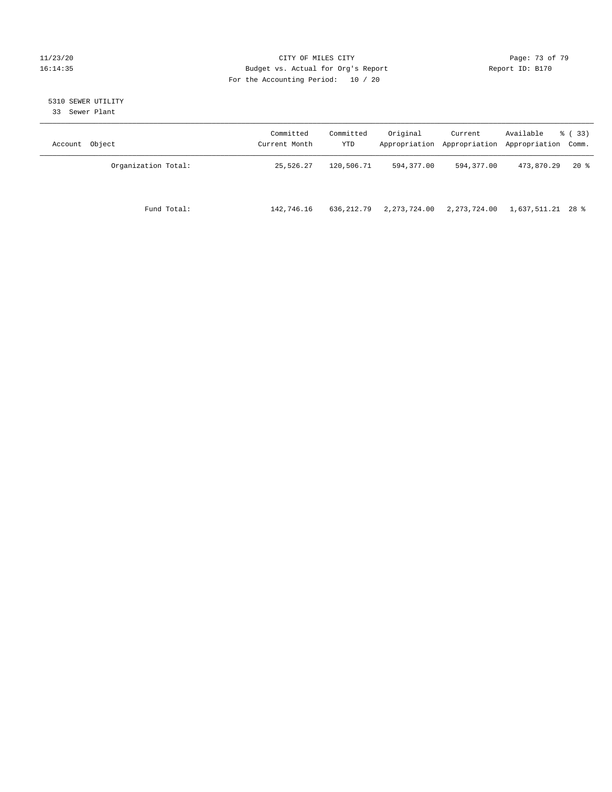### 11/23/20 Page: 73 of 79 16:14:35 Budget vs. Actual for Org's Report Report ID: B170 For the Accounting Period: 10 / 20

# 5310 SEWER UTILITY

33 Sewer Plant

| Account Object      | Committed<br>Current Month | Committed<br>YTD | Original     | Current      | Available<br>Appropriation Appropriation Appropriation Comm. | % ( 33 ) |
|---------------------|----------------------------|------------------|--------------|--------------|--------------------------------------------------------------|----------|
| Organization Total: | 25,526.27                  | 120,506.71       | 594,377.00   | 594,377.00   | 473,870.29                                                   | $20*$    |
| Fund Total:         | 142,746.16                 | 636,212.79       | 2,273,724.00 | 2,273,724.00 | 1,637,511.21 28 %                                            |          |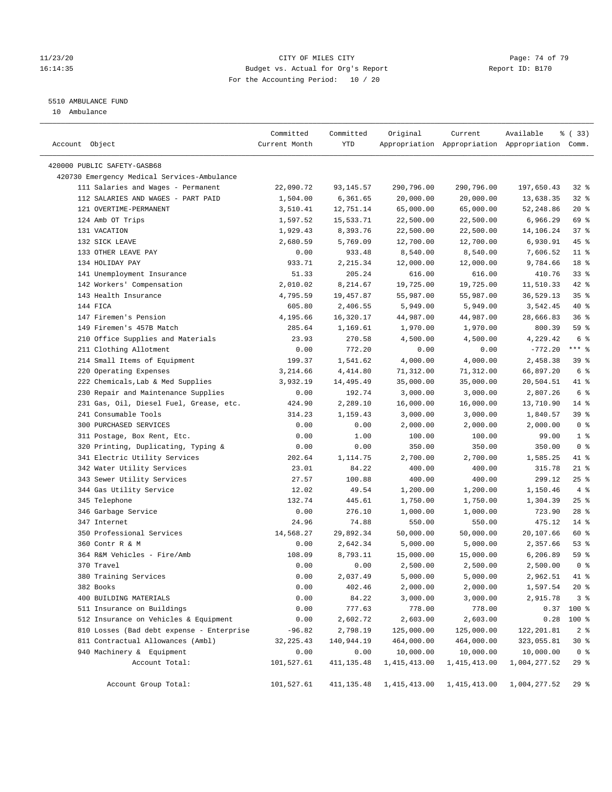### 11/23/20 Page: 74 of 79 16:14:35 Budget vs. Actual for Org's Report Report ID: B170 For the Accounting Period: 10 / 20

————————————————————————————————————————————————————————————————————————————————————————————————————————————————————————————————————

# 5510 AMBULANCE FUND

10 Ambulance

|                                                                            | Committed     | Committed             | Original               | Current        | Available                                       | १ (33)               |
|----------------------------------------------------------------------------|---------------|-----------------------|------------------------|----------------|-------------------------------------------------|----------------------|
| Account Object                                                             | Current Month | YTD                   |                        |                | Appropriation Appropriation Appropriation Comm. |                      |
|                                                                            |               |                       |                        |                |                                                 |                      |
| 420000 PUBLIC SAFETY-GASB68<br>420730 Emergency Medical Services-Ambulance |               |                       |                        |                |                                                 |                      |
|                                                                            | 22,090.72     |                       | 290,796.00             |                |                                                 |                      |
| 111 Salaries and Wages - Permanent                                         |               | 93,145.57<br>6,361.65 |                        | 290,796.00     | 197,650.43<br>13,638.35                         | $32$ $%$<br>$32$ $%$ |
| 112 SALARIES AND WAGES - PART PAID<br>121 OVERTIME-PERMANENT               | 1,504.00      |                       | 20,000.00              | 20,000.00      |                                                 | $20*$                |
|                                                                            | 3,510.41      | 12,751.14             | 65,000.00              | 65,000.00      | 52,248.86                                       |                      |
| 124 Amb OT Trips                                                           | 1,597.52      | 15,533.71             | 22,500.00              | 22,500.00      | 6,966.29                                        | 69 %<br>37%          |
| 131 VACATION                                                               | 1,929.43      | 8,393.76              | 22,500.00<br>12,700.00 | 22,500.00      | 14,106.24                                       | 45 %                 |
| 132 SICK LEAVE<br>133 OTHER LEAVE PAY                                      | 2,680.59      | 5,769.09<br>933.48    | 8,540.00               | 12,700.00      | 6,930.91                                        | $11$ %               |
| 134 HOLIDAY PAY                                                            | 0.00          |                       |                        | 8,540.00       | 7,606.52                                        |                      |
|                                                                            | 933.71        | 2,215.34              | 12,000.00              | 12,000.00      | 9,784.66                                        | 18 %                 |
| 141 Unemployment Insurance                                                 | 51.33         | 205.24                | 616.00                 | 616.00         | 410.76                                          | 33%                  |
| 142 Workers' Compensation                                                  | 2,010.02      | 8,214.67              | 19,725.00              | 19,725.00      | 11,510.33                                       | 42 %                 |
| 143 Health Insurance                                                       | 4,795.59      | 19,457.87             | 55,987.00              | 55,987.00      | 36,529.13                                       | 35%                  |
| 144 FICA                                                                   | 605.80        | 2,406.55              | 5,949.00               | 5,949.00       | 3,542.45                                        | 40 %                 |
| 147 Firemen's Pension                                                      | 4,195.66      | 16,320.17             | 44,987.00              | 44,987.00      | 28,666.83                                       | 36%                  |
| 149 Firemen's 457B Match                                                   | 285.64        | 1,169.61              | 1,970.00               | 1,970.00       | 800.39                                          | 59 %                 |
| 210 Office Supplies and Materials                                          | 23.93         | 270.58                | 4,500.00               | 4,500.00       | 4,229.42                                        | 6 <sup>°</sup>       |
| 211 Clothing Allotment                                                     | 0.00          | 772.20                | 0.00                   | 0.00           | $-772.20$                                       | $***$ 8              |
| 214 Small Items of Equipment                                               | 199.37        | 1,541.62              | 4,000.00               | 4,000.00       | 2,458.38                                        | 39 %                 |
| 220 Operating Expenses                                                     | 3,214.66      | 4,414.80              | 71,312.00              | 71,312.00      | 66,897.20                                       | 6 %                  |
| 222 Chemicals, Lab & Med Supplies                                          | 3,932.19      | 14,495.49             | 35,000.00              | 35,000.00      | 20,504.51                                       | 41 %                 |
| 230 Repair and Maintenance Supplies                                        | 0.00          | 192.74                | 3,000.00               | 3,000.00       | 2,807.26                                        | 6 <sup>°</sup>       |
| 231 Gas, Oil, Diesel Fuel, Grease, etc.                                    | 424.90        | 2,289.10              | 16,000.00              | 16,000.00      | 13,710.90                                       | $14$ %               |
| 241 Consumable Tools                                                       | 314.23        | 1,159.43              | 3,000.00               | 3,000.00       | 1,840.57                                        | 39%                  |
| 300 PURCHASED SERVICES                                                     | 0.00          | 0.00                  | 2,000.00               | 2,000.00       | 2,000.00                                        | 0 <sup>8</sup>       |
| 311 Postage, Box Rent, Etc.                                                | 0.00          | 1.00                  | 100.00                 | 100.00         | 99.00                                           | 1 <sup>8</sup>       |
| 320 Printing, Duplicating, Typing &                                        | 0.00          | 0.00                  | 350.00                 | 350.00         | 350.00                                          | 0 <sup>8</sup>       |
| 341 Electric Utility Services                                              | 202.64        | 1,114.75              | 2,700.00               | 2,700.00       | 1,585.25                                        | 41 %                 |
| 342 Water Utility Services                                                 | 23.01         | 84.22                 | 400.00                 | 400.00         | 315.78                                          | $21$ %               |
| 343 Sewer Utility Services                                                 | 27.57         | 100.88                | 400.00                 | 400.00         | 299.12                                          | $25$ %               |
| 344 Gas Utility Service                                                    | 12.02         | 49.54                 | 1,200.00               | 1,200.00       | 1,150.46                                        | 4%                   |
| 345 Telephone                                                              | 132.74        | 445.61                | 1,750.00               | 1,750.00       | 1,304.39                                        | $25$ %               |
| 346 Garbage Service                                                        | 0.00          | 276.10                | 1,000.00               | 1,000.00       | 723.90                                          | $28$ %               |
| 347 Internet                                                               | 24.96         | 74.88                 | 550.00                 | 550.00         | 475.12                                          | $14*$                |
| 350 Professional Services                                                  | 14,568.27     | 29,892.34             | 50,000.00              | 50,000.00      | 20,107.66                                       | 60 %                 |
| 360 Contr R & M                                                            | 0.00          | 2,642.34              | 5,000.00               | 5,000.00       | 2,357.66                                        | 53%                  |
| 364 R&M Vehicles - Fire/Amb                                                | 108.09        | 8,793.11              | 15,000.00              | 15,000.00      | 6,206.89                                        | 59 %                 |
| 370 Travel                                                                 | 0.00          | 0.00                  | 2,500.00               | 2,500.00       | 2,500.00                                        | 0 <sup>8</sup>       |
| 380 Training Services                                                      | 0.00          | 2,037.49              | 5,000.00               | 5,000.00       | 2,962.51                                        | 41 %                 |
| 382 Books                                                                  | 0.00          | 402.46                | 2,000.00               | 2,000.00       | 1,597.54                                        | $20*$                |
| 400 BUILDING MATERIALS                                                     | 0.00          | 84.22                 | 3,000.00               | 3,000.00       | 2,915.78                                        | 3 <sup>8</sup>       |
| 511 Insurance on Buildings                                                 | 0.00          | 777.63                | 778.00                 | 778.00         |                                                 | $0.37$ 100 %         |
| 512 Insurance on Vehicles & Equipment                                      | 0.00          | 2,602.72              | 2,603.00               | 2,603.00       | 0.28                                            | 100 %                |
| 810 Losses (Bad debt expense - Enterprise                                  | $-96.82$      | 2,798.19              | 125,000.00             | 125,000.00     | 122, 201.81                                     | 2 <sup>8</sup>       |
| 811 Contractual Allowances (Ambl)                                          | 32, 225.43    | 140,944.19            | 464,000.00             | 464,000.00     | 323,055.81                                      | $30*$                |
| 940 Machinery & Equipment                                                  | 0.00          | 0.00                  | 10,000.00              | 10,000.00      | 10,000.00                                       | 0 <sup>8</sup>       |
| Account Total:                                                             | 101,527.61    | 411, 135.48           | 1, 415, 413.00         | 1, 415, 413.00 | 1,004,277.52                                    | 29%                  |
| Account Group Total:                                                       | 101,527.61    | 411,135.48            | 1,415,413.00           | 1,415,413.00   | 1,004,277.52                                    | 29%                  |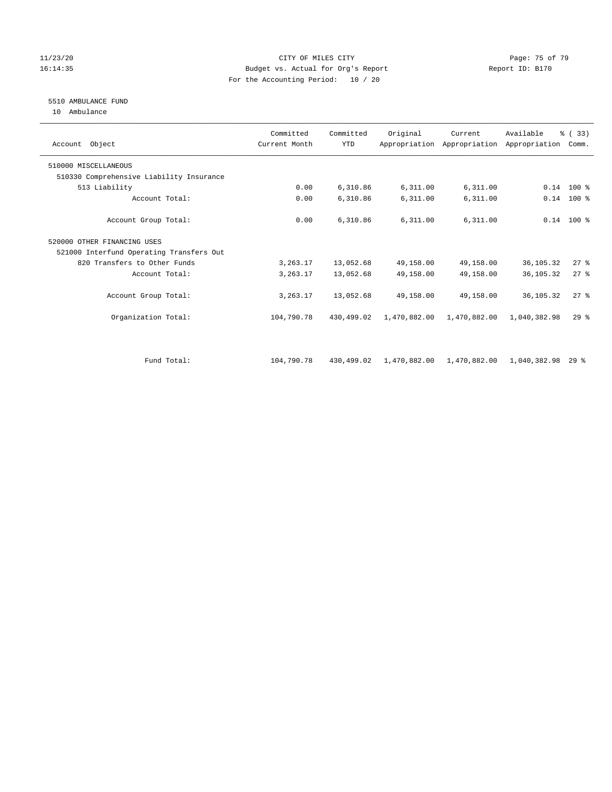### 11/23/20 Page: 75 of 79 16:14:35 Budget vs. Actual for Org's Report Report ID: B170 For the Accounting Period: 10 / 20

# 5510 AMBULANCE FUND

10 Ambulance

| Account Object                           | Committed<br>Current Month | Committed<br><b>YTD</b> | Original     | Current      | Available<br>Appropriation Appropriation Appropriation | % (33)<br>Comm. |  |
|------------------------------------------|----------------------------|-------------------------|--------------|--------------|--------------------------------------------------------|-----------------|--|
| 510000 MISCELLANEOUS                     |                            |                         |              |              |                                                        |                 |  |
| 510330 Comprehensive Liability Insurance |                            |                         |              |              |                                                        |                 |  |
| 513 Liability                            | 0.00                       | 6,310.86                | 6,311.00     | 6,311.00     |                                                        | $0.14$ 100 %    |  |
| Account Total:                           | 0.00                       | 6,310.86                | 6,311.00     | 6,311.00     | 0.14                                                   | $100*$          |  |
| Account Group Total:                     | 0.00                       | 6,310.86                | 6,311.00     | 6,311.00     |                                                        | $0.14$ 100 %    |  |
| 520000 OTHER FINANCING USES              |                            |                         |              |              |                                                        |                 |  |
| 521000 Interfund Operating Transfers Out |                            |                         |              |              |                                                        |                 |  |
| 820 Transfers to Other Funds             | 3,263.17                   | 13,052.68               | 49,158.00    | 49,158.00    | 36,105.32                                              | 27%             |  |
| Account Total:                           | 3,263.17                   | 13,052.68               | 49,158.00    | 49,158.00    | 36, 105. 32                                            | $27$ $%$        |  |
| Account Group Total:                     | 3, 263.17                  | 13,052.68               | 49,158.00    | 49,158.00    | 36,105.32                                              | 27%             |  |
| Organization Total:                      | 104,790.78                 | 430,499.02              | 1,470,882.00 | 1,470,882.00 | 1,040,382.98                                           | $29$ $%$        |  |
|                                          |                            |                         |              |              |                                                        |                 |  |
| Fund Total:                              | 104,790.78                 | 430,499.02              | 1,470,882.00 | 1,470,882.00 | 1,040,382.98                                           | 298             |  |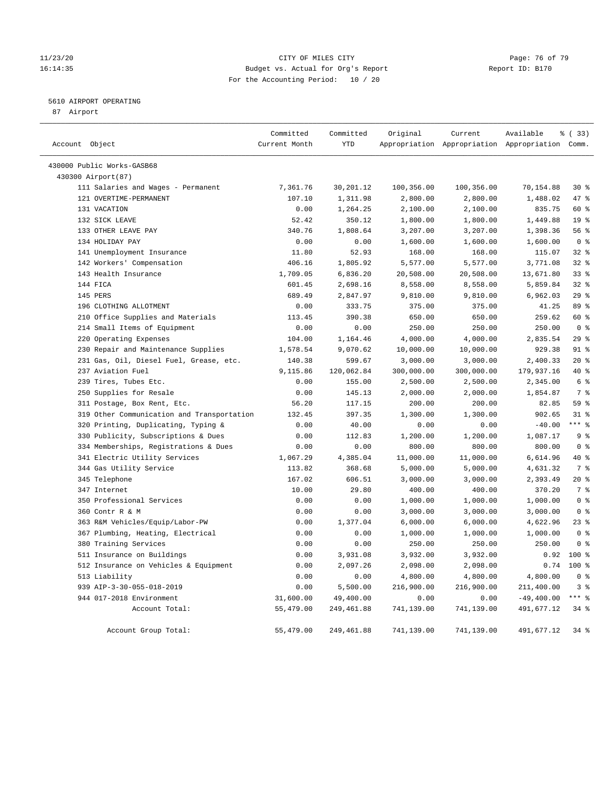### 11/23/20 Page: 76 of 79 16:14:35 Budget vs. Actual for Org's Report Report ID: B170 For the Accounting Period: 10 / 20

## 5610 AIRPORT OPERATING

87 Airport

| Account Object                             | Committed<br>Current Month | Committed<br><b>YTD</b> | Original   | Current    | Available<br>Appropriation Appropriation Appropriation Comm. | % (33)                  |
|--------------------------------------------|----------------------------|-------------------------|------------|------------|--------------------------------------------------------------|-------------------------|
|                                            |                            |                         |            |            |                                                              |                         |
| 430000 Public Works-GASB68                 |                            |                         |            |            |                                                              |                         |
| 430300 Airport(87)                         |                            |                         |            |            |                                                              |                         |
| 111 Salaries and Wages - Permanent         | 7,361.76                   | 30,201.12               | 100,356.00 | 100,356.00 | 70,154.88                                                    | $30*$                   |
| 121 OVERTIME-PERMANENT                     | 107.10                     | 1,311.98                | 2,800.00   | 2,800.00   | 1,488.02                                                     | 47 %                    |
| 131 VACATION                               | 0.00                       | 1,264.25                | 2,100.00   | 2,100.00   | 835.75                                                       | 60 %                    |
| 132 SICK LEAVE                             | 52.42                      | 350.12                  | 1,800.00   | 1,800.00   | 1,449.88                                                     | 19 <sup>°</sup>         |
| 133 OTHER LEAVE PAY                        | 340.76                     | 1,808.64                | 3,207.00   | 3,207.00   | 1,398.36                                                     | 56 %                    |
| 134 HOLIDAY PAY                            | 0.00                       | 0.00                    | 1,600.00   | 1,600.00   | 1,600.00                                                     | 0 <sup>8</sup>          |
| 141 Unemployment Insurance                 | 11.80                      | 52.93                   | 168.00     | 168.00     | 115.07                                                       | 32%                     |
| 142 Workers' Compensation                  | 406.16                     | 1,805.92                | 5,577.00   | 5,577.00   | 3,771.08                                                     | 32%                     |
| 143 Health Insurance                       | 1,709.05                   | 6,836.20                | 20,508.00  | 20,508.00  | 13,671.80                                                    | 338                     |
| 144 FICA                                   | 601.45                     | 2,698.16                | 8,558.00   | 8,558.00   | 5,859.84                                                     | 328                     |
| 145 PERS                                   | 689.49                     | 2,847.97                | 9,810.00   | 9,810.00   | 6,962.03                                                     | 29%                     |
| 196 CLOTHING ALLOTMENT                     | 0.00                       | 333.75                  | 375.00     | 375.00     | 41.25                                                        | 89 %                    |
| 210 Office Supplies and Materials          | 113.45                     | 390.38                  | 650.00     | 650.00     | 259.62                                                       | 60 %                    |
| 214 Small Items of Equipment               | 0.00                       | 0.00                    | 250.00     | 250.00     | 250.00                                                       | 0 <sup>8</sup>          |
| 220 Operating Expenses                     | 104.00                     | 1,164.46                | 4,000.00   | 4,000.00   | 2,835.54                                                     | 29%                     |
| 230 Repair and Maintenance Supplies        | 1,578.54                   | 9,070.62                | 10,000.00  | 10,000.00  | 929.38                                                       | 91 <sup>°</sup>         |
| 231 Gas, Oil, Diesel Fuel, Grease, etc.    | 140.38                     | 599.67                  | 3,000.00   | 3,000.00   | 2,400.33                                                     | $20*$                   |
| 237 Aviation Fuel                          | 9,115.86                   | 120,062.84              | 300,000.00 | 300,000.00 | 179,937.16                                                   | 40 %                    |
| 239 Tires, Tubes Etc.                      | 0.00                       | 155.00                  | 2,500.00   | 2,500.00   | 2,345.00                                                     | 6 <sup>8</sup>          |
| 250 Supplies for Resale                    | 0.00                       | 145.13                  | 2,000.00   | 2,000.00   | 1,854.87                                                     | 7 <sup>°</sup>          |
| 311 Postage, Box Rent, Etc.                | 56.20                      | 117.15                  | 200.00     | 200.00     | 82.85                                                        | 59 %                    |
| 319 Other Communication and Transportation | 132.45                     | 397.35                  | 1,300.00   | 1,300.00   | 902.65                                                       | 318                     |
| 320 Printing, Duplicating, Typing &        | 0.00                       | 40.00                   | 0.00       | 0.00       | $-40.00$                                                     | $***$ $_{8}$            |
| 330 Publicity, Subscriptions & Dues        | 0.00                       | 112.83                  | 1,200.00   | 1,200.00   | 1,087.17                                                     | 9 <sup>°</sup>          |
| 334 Memberships, Registrations & Dues      | 0.00                       | 0.00                    | 800.00     | 800.00     | 800.00                                                       | 0 <sup>8</sup>          |
| 341 Electric Utility Services              | 1,067.29                   | 4,385.04                | 11,000.00  | 11,000.00  | 6,614.96                                                     | 40 %                    |
| 344 Gas Utility Service                    | 113.82                     | 368.68                  | 5,000.00   | 5,000.00   | 4,631.32                                                     | 7 <sup>°</sup>          |
| 345 Telephone                              | 167.02                     | 606.51                  | 3,000.00   | 3,000.00   | 2,393.49                                                     | $20*$                   |
| 347 Internet                               | 10.00                      | 29.80                   | 400.00     | 400.00     | 370.20                                                       | 7 <sup>°</sup>          |
| 350 Professional Services                  | 0.00                       | 0.00                    | 1,000.00   | 1,000.00   | 1,000.00                                                     | $0 \text{ }$ $\text{ }$ |
| 360 Contr R & M                            | 0.00                       | 0.00                    | 3,000.00   | 3,000.00   | 3,000.00                                                     | 0 <sup>8</sup>          |
| 363 R&M Vehicles/Equip/Labor-PW            | 0.00                       | 1,377.04                | 6,000.00   | 6,000.00   | 4,622.96                                                     | 23%                     |
| 367 Plumbing, Heating, Electrical          | 0.00                       | 0.00                    | 1,000.00   | 1,000.00   | 1,000.00                                                     | 0 <sup>8</sup>          |
| 380 Training Services                      | 0.00                       | 0.00                    | 250.00     | 250.00     | 250.00                                                       | 0 <sup>8</sup>          |
| 511 Insurance on Buildings                 | 0.00                       | 3,931.08                | 3,932.00   | 3,932.00   | 0.92                                                         | $100*$                  |
|                                            |                            |                         |            |            |                                                              | $100*$                  |
| 512 Insurance on Vehicles & Equipment      | 0.00<br>0.00               | 2,097.26<br>0.00        | 2,098.00   | 2,098.00   | 0.74                                                         | 0 <sup>8</sup>          |
| 513 Liability                              |                            |                         | 4,800.00   | 4,800.00   | 4,800.00                                                     |                         |
| 939 AIP-3-30-055-018-2019                  | 0.00                       | 5,500.00                | 216,900.00 | 216,900.00 | 211,400.00                                                   | 3%                      |
| 944 017-2018 Environment                   | 31,600.00                  | 49,400.00               | 0.00       | 0.00       | $-49, 400.00$                                                | $***$ $_{8}$            |
| Account Total:                             | 55,479.00                  | 249,461.88              | 741,139.00 | 741,139.00 | 491,677.12                                                   | 34%                     |
| Account Group Total:                       | 55,479.00                  | 249,461.88              | 741,139.00 | 741,139.00 | 491,677.12                                                   | 34%                     |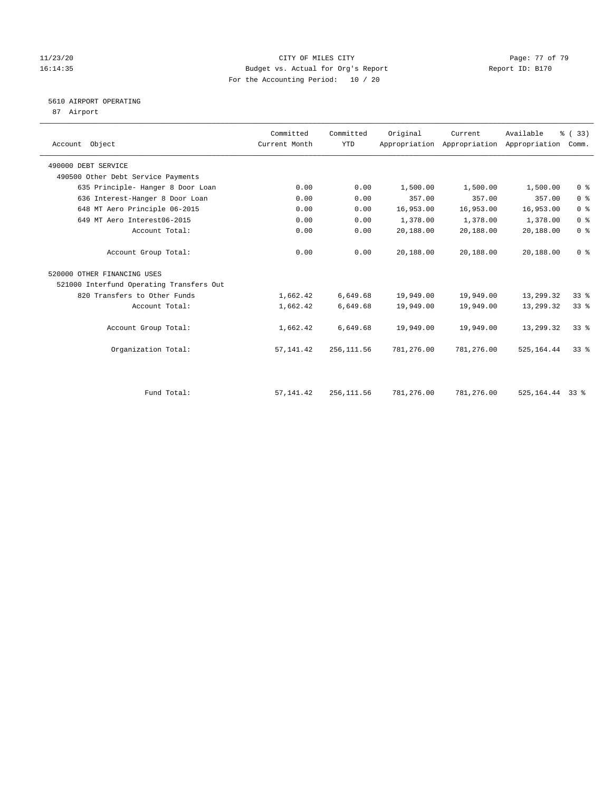### 11/23/20 Page: 77 of 79 16:14:35 Budget vs. Actual for Org's Report Report ID: B170 For the Accounting Period: 10 / 20

# 5610 AIRPORT OPERATING

87 Airport

| Account Object                           | Committed<br>Current Month | Committed<br>YTD | Original   | Current    | Available<br>Appropriation Appropriation Appropriation | % (33)<br>Comm. |
|------------------------------------------|----------------------------|------------------|------------|------------|--------------------------------------------------------|-----------------|
| 490000 DEBT SERVICE                      |                            |                  |            |            |                                                        |                 |
| 490500 Other Debt Service Payments       |                            |                  |            |            |                                                        |                 |
| 635 Principle- Hanger 8 Door Loan        | 0.00                       | 0.00             | 1,500.00   | 1,500.00   | 1,500.00                                               | 0 <sup>8</sup>  |
| 636 Interest-Hanger 8 Door Loan          | 0.00                       | 0.00             | 357.00     | 357.00     | 357.00                                                 | 0 <sup>8</sup>  |
| 648 MT Aero Principle 06-2015            | 0.00                       | 0.00             | 16,953.00  | 16,953.00  | 16,953.00                                              | 0 <sup>8</sup>  |
| 649 MT Aero Interest06-2015              | 0.00                       | 0.00             | 1,378.00   | 1,378.00   | 1,378.00                                               | 0 <sup>8</sup>  |
| Account Total:                           | 0.00                       | 0.00             | 20,188.00  | 20,188.00  | 20,188.00                                              | 0 <sup>8</sup>  |
| Account Group Total:                     | 0.00                       | 0.00             | 20,188.00  | 20,188.00  | 20,188.00                                              | 0 <sup>8</sup>  |
| 520000 OTHER FINANCING USES              |                            |                  |            |            |                                                        |                 |
| 521000 Interfund Operating Transfers Out |                            |                  |            |            |                                                        |                 |
| 820 Transfers to Other Funds             | 1,662.42                   | 6,649.68         | 19,949.00  | 19,949.00  | 13,299.32                                              | 33%             |
| Account Total:                           | 1,662.42                   | 6,649.68         | 19,949.00  | 19,949.00  | 13,299.32                                              | 33%             |
| Account Group Total:                     | 1,662.42                   | 6,649.68         | 19,949.00  | 19,949.00  | 13,299.32                                              | 338             |
| Organization Total:                      | 57, 141.42                 | 256, 111.56      | 781,276.00 | 781,276.00 | 525,164.44                                             | 338             |
|                                          |                            |                  |            |            |                                                        |                 |
| Fund Total:                              | 57, 141.42                 | 256, 111.56      | 781,276.00 | 781,276.00 | 525, 164. 44 33 %                                      |                 |